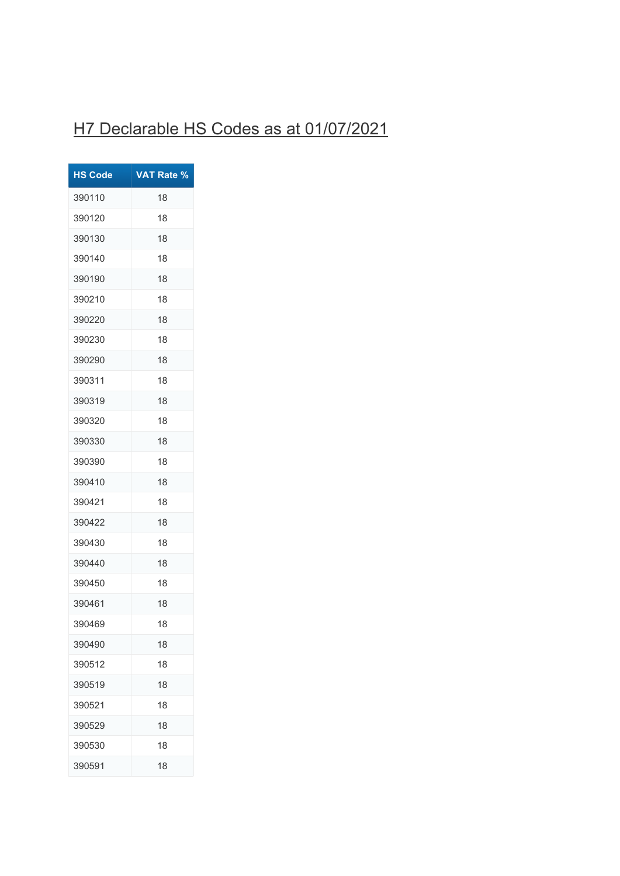## H7 Declarable HS Codes as at 01/07/2021

| <b>HS Code</b> | <b>VAT Rate %</b> |
|----------------|-------------------|
| 390110         | 18                |
| 390120         | 18                |
| 390130         | 18                |
| 390140         | 18                |
| 390190         | 18                |
| 390210         | 18                |
| 390220         | 18                |
| 390230         | 18                |
| 390290         | 18                |
| 390311         | 18                |
| 390319         | 18                |
| 390320         | 18                |
| 390330         | 18                |
| 390390         | 18                |
| 390410         | 18                |
| 390421         | 18                |
| 390422         | 18                |
| 390430         | 18                |
| 390440         | 18                |
| 390450         | 18                |
| 390461         | 18                |
| 390469         | 18                |
| 390490         | 18                |
| 390512         | 18                |
| 390519         | 18                |
| 390521         | 18                |
| 390529         | 18                |
| 390530         | 18                |
| 390591         | 18                |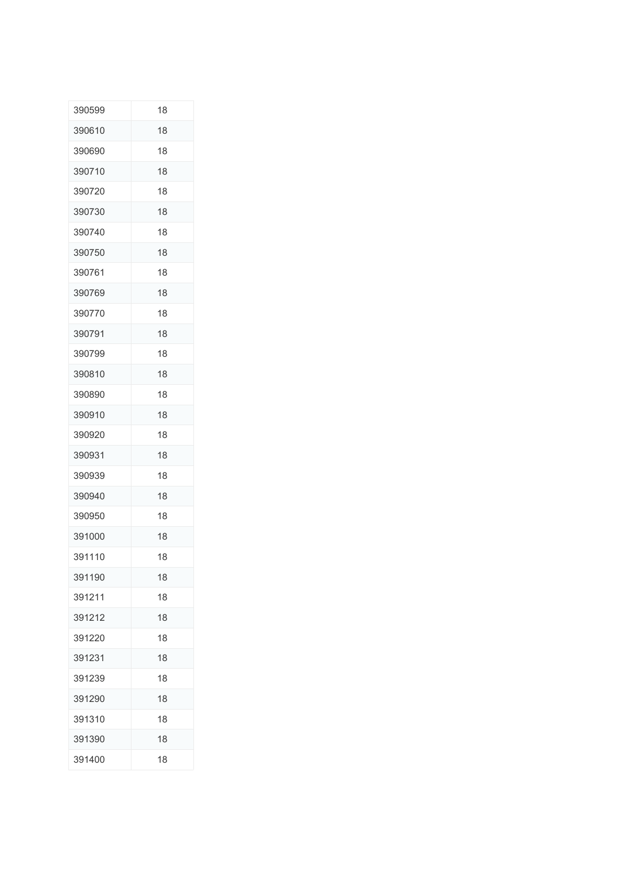| 390599 | 18 |
|--------|----|
| 390610 | 18 |
| 390690 | 18 |
| 390710 | 18 |
| 390720 | 18 |
| 390730 | 18 |
| 390740 | 18 |
| 390750 | 18 |
| 390761 | 18 |
| 390769 | 18 |
| 390770 | 18 |
| 390791 | 18 |
| 390799 | 18 |
| 390810 | 18 |
| 390890 | 18 |
| 390910 | 18 |
| 390920 | 18 |
| 390931 | 18 |
| 390939 | 18 |
| 390940 | 18 |
| 390950 | 18 |
| 391000 | 18 |
| 391110 | 18 |
| 391190 | 18 |
| 391211 | 18 |
| 391212 | 18 |
| 391220 | 18 |
| 391231 | 18 |
| 391239 | 18 |
| 391290 | 18 |
| 391310 | 18 |
| 391390 | 18 |
| 391400 | 18 |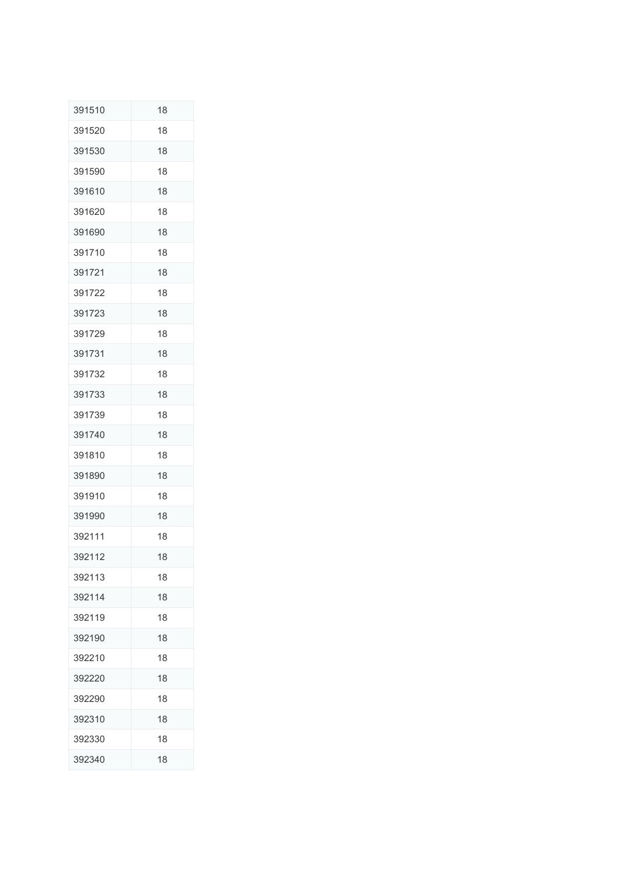| 391510 | 18 |
|--------|----|
| 391520 | 18 |
| 391530 | 18 |
| 391590 | 18 |
| 391610 | 18 |
| 391620 | 18 |
| 391690 | 18 |
| 391710 | 18 |
| 391721 | 18 |
| 391722 | 18 |
| 391723 | 18 |
| 391729 | 18 |
| 391731 | 18 |
| 391732 | 18 |
| 391733 | 18 |
| 391739 | 18 |
| 391740 | 18 |
| 391810 | 18 |
| 391890 | 18 |
| 391910 | 18 |
| 391990 | 18 |
| 392111 | 18 |
| 392112 | 18 |
| 392113 | 18 |
| 392114 | 18 |
| 392119 | 18 |
| 392190 | 18 |
| 392210 | 18 |
| 392220 | 18 |
| 392290 | 18 |
| 392310 | 18 |
| 392330 | 18 |
| 392340 | 18 |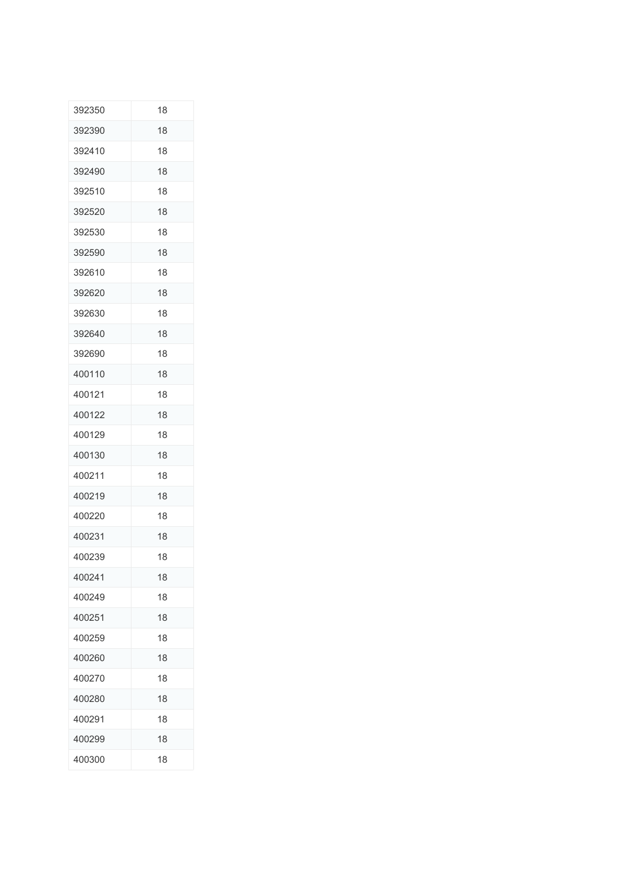| 392350 | 18 |
|--------|----|
| 392390 | 18 |
| 392410 | 18 |
| 392490 | 18 |
| 392510 | 18 |
| 392520 | 18 |
| 392530 | 18 |
| 392590 | 18 |
| 392610 | 18 |
| 392620 | 18 |
| 392630 | 18 |
| 392640 | 18 |
| 392690 | 18 |
| 400110 | 18 |
| 400121 | 18 |
| 400122 | 18 |
| 400129 | 18 |
| 400130 | 18 |
| 400211 | 18 |
| 400219 | 18 |
| 400220 | 18 |
| 400231 | 18 |
| 400239 | 18 |
| 400241 | 18 |
| 400249 | 18 |
| 400251 | 18 |
| 400259 | 18 |
| 400260 | 18 |
| 400270 | 18 |
| 400280 | 18 |
| 400291 | 18 |
| 400299 | 18 |
| 400300 | 18 |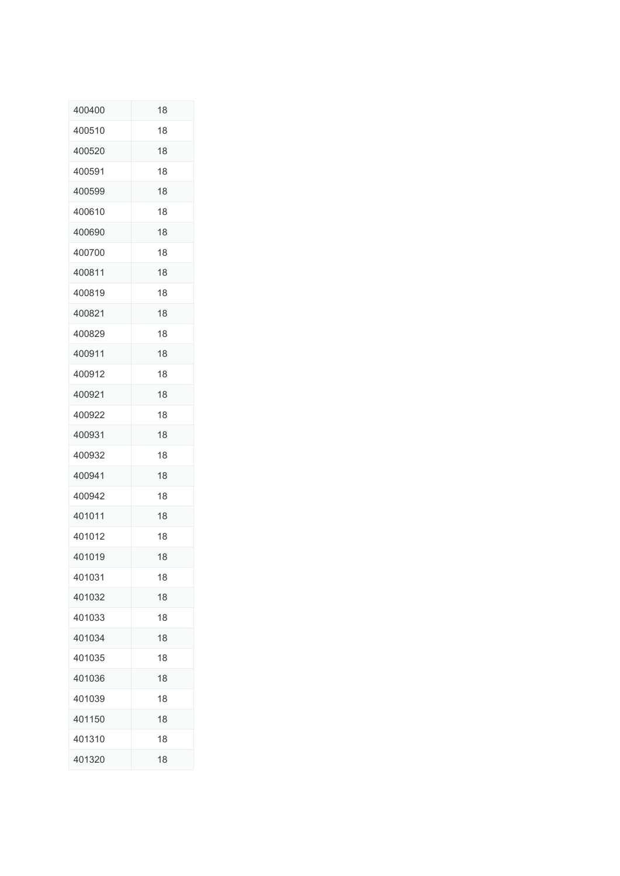| 400400 | 18 |
|--------|----|
| 400510 | 18 |
| 400520 | 18 |
| 400591 | 18 |
| 400599 | 18 |
| 400610 | 18 |
| 400690 | 18 |
| 400700 | 18 |
| 400811 | 18 |
| 400819 | 18 |
| 400821 | 18 |
| 400829 | 18 |
| 400911 | 18 |
| 400912 | 18 |
| 400921 | 18 |
| 400922 | 18 |
| 400931 | 18 |
| 400932 | 18 |
| 400941 | 18 |
| 400942 | 18 |
| 401011 | 18 |
| 401012 | 18 |
| 401019 | 18 |
| 401031 | 18 |
| 401032 | 18 |
| 401033 | 18 |
| 401034 | 18 |
| 401035 | 18 |
| 401036 | 18 |
| 401039 | 18 |
| 401150 | 18 |
| 401310 | 18 |
| 401320 | 18 |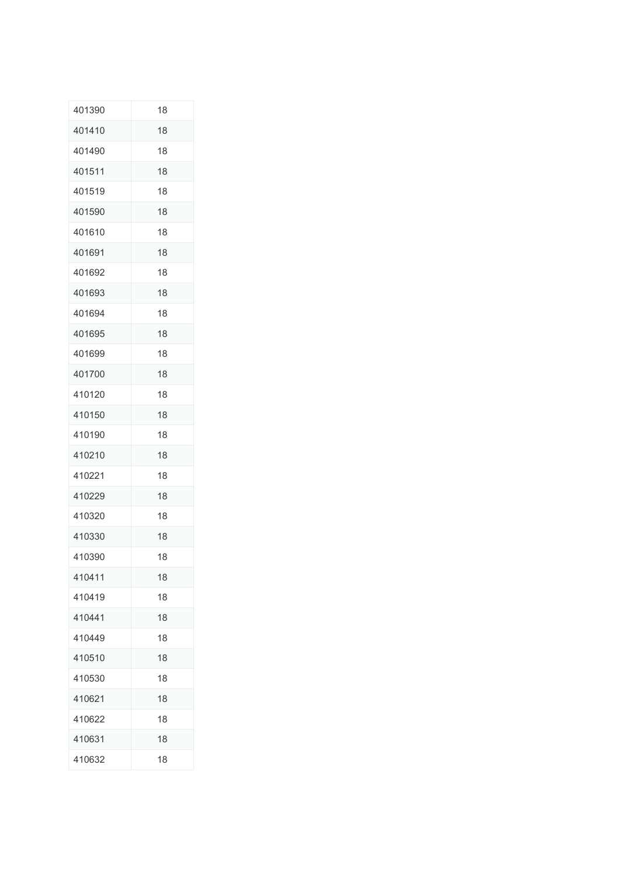| 401390 | 18 |
|--------|----|
| 401410 | 18 |
| 401490 | 18 |
| 401511 | 18 |
| 401519 | 18 |
| 401590 | 18 |
| 401610 | 18 |
| 401691 | 18 |
| 401692 | 18 |
| 401693 | 18 |
| 401694 | 18 |
| 401695 | 18 |
| 401699 | 18 |
| 401700 | 18 |
| 410120 | 18 |
| 410150 | 18 |
| 410190 | 18 |
| 410210 | 18 |
| 410221 | 18 |
| 410229 | 18 |
| 410320 | 18 |
| 410330 | 18 |
| 410390 | 18 |
| 410411 | 18 |
| 410419 | 18 |
| 410441 | 18 |
| 410449 | 18 |
| 410510 | 18 |
| 410530 | 18 |
| 410621 | 18 |
| 410622 | 18 |
| 410631 | 18 |
| 410632 | 18 |
|        |    |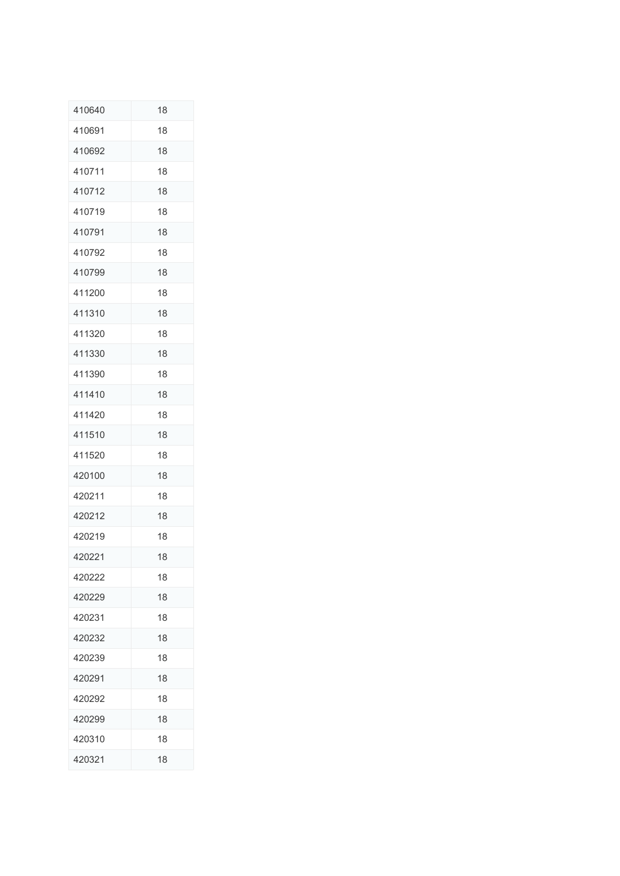| 410640 | 18 |
|--------|----|
| 410691 | 18 |
| 410692 | 18 |
| 410711 | 18 |
| 410712 | 18 |
| 410719 | 18 |
| 410791 | 18 |
| 410792 | 18 |
| 410799 | 18 |
| 411200 | 18 |
| 411310 | 18 |
| 411320 | 18 |
| 411330 | 18 |
| 411390 | 18 |
| 411410 | 18 |
| 411420 | 18 |
| 411510 | 18 |
| 411520 | 18 |
| 420100 | 18 |
| 420211 | 18 |
| 420212 | 18 |
| 420219 | 18 |
| 420221 | 18 |
| 420222 | 18 |
| 420229 | 18 |
| 420231 | 18 |
| 420232 | 18 |
| 420239 | 18 |
| 420291 | 18 |
| 420292 | 18 |
| 420299 | 18 |
| 420310 | 18 |
| 420321 | 18 |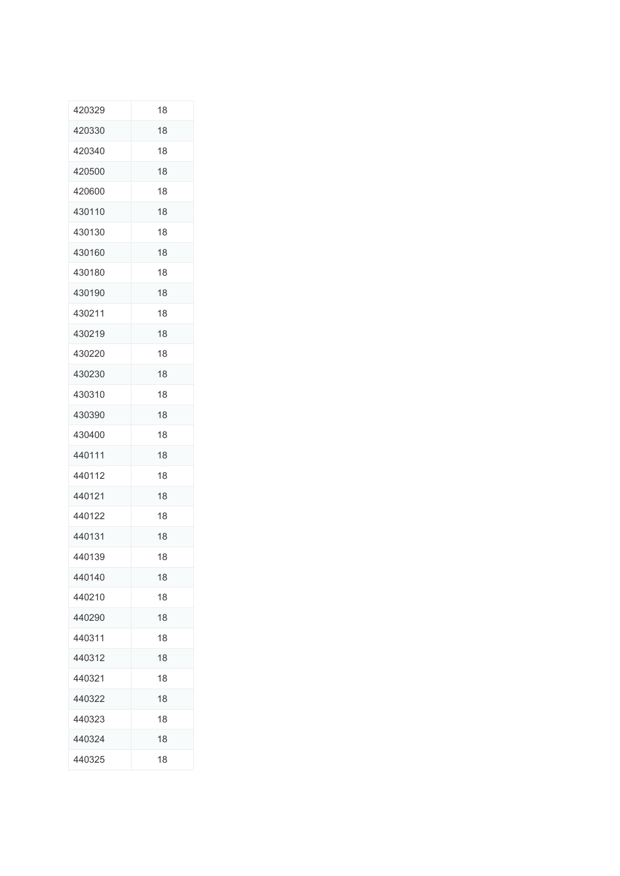| 420329 | 18 |
|--------|----|
| 420330 | 18 |
| 420340 | 18 |
| 420500 | 18 |
| 420600 | 18 |
| 430110 | 18 |
| 430130 | 18 |
| 430160 | 18 |
| 430180 | 18 |
| 430190 | 18 |
| 430211 | 18 |
| 430219 | 18 |
| 430220 | 18 |
| 430230 | 18 |
| 430310 | 18 |
| 430390 | 18 |
| 430400 | 18 |
| 440111 | 18 |
| 440112 | 18 |
| 440121 | 18 |
| 440122 | 18 |
| 440131 | 18 |
| 440139 | 18 |
| 440140 | 18 |
| 440210 | 18 |
| 440290 | 18 |
| 440311 | 18 |
| 440312 | 18 |
| 440321 | 18 |
| 440322 | 18 |
| 440323 | 18 |
| 440324 | 18 |
| 440325 | 18 |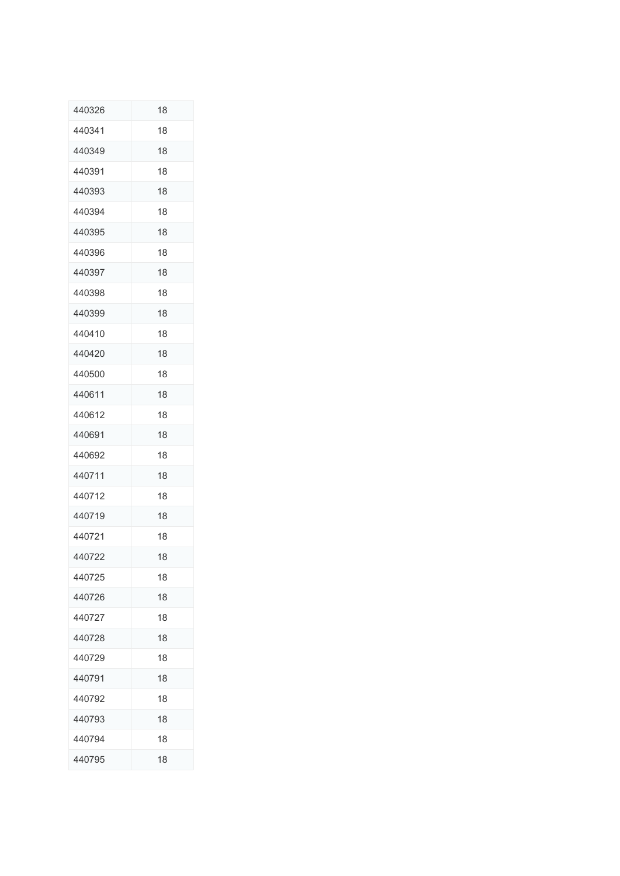| 440326 | 18 |
|--------|----|
| 440341 | 18 |
| 440349 | 18 |
| 440391 | 18 |
| 440393 | 18 |
| 440394 | 18 |
| 440395 | 18 |
| 440396 | 18 |
| 440397 | 18 |
| 440398 | 18 |
| 440399 | 18 |
| 440410 | 18 |
| 440420 | 18 |
| 440500 | 18 |
| 440611 | 18 |
| 440612 | 18 |
| 440691 | 18 |
| 440692 | 18 |
| 440711 | 18 |
| 440712 | 18 |
| 440719 | 18 |
| 440721 | 18 |
| 440722 | 18 |
| 440725 | 18 |
| 440726 | 18 |
| 440727 | 18 |
| 440728 | 18 |
| 440729 | 18 |
| 440791 | 18 |
| 440792 | 18 |
| 440793 | 18 |
| 440794 | 18 |
| 440795 | 18 |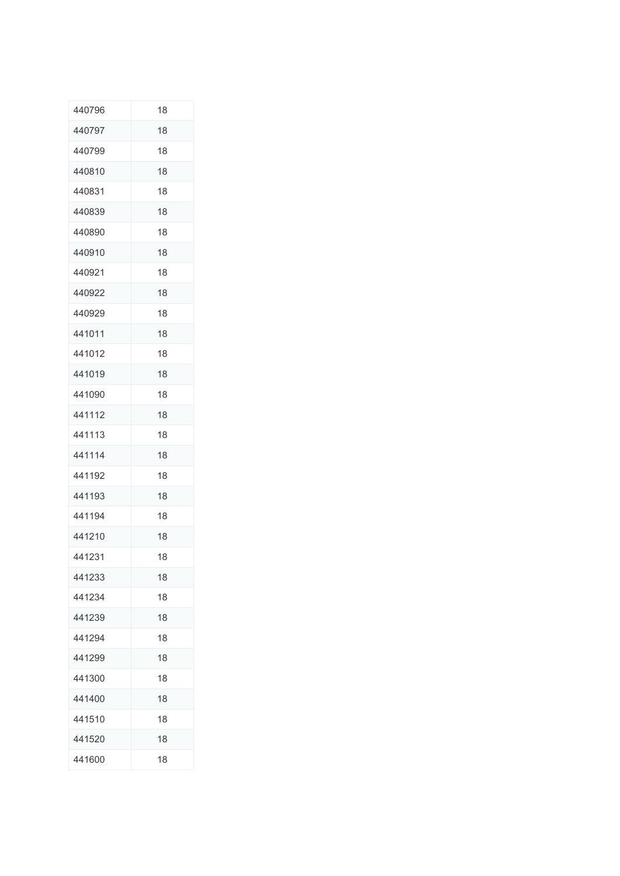| 440796 | 18 |
|--------|----|
| 440797 | 18 |
| 440799 | 18 |
| 440810 | 18 |
| 440831 | 18 |
| 440839 | 18 |
| 440890 | 18 |
| 440910 | 18 |
| 440921 | 18 |
| 440922 | 18 |
| 440929 | 18 |
| 441011 | 18 |
| 441012 | 18 |
| 441019 | 18 |
| 441090 | 18 |
| 441112 | 18 |
| 441113 | 18 |
| 441114 | 18 |
| 441192 | 18 |
| 441193 | 18 |
| 441194 | 18 |
| 441210 | 18 |
| 441231 | 18 |
| 441233 | 18 |
| 441234 | 18 |
| 441239 | 18 |
| 441294 | 18 |
| 441299 | 18 |
| 441300 | 18 |
| 441400 | 18 |
| 441510 | 18 |
| 441520 | 18 |
| 441600 | 18 |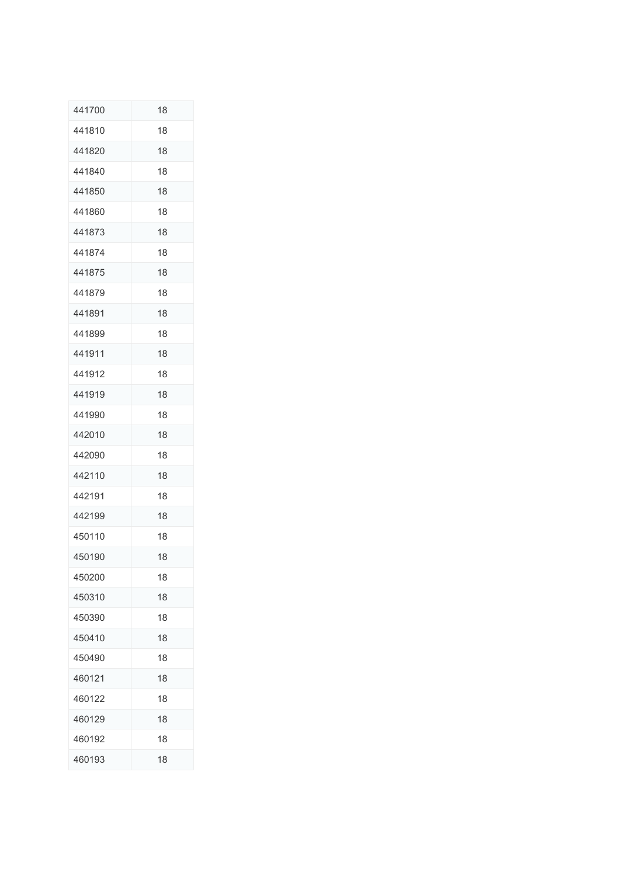| 441700 | 18 |
|--------|----|
| 441810 | 18 |
| 441820 | 18 |
| 441840 | 18 |
| 441850 | 18 |
| 441860 | 18 |
| 441873 | 18 |
| 441874 | 18 |
| 441875 | 18 |
| 441879 | 18 |
| 441891 | 18 |
| 441899 | 18 |
| 441911 | 18 |
| 441912 | 18 |
| 441919 | 18 |
| 441990 | 18 |
| 442010 | 18 |
| 442090 | 18 |
| 442110 | 18 |
| 442191 | 18 |
| 442199 | 18 |
| 450110 | 18 |
| 450190 | 18 |
| 450200 | 18 |
| 450310 | 18 |
| 450390 | 18 |
| 450410 | 18 |
| 450490 | 18 |
| 460121 | 18 |
| 460122 | 18 |
| 460129 | 18 |
| 460192 | 18 |
| 460193 | 18 |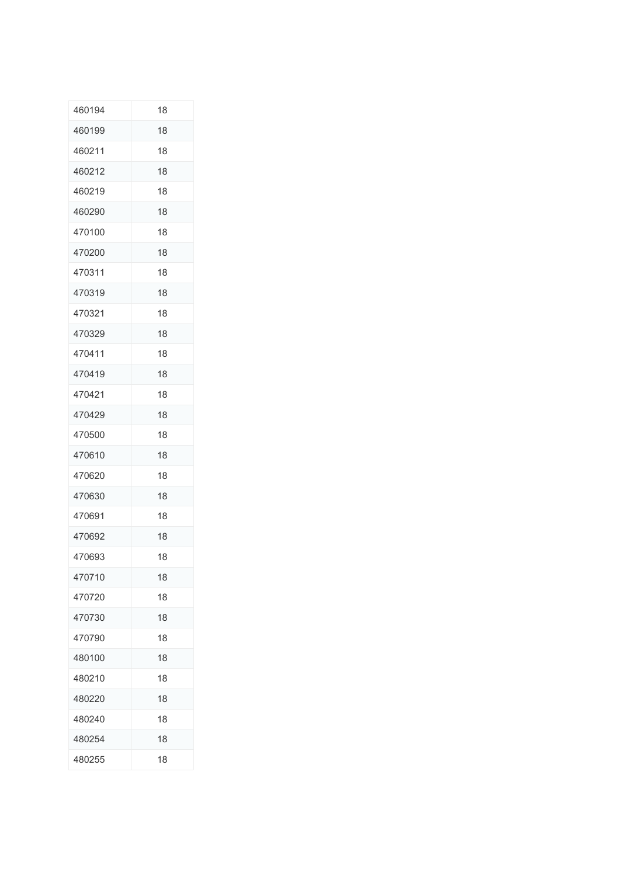| 460194 | 18 |
|--------|----|
| 460199 | 18 |
| 460211 | 18 |
| 460212 | 18 |
| 460219 | 18 |
| 460290 | 18 |
| 470100 | 18 |
| 470200 | 18 |
| 470311 | 18 |
| 470319 | 18 |
| 470321 | 18 |
| 470329 | 18 |
| 470411 | 18 |
| 470419 | 18 |
| 470421 | 18 |
| 470429 | 18 |
| 470500 | 18 |
| 470610 | 18 |
| 470620 | 18 |
| 470630 | 18 |
| 470691 | 18 |
| 470692 | 18 |
| 470693 | 18 |
| 470710 | 18 |
| 470720 | 18 |
| 470730 | 18 |
| 470790 | 18 |
| 480100 | 18 |
| 480210 | 18 |
| 480220 | 18 |
| 480240 | 18 |
| 480254 | 18 |
| 480255 | 18 |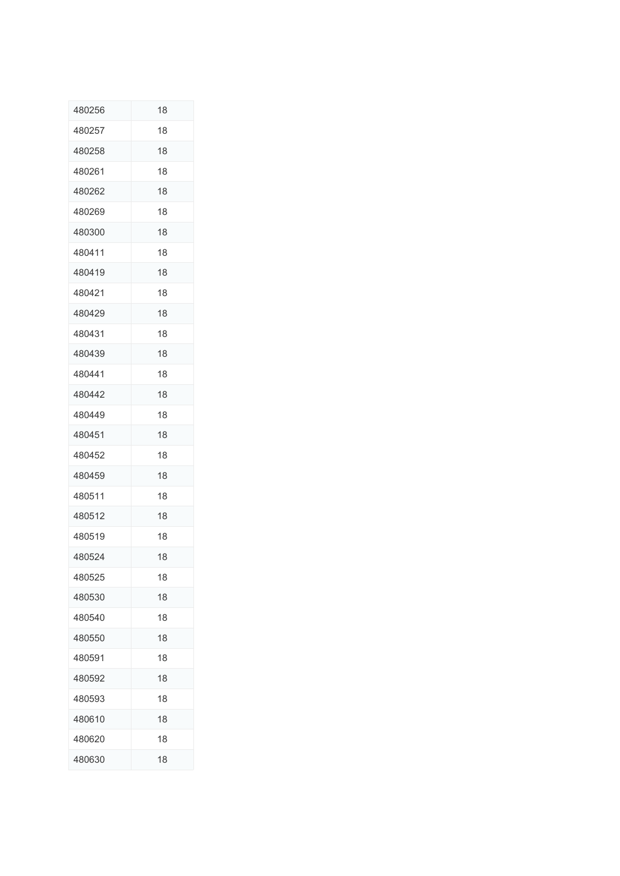| 480256 | 18 |
|--------|----|
| 480257 | 18 |
| 480258 | 18 |
| 480261 | 18 |
| 480262 | 18 |
| 480269 | 18 |
| 480300 | 18 |
| 480411 | 18 |
| 480419 | 18 |
| 480421 | 18 |
| 480429 | 18 |
| 480431 | 18 |
| 480439 | 18 |
| 480441 | 18 |
| 480442 | 18 |
| 480449 | 18 |
| 480451 | 18 |
| 480452 | 18 |
| 480459 | 18 |
| 480511 | 18 |
| 480512 | 18 |
| 480519 | 18 |
| 480524 | 18 |
| 480525 | 18 |
| 480530 | 18 |
| 480540 | 18 |
| 480550 | 18 |
| 480591 | 18 |
| 480592 | 18 |
| 480593 | 18 |
| 480610 | 18 |
| 480620 | 18 |
| 480630 | 18 |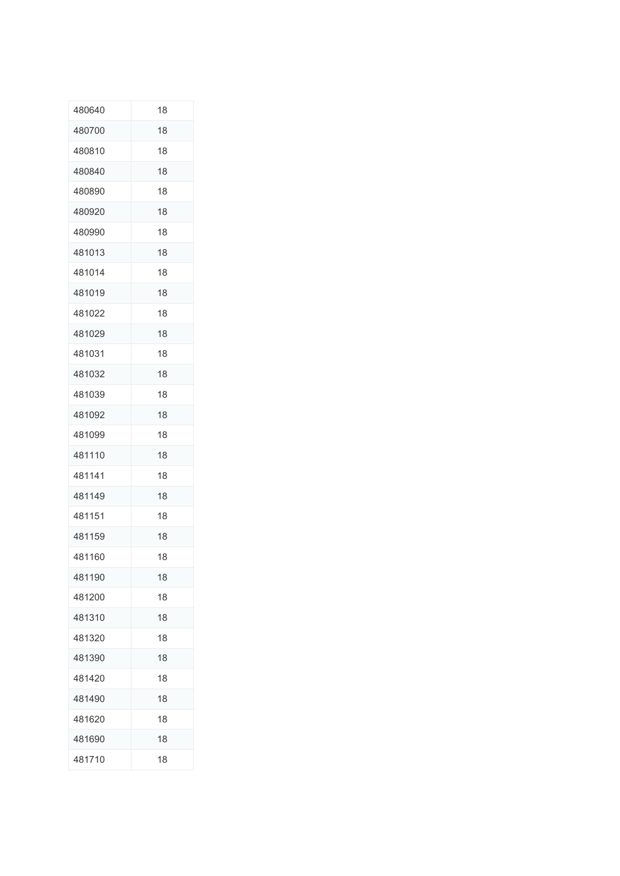| 480640 | 18 |
|--------|----|
| 480700 | 18 |
| 480810 | 18 |
| 480840 | 18 |
| 480890 | 18 |
| 480920 | 18 |
| 480990 | 18 |
| 481013 | 18 |
| 481014 | 18 |
| 481019 | 18 |
| 481022 | 18 |
| 481029 | 18 |
| 481031 | 18 |
| 481032 | 18 |
| 481039 | 18 |
| 481092 | 18 |
| 481099 | 18 |
| 481110 | 18 |
| 481141 | 18 |
| 481149 | 18 |
| 481151 | 18 |
| 481159 | 18 |
| 481160 | 18 |
| 481190 | 18 |
| 481200 | 18 |
| 481310 | 18 |
| 481320 | 18 |
| 481390 | 18 |
| 481420 | 18 |
| 481490 | 18 |
| 481620 | 18 |
| 481690 | 18 |
| 481710 | 18 |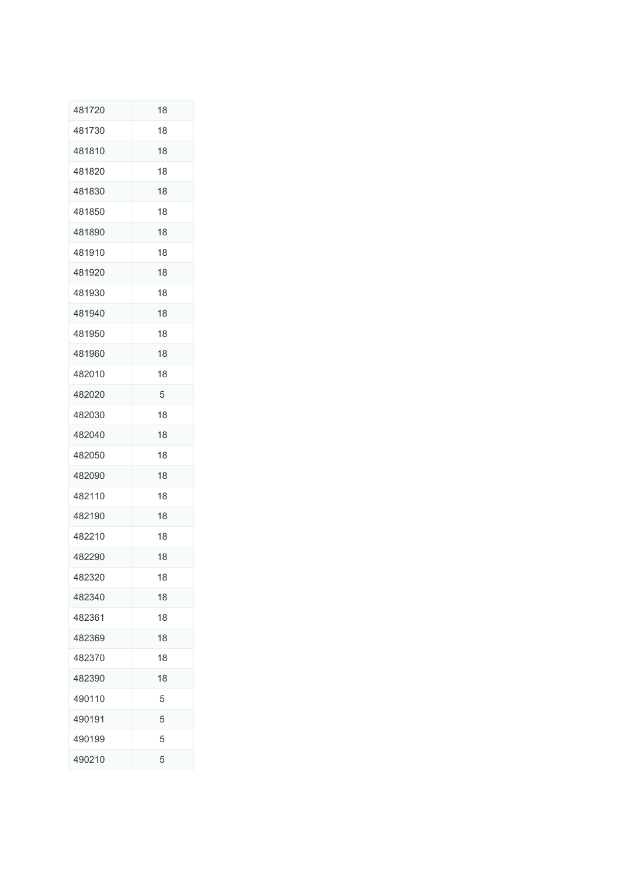| 481720 | 18 |
|--------|----|
| 481730 | 18 |
| 481810 | 18 |
| 481820 | 18 |
| 481830 | 18 |
| 481850 | 18 |
| 481890 | 18 |
| 481910 | 18 |
| 481920 | 18 |
| 481930 | 18 |
| 481940 | 18 |
| 481950 | 18 |
| 481960 | 18 |
| 482010 | 18 |
| 482020 | 5  |
| 482030 | 18 |
| 482040 | 18 |
| 482050 | 18 |
| 482090 | 18 |
| 482110 | 18 |
| 482190 | 18 |
| 482210 | 18 |
| 482290 | 18 |
| 482320 | 18 |
| 482340 | 18 |
| 482361 | 18 |
| 482369 | 18 |
| 482370 | 18 |
| 482390 | 18 |
| 490110 | 5  |
| 490191 | 5  |
| 490199 | 5  |
| 490210 | 5  |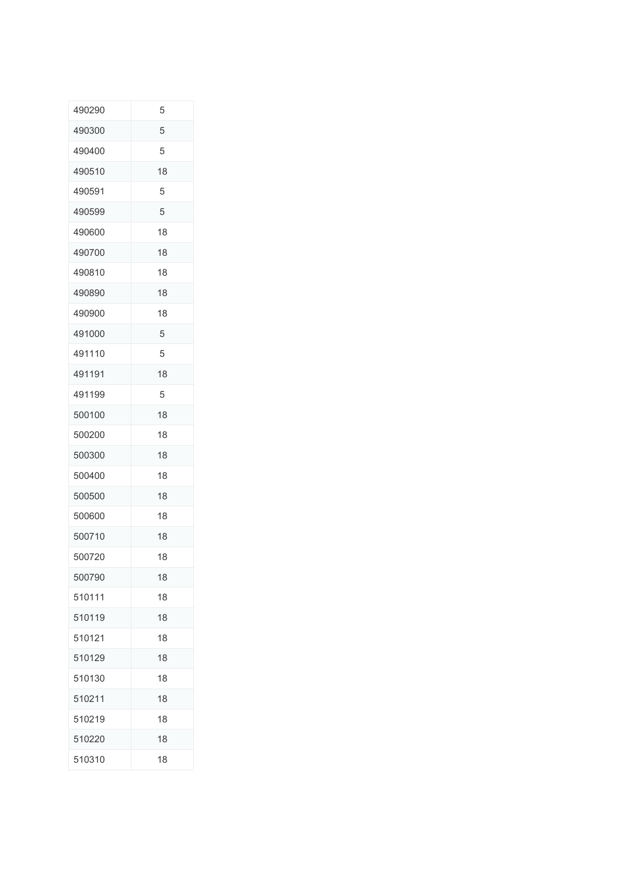| 490290 | 5  |
|--------|----|
| 490300 | 5  |
| 490400 | 5  |
| 490510 | 18 |
| 490591 | 5  |
| 490599 | 5  |
| 490600 | 18 |
| 490700 | 18 |
| 490810 | 18 |
| 490890 | 18 |
| 490900 | 18 |
| 491000 | 5  |
| 491110 | 5  |
| 491191 | 18 |
| 491199 | 5  |
| 500100 | 18 |
| 500200 | 18 |
| 500300 | 18 |
| 500400 | 18 |
| 500500 | 18 |
| 500600 | 18 |
| 500710 | 18 |
| 500720 | 18 |
| 500790 | 18 |
| 510111 | 18 |
| 510119 | 18 |
| 510121 | 18 |
| 510129 | 18 |
| 510130 | 18 |
| 510211 | 18 |
| 510219 | 18 |
| 510220 | 18 |
| 510310 | 18 |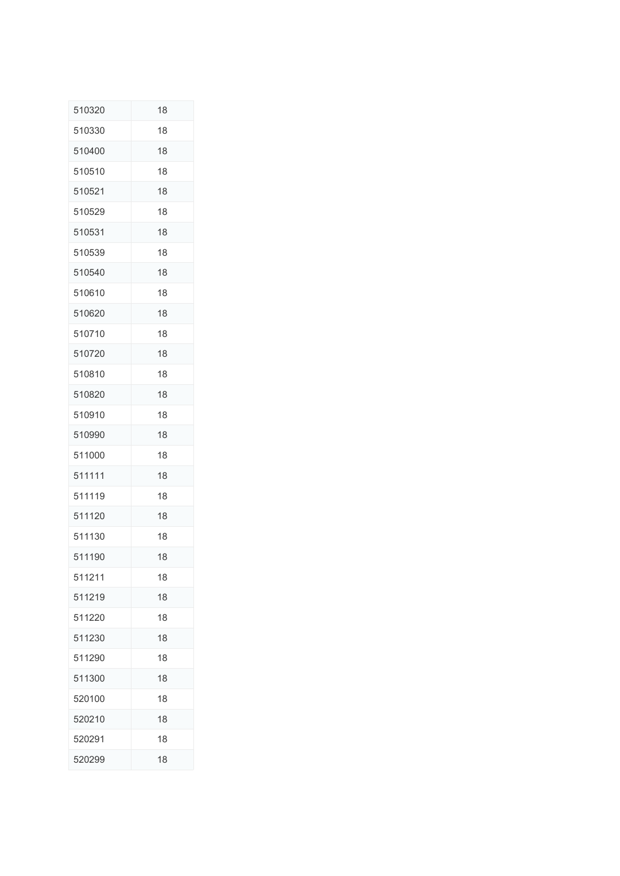| 510320 | 18 |
|--------|----|
| 510330 | 18 |
| 510400 | 18 |
| 510510 | 18 |
| 510521 | 18 |
| 510529 | 18 |
| 510531 | 18 |
| 510539 | 18 |
| 510540 | 18 |
| 510610 | 18 |
| 510620 | 18 |
| 510710 | 18 |
| 510720 | 18 |
| 510810 | 18 |
| 510820 | 18 |
| 510910 | 18 |
| 510990 | 18 |
| 511000 | 18 |
| 511111 | 18 |
| 511119 | 18 |
| 511120 | 18 |
| 511130 | 18 |
| 511190 | 18 |
| 511211 | 18 |
| 511219 | 18 |
| 511220 | 18 |
| 511230 | 18 |
| 511290 | 18 |
| 511300 | 18 |
| 520100 | 18 |
| 520210 | 18 |
| 520291 | 18 |
| 520299 | 18 |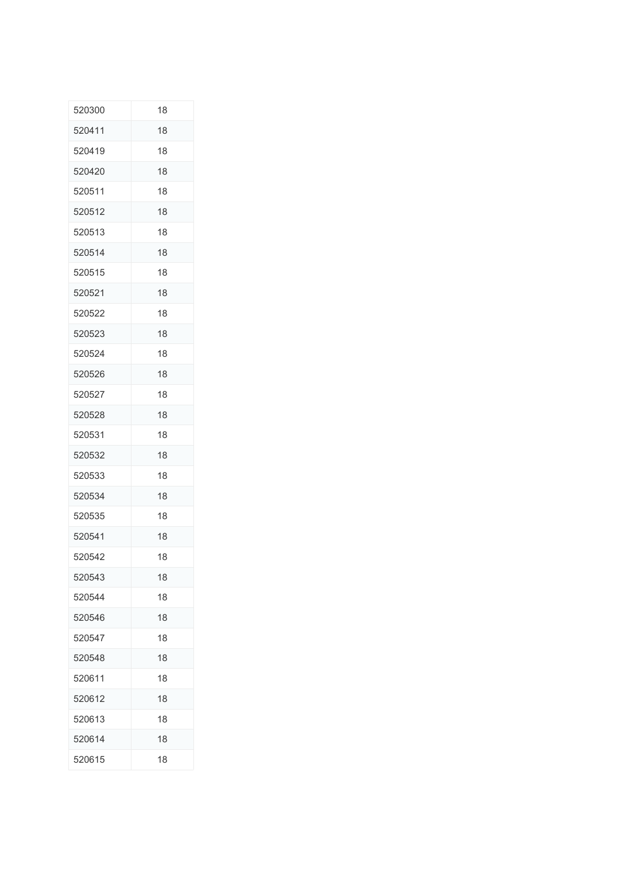| 520300 | 18 |
|--------|----|
| 520411 | 18 |
| 520419 | 18 |
| 520420 | 18 |
| 520511 | 18 |
| 520512 | 18 |
| 520513 | 18 |
| 520514 | 18 |
| 520515 | 18 |
| 520521 | 18 |
| 520522 | 18 |
| 520523 | 18 |
| 520524 | 18 |
| 520526 | 18 |
| 520527 | 18 |
| 520528 | 18 |
| 520531 | 18 |
| 520532 | 18 |
| 520533 | 18 |
| 520534 | 18 |
| 520535 | 18 |
| 520541 | 18 |
| 520542 | 18 |
| 520543 | 18 |
| 520544 | 18 |
| 520546 | 18 |
| 520547 | 18 |
| 520548 | 18 |
| 520611 | 18 |
| 520612 | 18 |
| 520613 | 18 |
| 520614 | 18 |
| 520615 | 18 |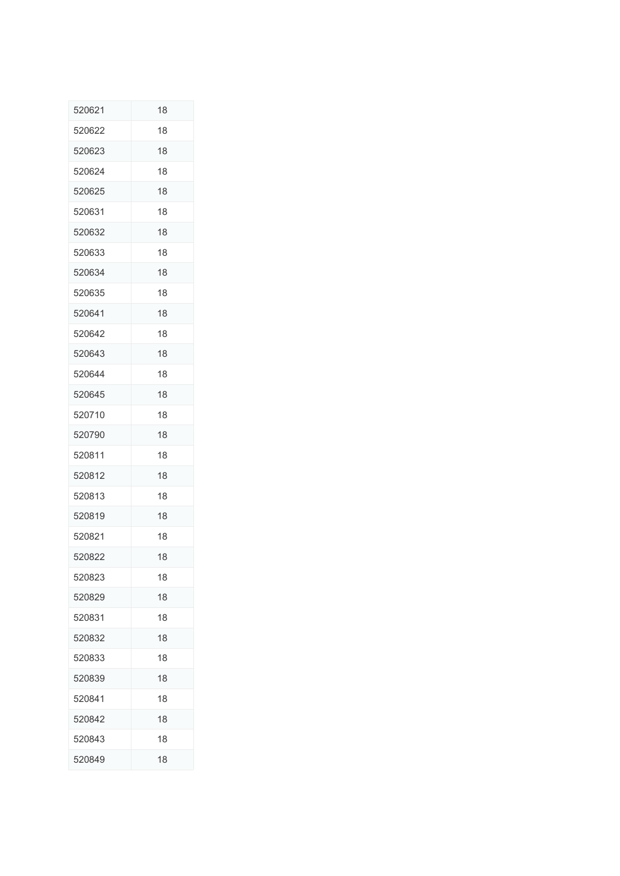| 520621 | 18 |
|--------|----|
| 520622 | 18 |
| 520623 | 18 |
| 520624 | 18 |
| 520625 | 18 |
| 520631 | 18 |
| 520632 | 18 |
| 520633 | 18 |
| 520634 | 18 |
| 520635 | 18 |
| 520641 | 18 |
| 520642 | 18 |
| 520643 | 18 |
| 520644 | 18 |
| 520645 | 18 |
| 520710 | 18 |
| 520790 | 18 |
| 520811 | 18 |
| 520812 | 18 |
| 520813 | 18 |
| 520819 | 18 |
| 520821 | 18 |
| 520822 | 18 |
| 520823 | 18 |
| 520829 | 18 |
| 520831 | 18 |
| 520832 | 18 |
| 520833 | 18 |
| 520839 | 18 |
| 520841 | 18 |
| 520842 | 18 |
| 520843 | 18 |
| 520849 | 18 |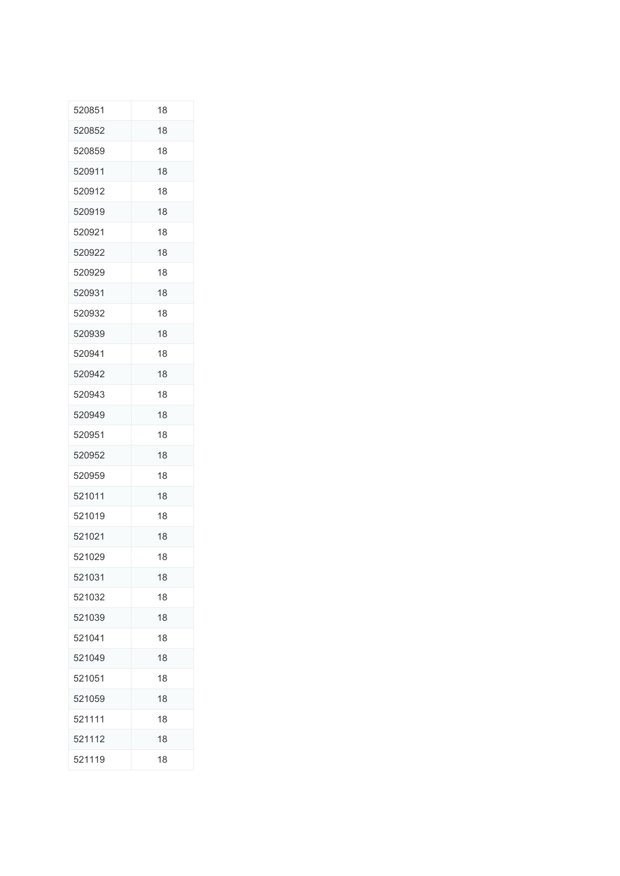| 520851 | 18 |
|--------|----|
| 520852 | 18 |
| 520859 | 18 |
| 520911 | 18 |
| 520912 | 18 |
| 520919 | 18 |
| 520921 | 18 |
| 520922 | 18 |
| 520929 | 18 |
| 520931 | 18 |
| 520932 | 18 |
| 520939 | 18 |
| 520941 | 18 |
| 520942 | 18 |
| 520943 | 18 |
| 520949 | 18 |
| 520951 | 18 |
| 520952 | 18 |
| 520959 | 18 |
| 521011 | 18 |
| 521019 | 18 |
| 521021 | 18 |
| 521029 | 18 |
| 521031 | 18 |
| 521032 | 18 |
| 521039 | 18 |
| 521041 | 18 |
| 521049 | 18 |
| 521051 | 18 |
| 521059 | 18 |
| 521111 | 18 |
| 521112 | 18 |
| 521119 | 18 |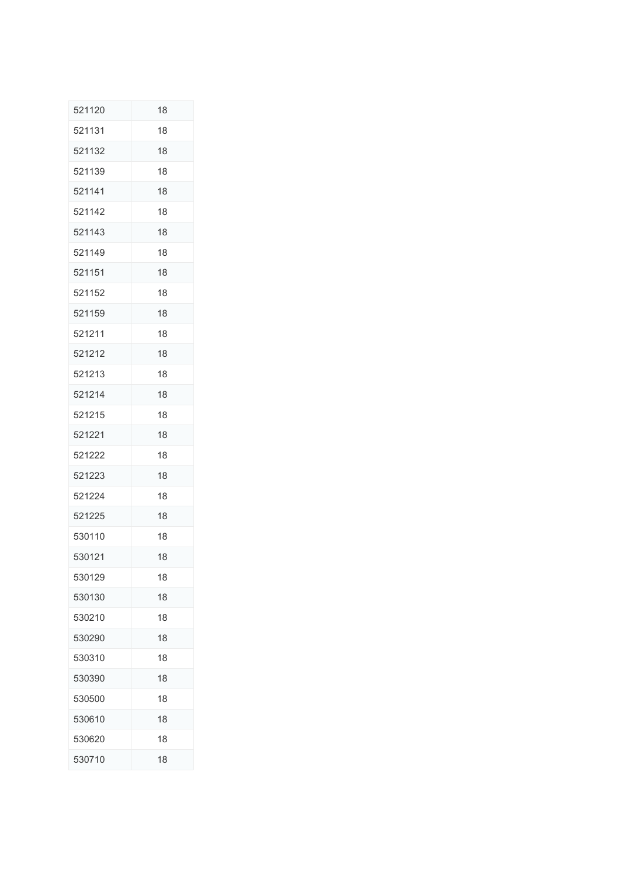| 521120 | 18 |
|--------|----|
| 521131 | 18 |
| 521132 | 18 |
| 521139 | 18 |
| 521141 | 18 |
| 521142 | 18 |
| 521143 | 18 |
| 521149 | 18 |
| 521151 | 18 |
| 521152 | 18 |
| 521159 | 18 |
| 521211 | 18 |
| 521212 | 18 |
| 521213 | 18 |
| 521214 | 18 |
| 521215 | 18 |
| 521221 | 18 |
| 521222 | 18 |
| 521223 | 18 |
| 521224 | 18 |
| 521225 | 18 |
| 530110 | 18 |
| 530121 | 18 |
| 530129 | 18 |
| 530130 | 18 |
| 530210 | 18 |
| 530290 | 18 |
| 530310 | 18 |
| 530390 | 18 |
| 530500 | 18 |
| 530610 | 18 |
| 530620 | 18 |
| 530710 | 18 |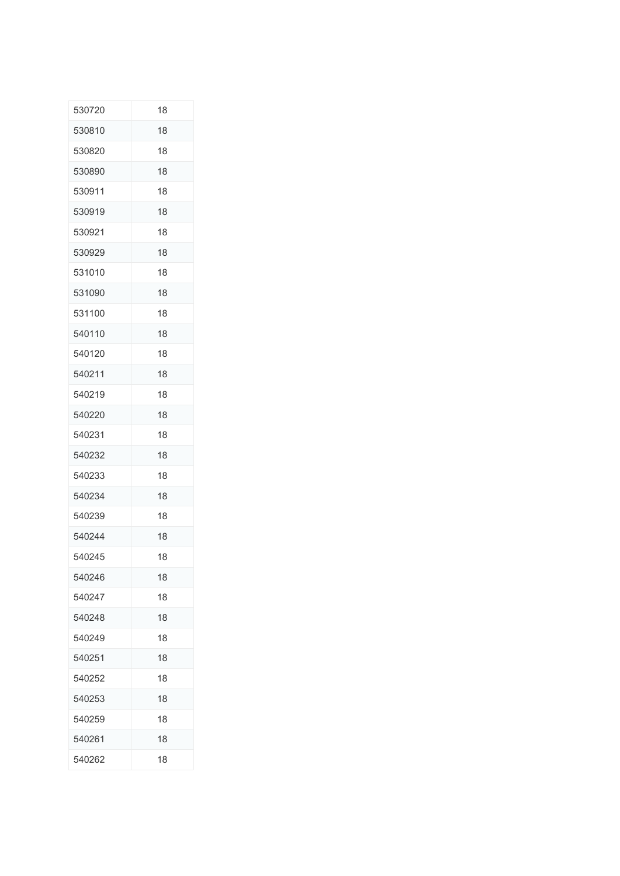| 530720 | 18 |
|--------|----|
| 530810 | 18 |
| 530820 | 18 |
| 530890 | 18 |
| 530911 | 18 |
| 530919 | 18 |
| 530921 | 18 |
| 530929 | 18 |
| 531010 | 18 |
| 531090 | 18 |
| 531100 | 18 |
| 540110 | 18 |
| 540120 | 18 |
| 540211 | 18 |
| 540219 | 18 |
| 540220 | 18 |
| 540231 | 18 |
| 540232 | 18 |
| 540233 | 18 |
| 540234 | 18 |
| 540239 | 18 |
| 540244 | 18 |
| 540245 | 18 |
| 540246 | 18 |
| 540247 | 18 |
| 540248 | 18 |
| 540249 | 18 |
| 540251 | 18 |
| 540252 | 18 |
| 540253 | 18 |
| 540259 | 18 |
| 540261 | 18 |
| 540262 | 18 |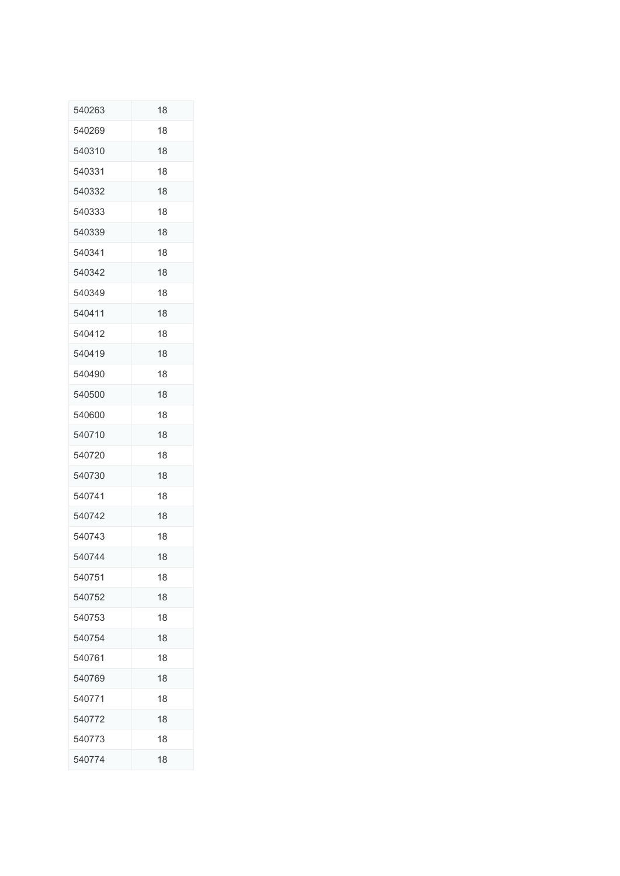| 540263 | 18 |
|--------|----|
| 540269 | 18 |
| 540310 | 18 |
| 540331 | 18 |
| 540332 | 18 |
| 540333 | 18 |
| 540339 | 18 |
| 540341 | 18 |
| 540342 | 18 |
| 540349 | 18 |
| 540411 | 18 |
| 540412 | 18 |
| 540419 | 18 |
| 540490 | 18 |
| 540500 | 18 |
| 540600 | 18 |
| 540710 | 18 |
| 540720 | 18 |
| 540730 | 18 |
| 540741 | 18 |
| 540742 | 18 |
| 540743 | 18 |
| 540744 | 18 |
| 540751 | 18 |
| 540752 | 18 |
| 540753 | 18 |
| 540754 | 18 |
| 540761 | 18 |
| 540769 | 18 |
| 540771 | 18 |
| 540772 | 18 |
| 540773 | 18 |
| 540774 | 18 |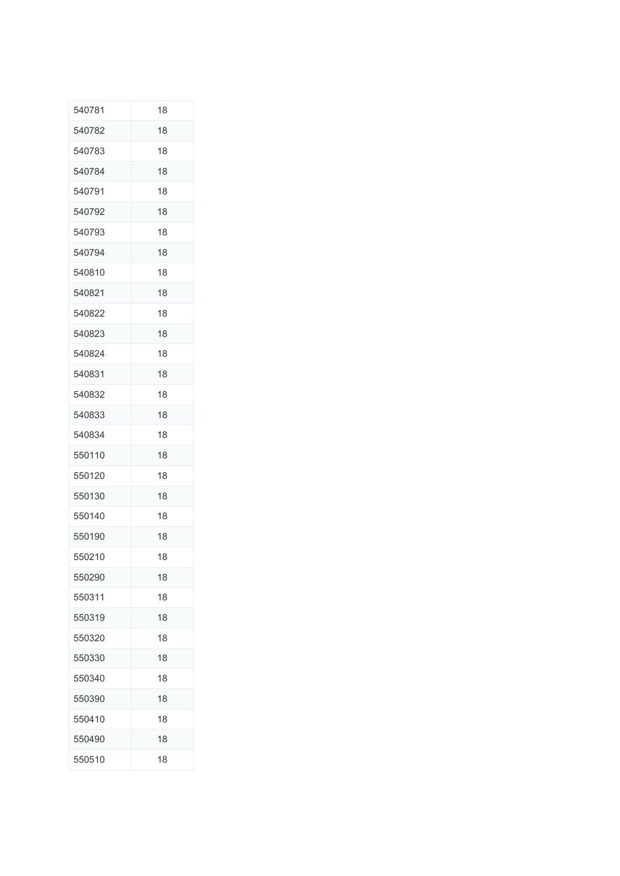| 540781 | 18 |
|--------|----|
| 540782 | 18 |
| 540783 | 18 |
| 540784 | 18 |
| 540791 | 18 |
| 540792 | 18 |
| 540793 | 18 |
| 540794 | 18 |
| 540810 | 18 |
| 540821 | 18 |
| 540822 | 18 |
| 540823 | 18 |
| 540824 | 18 |
| 540831 | 18 |
| 540832 | 18 |
| 540833 | 18 |
| 540834 | 18 |
| 550110 | 18 |
| 550120 | 18 |
| 550130 | 18 |
| 550140 | 18 |
| 550190 | 18 |
| 550210 | 18 |
| 550290 | 18 |
| 550311 | 18 |
| 550319 | 18 |
| 550320 | 18 |
| 550330 | 18 |
| 550340 | 18 |
| 550390 | 18 |
| 550410 | 18 |
| 550490 | 18 |
| 550510 | 18 |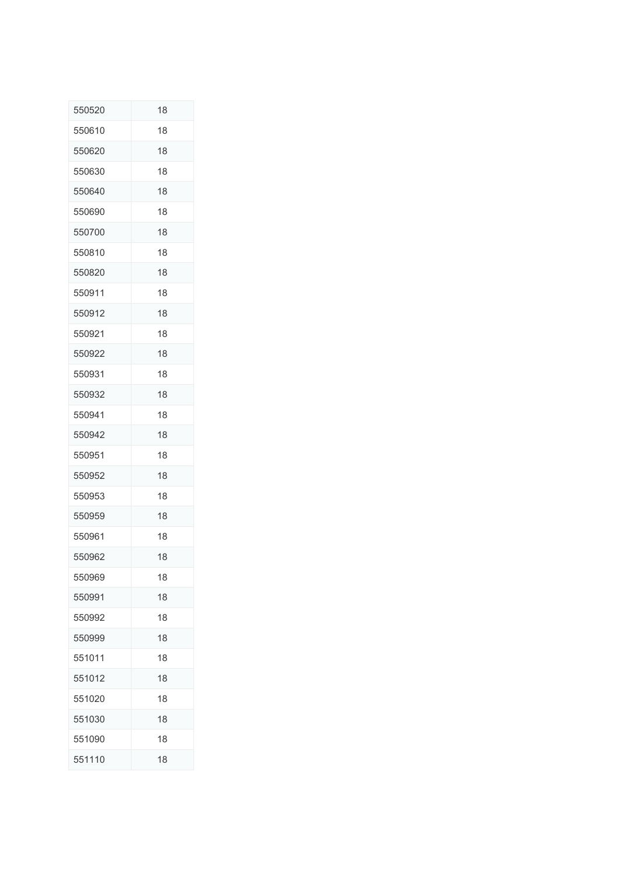| 550520 | 18 |
|--------|----|
| 550610 | 18 |
| 550620 | 18 |
| 550630 | 18 |
| 550640 | 18 |
| 550690 | 18 |
| 550700 | 18 |
| 550810 | 18 |
| 550820 | 18 |
| 550911 | 18 |
| 550912 | 18 |
| 550921 | 18 |
| 550922 | 18 |
| 550931 | 18 |
| 550932 | 18 |
| 550941 | 18 |
| 550942 | 18 |
| 550951 | 18 |
| 550952 | 18 |
| 550953 | 18 |
| 550959 | 18 |
| 550961 | 18 |
| 550962 | 18 |
| 550969 | 18 |
| 550991 | 18 |
| 550992 | 18 |
| 550999 | 18 |
| 551011 | 18 |
| 551012 | 18 |
| 551020 | 18 |
| 551030 | 18 |
| 551090 | 18 |
| 551110 | 18 |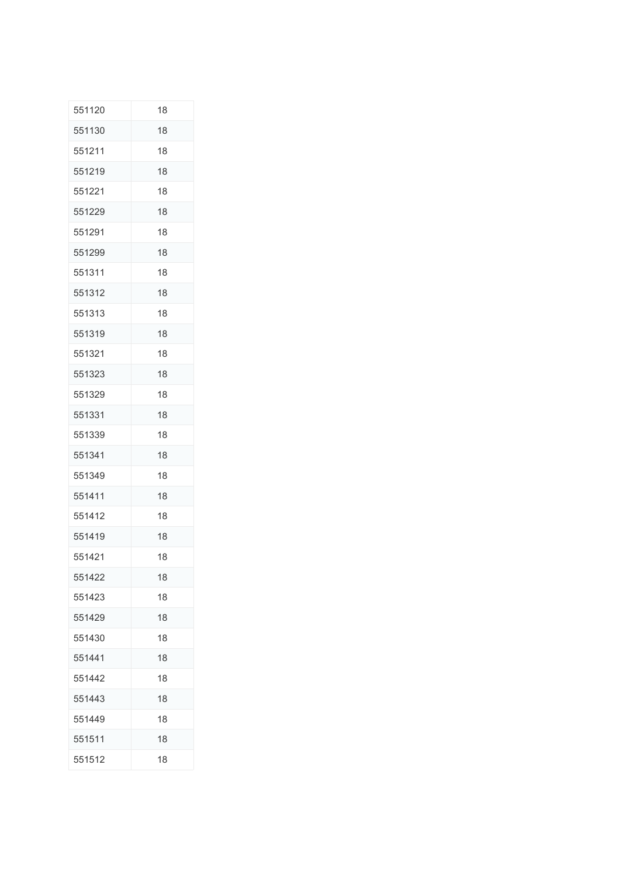| 551120 | 18 |
|--------|----|
| 551130 | 18 |
| 551211 | 18 |
| 551219 | 18 |
| 551221 | 18 |
| 551229 | 18 |
| 551291 | 18 |
| 551299 | 18 |
| 551311 | 18 |
| 551312 | 18 |
| 551313 | 18 |
| 551319 | 18 |
| 551321 | 18 |
| 551323 | 18 |
| 551329 | 18 |
| 551331 | 18 |
| 551339 | 18 |
| 551341 | 18 |
| 551349 | 18 |
| 551411 | 18 |
| 551412 | 18 |
| 551419 | 18 |
| 551421 | 18 |
| 551422 | 18 |
| 551423 | 18 |
| 551429 | 18 |
| 551430 | 18 |
| 551441 | 18 |
| 551442 | 18 |
| 551443 | 18 |
| 551449 | 18 |
| 551511 | 18 |
| 551512 | 18 |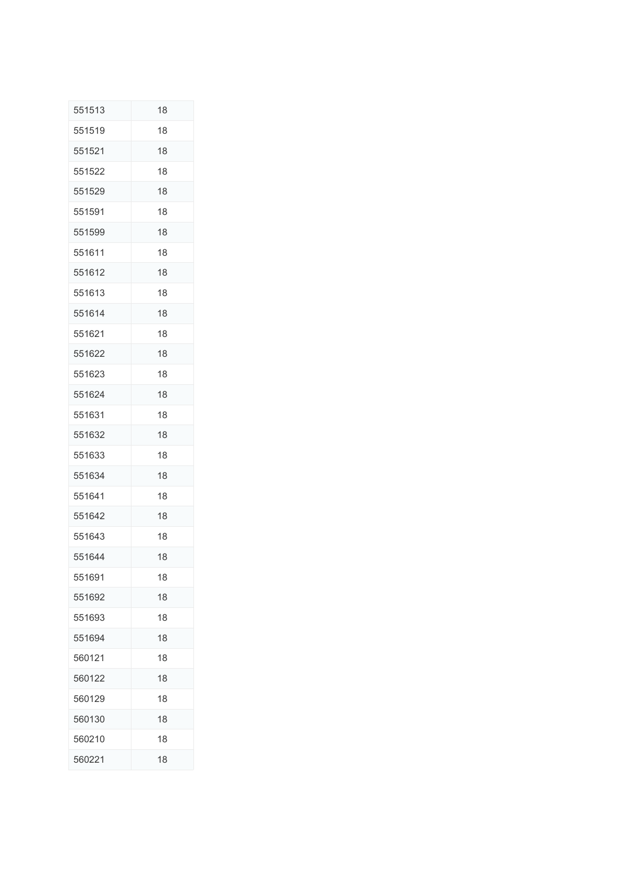| 551513 | 18 |
|--------|----|
| 551519 | 18 |
| 551521 | 18 |
| 551522 | 18 |
| 551529 | 18 |
| 551591 | 18 |
| 551599 | 18 |
| 551611 | 18 |
| 551612 | 18 |
| 551613 | 18 |
| 551614 | 18 |
| 551621 | 18 |
| 551622 | 18 |
| 551623 | 18 |
| 551624 | 18 |
| 551631 | 18 |
| 551632 | 18 |
| 551633 | 18 |
| 551634 | 18 |
| 551641 | 18 |
| 551642 | 18 |
| 551643 | 18 |
| 551644 | 18 |
| 551691 | 18 |
| 551692 | 18 |
| 551693 | 18 |
| 551694 | 18 |
| 560121 | 18 |
| 560122 | 18 |
| 560129 | 18 |
| 560130 | 18 |
| 560210 | 18 |
| 560221 | 18 |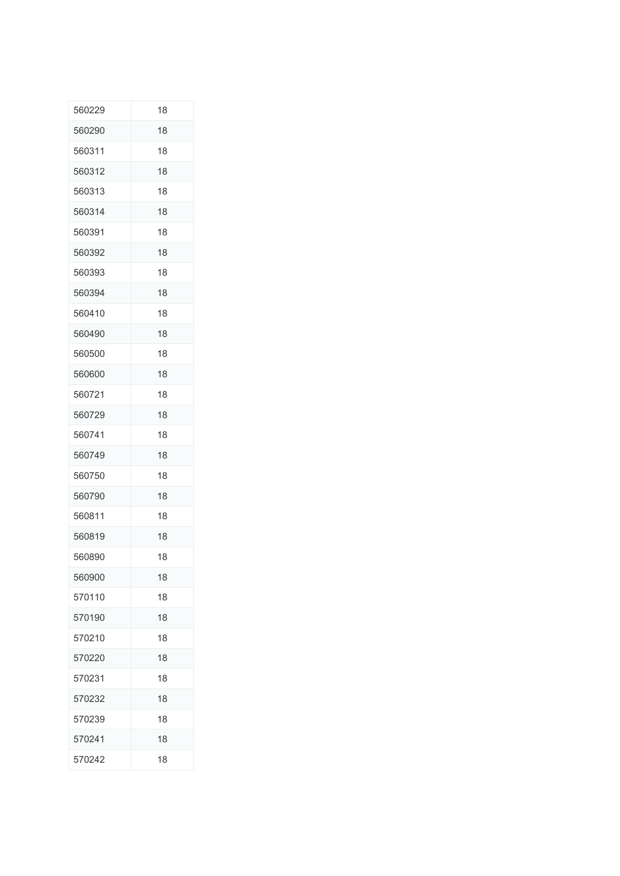| 560229 | 18 |
|--------|----|
| 560290 | 18 |
| 560311 | 18 |
| 560312 | 18 |
| 560313 | 18 |
| 560314 | 18 |
| 560391 | 18 |
| 560392 | 18 |
| 560393 | 18 |
| 560394 | 18 |
| 560410 | 18 |
| 560490 | 18 |
| 560500 | 18 |
| 560600 | 18 |
| 560721 | 18 |
| 560729 | 18 |
| 560741 | 18 |
| 560749 | 18 |
| 560750 | 18 |
| 560790 | 18 |
| 560811 | 18 |
| 560819 | 18 |
| 560890 | 18 |
| 560900 | 18 |
| 570110 | 18 |
| 570190 | 18 |
| 570210 | 18 |
| 570220 | 18 |
| 570231 | 18 |
| 570232 | 18 |
| 570239 | 18 |
| 570241 | 18 |
| 570242 | 18 |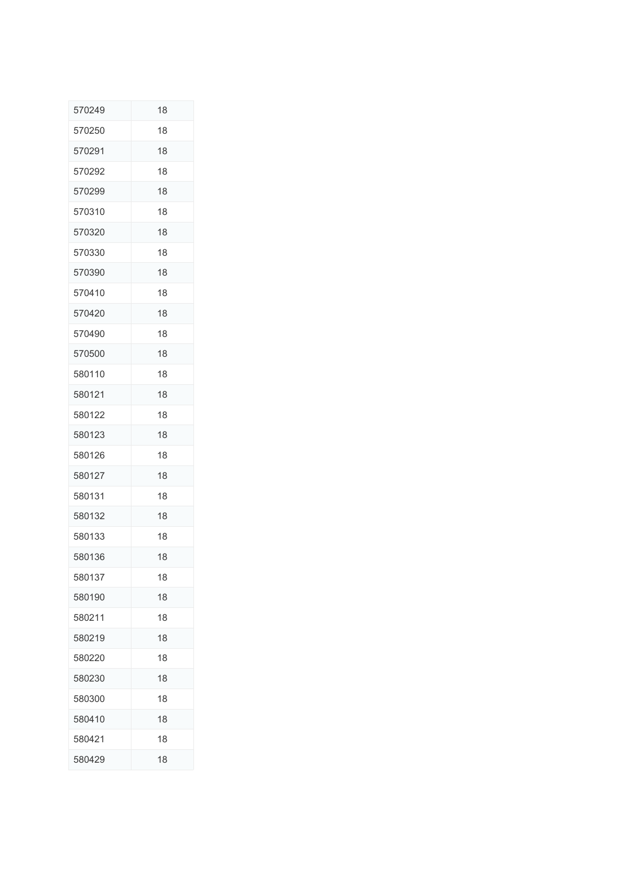| 570249 | 18 |
|--------|----|
| 570250 | 18 |
| 570291 | 18 |
| 570292 | 18 |
| 570299 | 18 |
| 570310 | 18 |
| 570320 | 18 |
| 570330 | 18 |
| 570390 | 18 |
| 570410 | 18 |
| 570420 | 18 |
| 570490 | 18 |
| 570500 | 18 |
| 580110 | 18 |
| 580121 | 18 |
| 580122 | 18 |
| 580123 | 18 |
| 580126 | 18 |
| 580127 | 18 |
| 580131 | 18 |
| 580132 | 18 |
| 580133 | 18 |
| 580136 | 18 |
| 580137 | 18 |
| 580190 | 18 |
| 580211 | 18 |
| 580219 | 18 |
| 580220 | 18 |
| 580230 | 18 |
| 580300 | 18 |
| 580410 | 18 |
| 580421 | 18 |
| 580429 | 18 |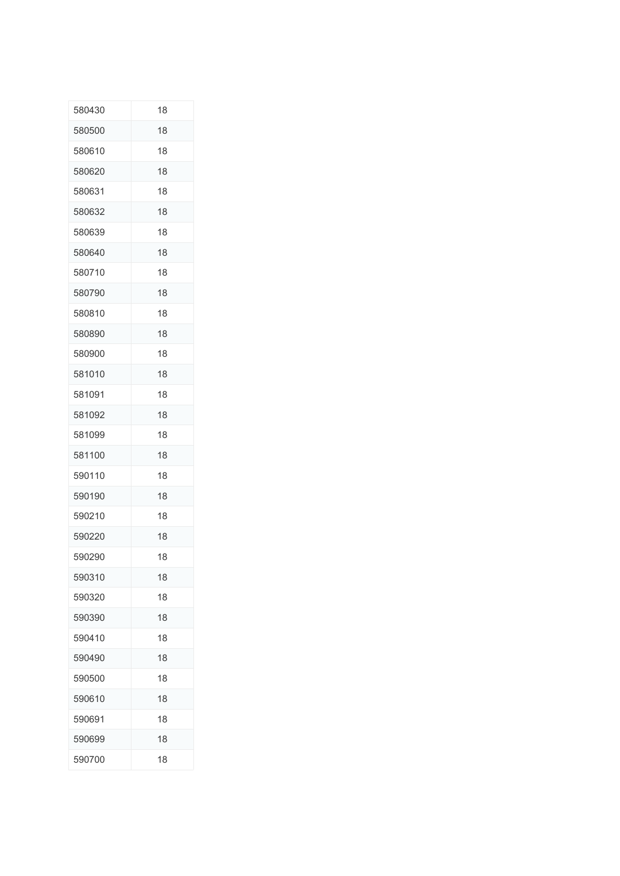| 580430 | 18 |
|--------|----|
| 580500 | 18 |
| 580610 | 18 |
| 580620 | 18 |
| 580631 | 18 |
| 580632 | 18 |
| 580639 | 18 |
| 580640 | 18 |
| 580710 | 18 |
| 580790 | 18 |
| 580810 | 18 |
| 580890 | 18 |
| 580900 | 18 |
| 581010 | 18 |
| 581091 | 18 |
| 581092 | 18 |
| 581099 | 18 |
| 581100 | 18 |
| 590110 | 18 |
| 590190 | 18 |
| 590210 | 18 |
| 590220 | 18 |
| 590290 | 18 |
| 590310 | 18 |
| 590320 | 18 |
| 590390 | 18 |
| 590410 | 18 |
| 590490 | 18 |
| 590500 | 18 |
| 590610 | 18 |
| 590691 | 18 |
| 590699 | 18 |
| 590700 | 18 |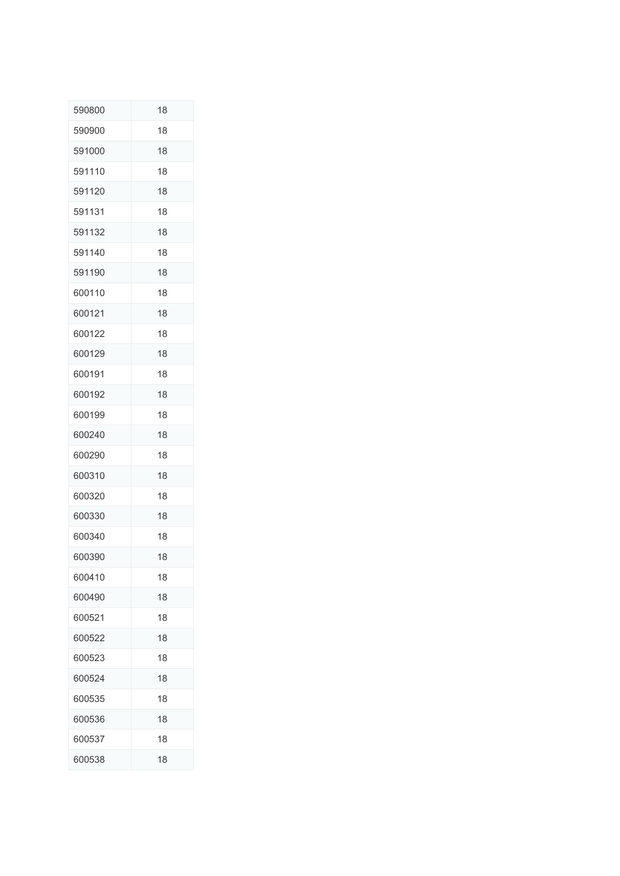| 590800 | 18 |
|--------|----|
| 590900 | 18 |
| 591000 | 18 |
| 591110 | 18 |
| 591120 | 18 |
| 591131 | 18 |
| 591132 | 18 |
| 591140 | 18 |
| 591190 | 18 |
| 600110 | 18 |
| 600121 | 18 |
| 600122 | 18 |
| 600129 | 18 |
| 600191 | 18 |
| 600192 | 18 |
| 600199 | 18 |
| 600240 | 18 |
| 600290 | 18 |
| 600310 | 18 |
| 600320 | 18 |
| 600330 | 18 |
| 600340 | 18 |
| 600390 | 18 |
| 600410 | 18 |
| 600490 | 18 |
| 600521 | 18 |
| 600522 | 18 |
| 600523 | 18 |
| 600524 | 18 |
| 600535 | 18 |
| 600536 | 18 |
| 600537 | 18 |
| 600538 | 18 |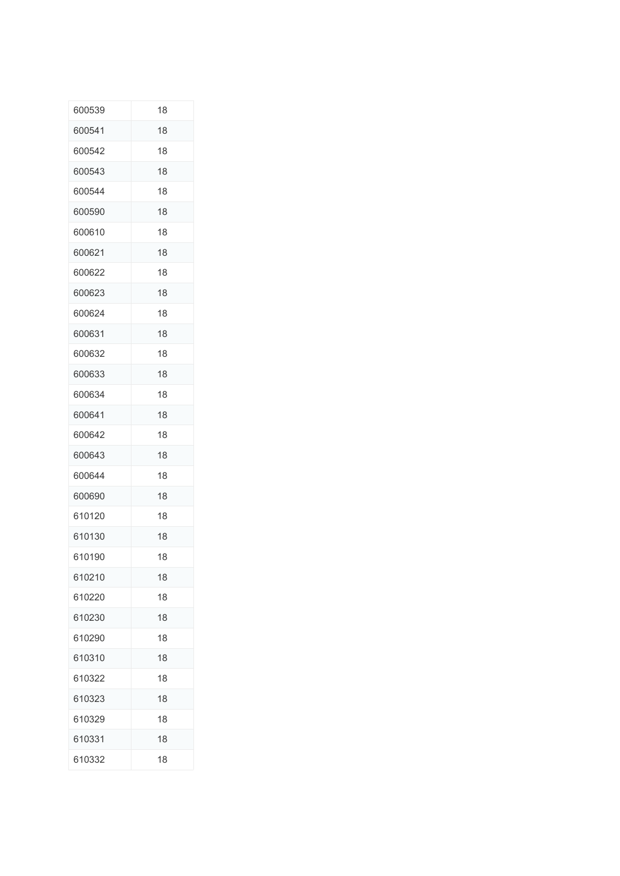| 600539 | 18 |
|--------|----|
| 600541 | 18 |
| 600542 | 18 |
| 600543 | 18 |
| 600544 | 18 |
| 600590 | 18 |
| 600610 | 18 |
| 600621 | 18 |
| 600622 | 18 |
| 600623 | 18 |
| 600624 | 18 |
| 600631 | 18 |
| 600632 | 18 |
| 600633 | 18 |
| 600634 | 18 |
| 600641 | 18 |
| 600642 | 18 |
| 600643 | 18 |
| 600644 | 18 |
| 600690 | 18 |
| 610120 | 18 |
| 610130 | 18 |
| 610190 | 18 |
| 610210 | 18 |
| 610220 | 18 |
| 610230 | 18 |
| 610290 | 18 |
| 610310 | 18 |
| 610322 | 18 |
| 610323 | 18 |
| 610329 | 18 |
| 610331 | 18 |
| 610332 | 18 |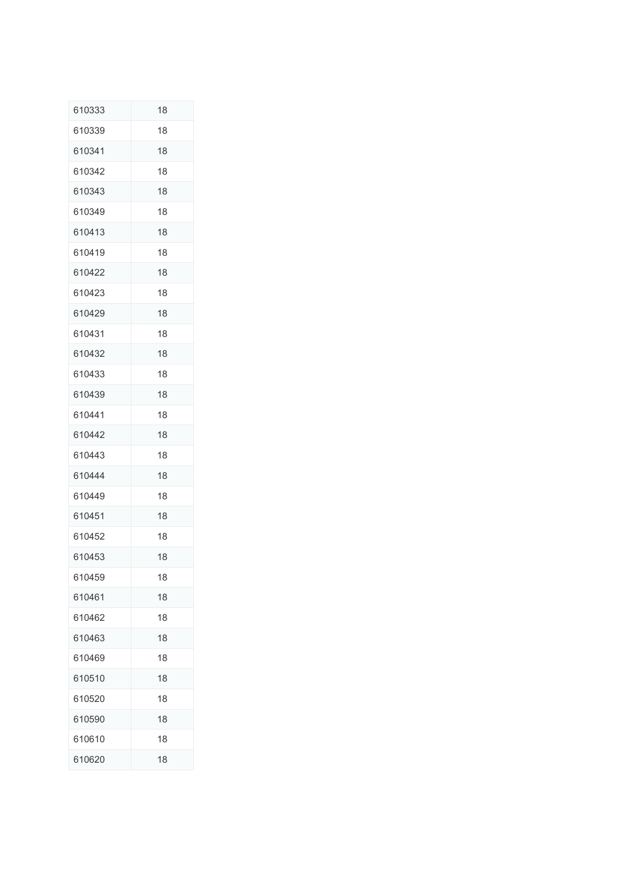| 610333 | 18 |
|--------|----|
| 610339 | 18 |
| 610341 | 18 |
| 610342 | 18 |
| 610343 | 18 |
| 610349 | 18 |
| 610413 | 18 |
| 610419 | 18 |
| 610422 | 18 |
| 610423 | 18 |
| 610429 | 18 |
| 610431 | 18 |
| 610432 | 18 |
| 610433 | 18 |
| 610439 | 18 |
| 610441 | 18 |
| 610442 | 18 |
| 610443 | 18 |
| 610444 | 18 |
| 610449 | 18 |
| 610451 | 18 |
| 610452 | 18 |
| 610453 | 18 |
| 610459 | 18 |
| 610461 | 18 |
| 610462 | 18 |
| 610463 | 18 |
| 610469 | 18 |
| 610510 | 18 |
| 610520 | 18 |
| 610590 | 18 |
| 610610 | 18 |
| 610620 | 18 |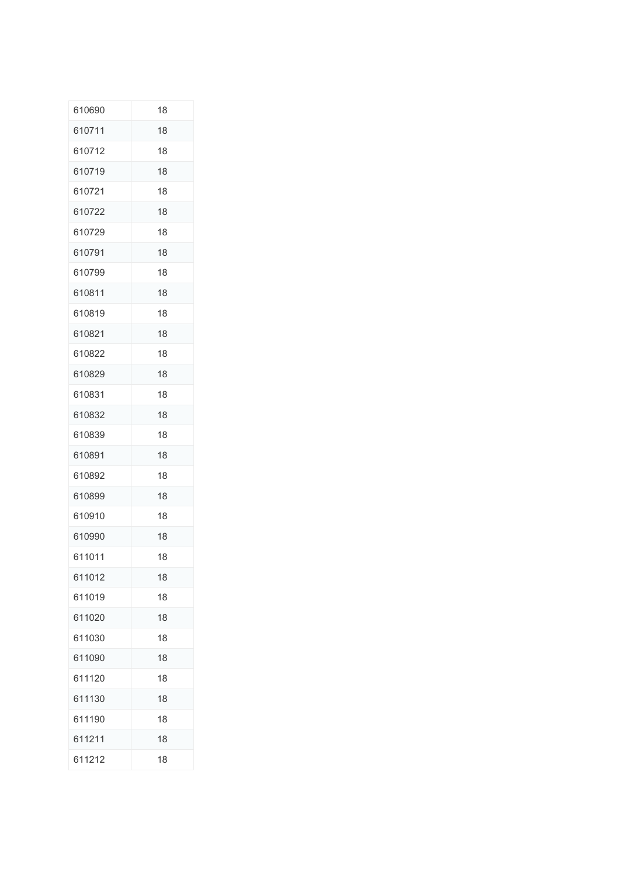| 610690 | 18 |
|--------|----|
| 610711 | 18 |
| 610712 | 18 |
| 610719 | 18 |
| 610721 | 18 |
| 610722 | 18 |
| 610729 | 18 |
| 610791 | 18 |
| 610799 | 18 |
| 610811 | 18 |
| 610819 | 18 |
| 610821 | 18 |
| 610822 | 18 |
| 610829 | 18 |
| 610831 | 18 |
| 610832 | 18 |
| 610839 | 18 |
| 610891 | 18 |
| 610892 | 18 |
| 610899 | 18 |
| 610910 | 18 |
| 610990 | 18 |
| 611011 | 18 |
| 611012 | 18 |
| 611019 | 18 |
| 611020 | 18 |
| 611030 | 18 |
| 611090 | 18 |
| 611120 | 18 |
| 611130 | 18 |
| 611190 | 18 |
| 611211 | 18 |
| 611212 | 18 |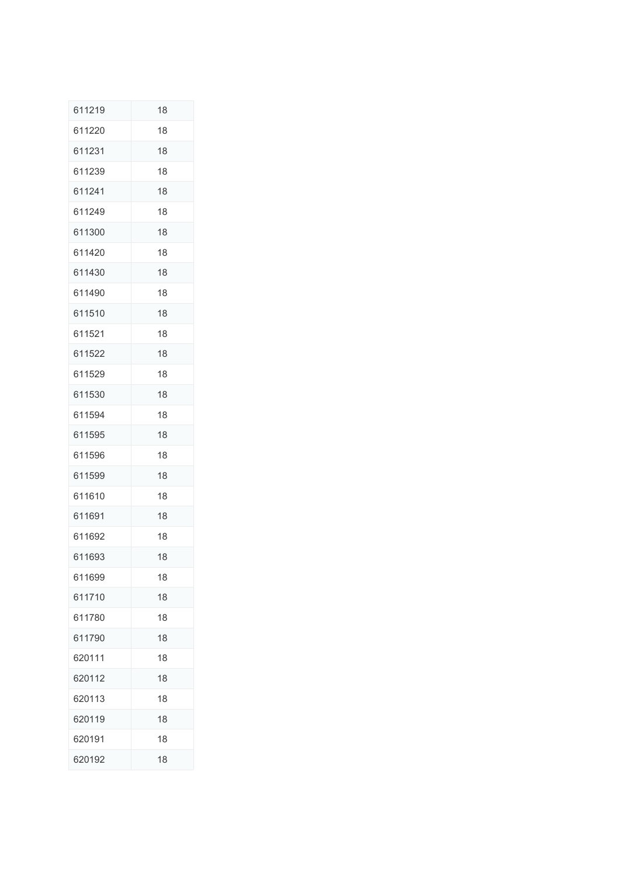| 611219 | 18 |
|--------|----|
| 611220 | 18 |
| 611231 | 18 |
| 611239 | 18 |
| 611241 | 18 |
| 611249 | 18 |
| 611300 | 18 |
| 611420 | 18 |
| 611430 | 18 |
| 611490 | 18 |
| 611510 | 18 |
| 611521 | 18 |
| 611522 | 18 |
| 611529 | 18 |
| 611530 | 18 |
| 611594 | 18 |
| 611595 | 18 |
| 611596 | 18 |
| 611599 | 18 |
| 611610 | 18 |
| 611691 | 18 |
| 611692 | 18 |
| 611693 | 18 |
| 611699 | 18 |
| 611710 | 18 |
| 611780 | 18 |
| 611790 | 18 |
| 620111 | 18 |
| 620112 | 18 |
| 620113 | 18 |
| 620119 | 18 |
| 620191 | 18 |
| 620192 | 18 |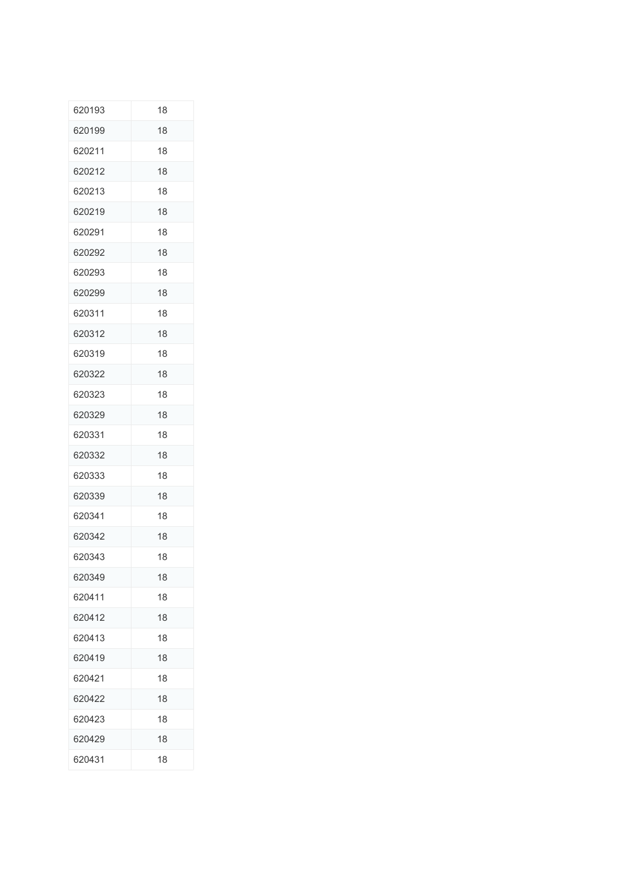| 620193 | 18 |
|--------|----|
| 620199 | 18 |
| 620211 | 18 |
| 620212 | 18 |
| 620213 | 18 |
| 620219 | 18 |
| 620291 | 18 |
| 620292 | 18 |
| 620293 | 18 |
| 620299 | 18 |
| 620311 | 18 |
| 620312 | 18 |
| 620319 | 18 |
| 620322 | 18 |
| 620323 | 18 |
| 620329 | 18 |
| 620331 | 18 |
| 620332 | 18 |
| 620333 | 18 |
| 620339 | 18 |
| 620341 | 18 |
| 620342 | 18 |
| 620343 | 18 |
| 620349 | 18 |
| 620411 | 18 |
| 620412 | 18 |
| 620413 | 18 |
| 620419 | 18 |
| 620421 | 18 |
| 620422 | 18 |
| 620423 | 18 |
| 620429 | 18 |
| 620431 | 18 |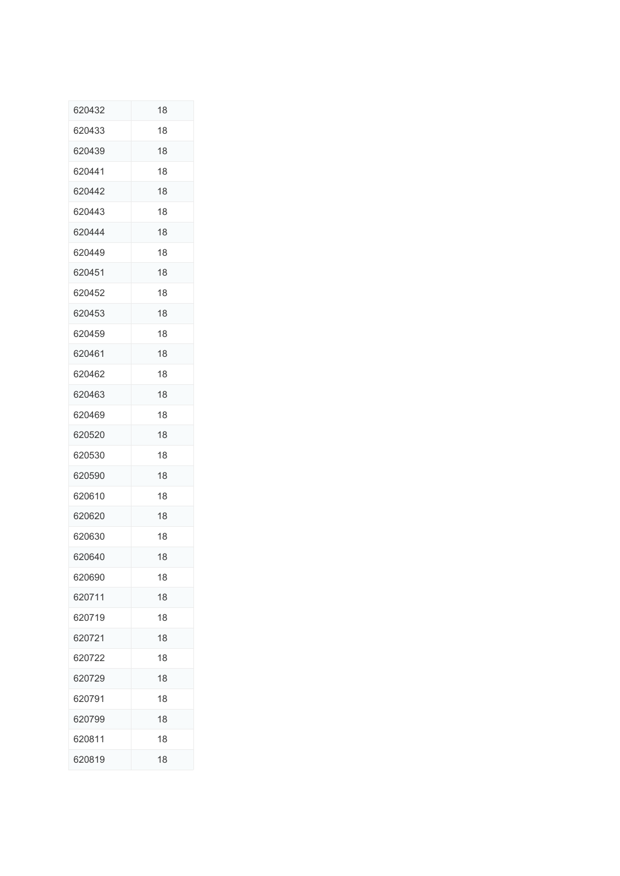| 620432 | 18 |
|--------|----|
| 620433 | 18 |
| 620439 | 18 |
| 620441 | 18 |
| 620442 | 18 |
| 620443 | 18 |
| 620444 | 18 |
| 620449 | 18 |
| 620451 | 18 |
| 620452 | 18 |
| 620453 | 18 |
| 620459 | 18 |
| 620461 | 18 |
| 620462 | 18 |
| 620463 | 18 |
| 620469 | 18 |
| 620520 | 18 |
| 620530 | 18 |
| 620590 | 18 |
| 620610 | 18 |
| 620620 | 18 |
| 620630 | 18 |
| 620640 | 18 |
| 620690 | 18 |
| 620711 | 18 |
| 620719 | 18 |
| 620721 | 18 |
| 620722 | 18 |
| 620729 | 18 |
| 620791 | 18 |
| 620799 | 18 |
| 620811 | 18 |
| 620819 | 18 |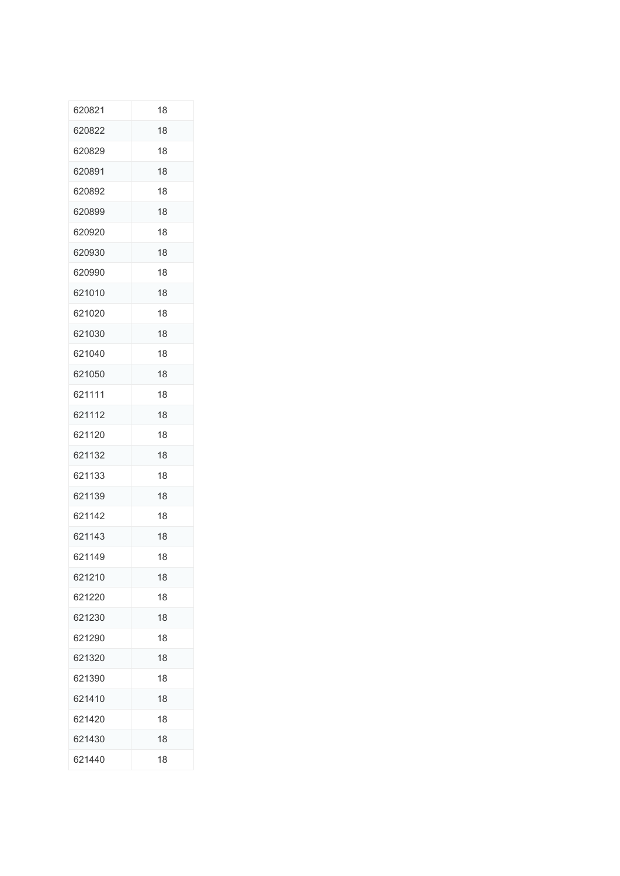| 620821 | 18 |
|--------|----|
| 620822 | 18 |
| 620829 | 18 |
| 620891 | 18 |
| 620892 | 18 |
| 620899 | 18 |
| 620920 | 18 |
| 620930 | 18 |
| 620990 | 18 |
| 621010 | 18 |
| 621020 | 18 |
| 621030 | 18 |
| 621040 | 18 |
| 621050 | 18 |
| 621111 | 18 |
| 621112 | 18 |
| 621120 | 18 |
| 621132 | 18 |
| 621133 | 18 |
| 621139 | 18 |
| 621142 | 18 |
| 621143 | 18 |
| 621149 | 18 |
| 621210 | 18 |
| 621220 | 18 |
| 621230 | 18 |
| 621290 | 18 |
| 621320 | 18 |
| 621390 | 18 |
| 621410 | 18 |
| 621420 | 18 |
| 621430 | 18 |
| 621440 | 18 |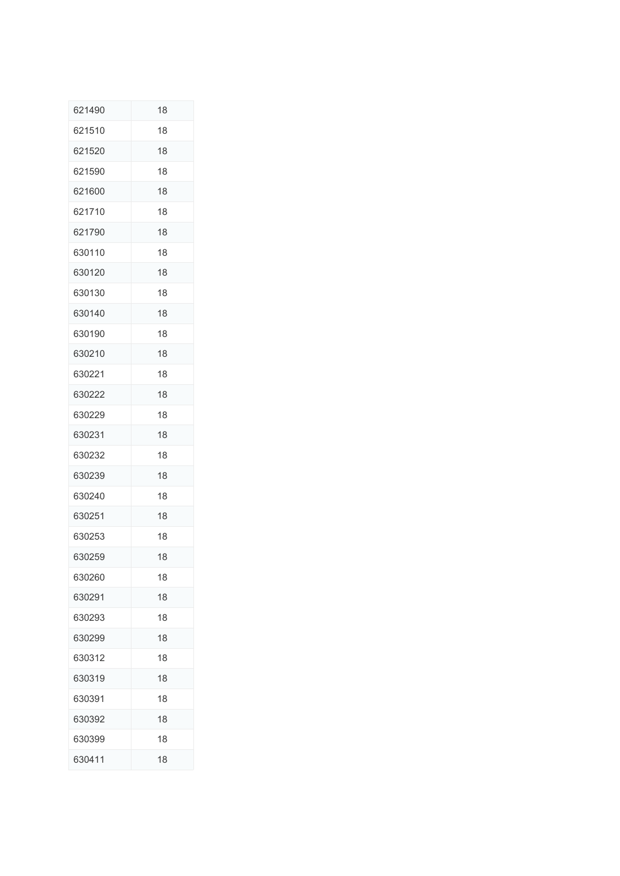| 621490 | 18 |
|--------|----|
| 621510 | 18 |
| 621520 | 18 |
| 621590 | 18 |
| 621600 | 18 |
| 621710 | 18 |
| 621790 | 18 |
| 630110 | 18 |
| 630120 | 18 |
| 630130 | 18 |
| 630140 | 18 |
| 630190 | 18 |
| 630210 | 18 |
| 630221 | 18 |
| 630222 | 18 |
| 630229 | 18 |
| 630231 | 18 |
| 630232 | 18 |
| 630239 | 18 |
| 630240 | 18 |
| 630251 | 18 |
| 630253 | 18 |
| 630259 | 18 |
| 630260 | 18 |
| 630291 | 18 |
| 630293 | 18 |
| 630299 | 18 |
| 630312 | 18 |
| 630319 | 18 |
| 630391 | 18 |
| 630392 | 18 |
| 630399 | 18 |
| 630411 | 18 |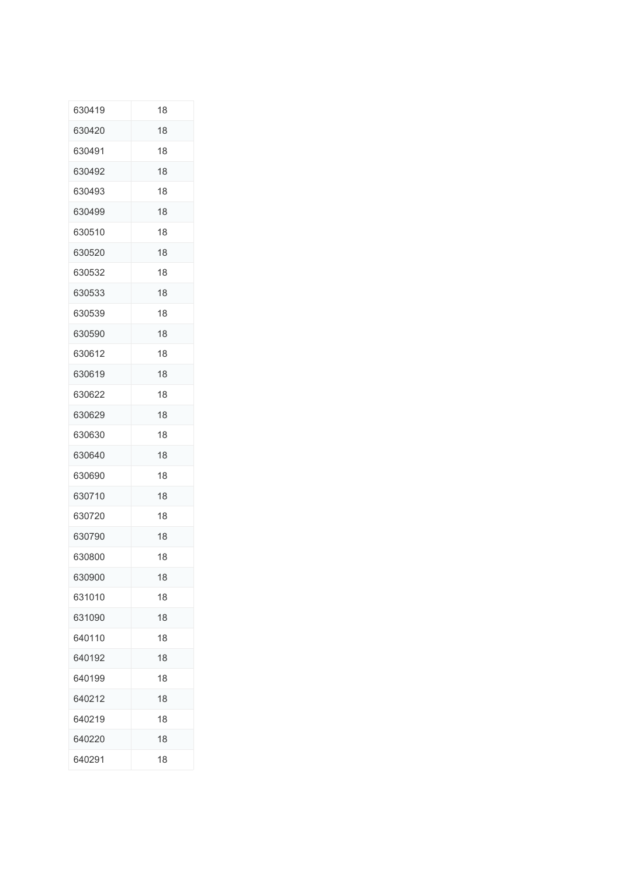| 630419 | 18 |
|--------|----|
| 630420 | 18 |
| 630491 | 18 |
| 630492 | 18 |
| 630493 | 18 |
| 630499 | 18 |
| 630510 | 18 |
| 630520 | 18 |
| 630532 | 18 |
| 630533 | 18 |
| 630539 | 18 |
| 630590 | 18 |
| 630612 | 18 |
| 630619 | 18 |
| 630622 | 18 |
| 630629 | 18 |
| 630630 | 18 |
| 630640 | 18 |
| 630690 | 18 |
| 630710 | 18 |
| 630720 | 18 |
| 630790 | 18 |
| 630800 | 18 |
| 630900 | 18 |
| 631010 | 18 |
| 631090 | 18 |
| 640110 | 18 |
| 640192 | 18 |
| 640199 | 18 |
| 640212 | 18 |
| 640219 | 18 |
| 640220 | 18 |
| 640291 | 18 |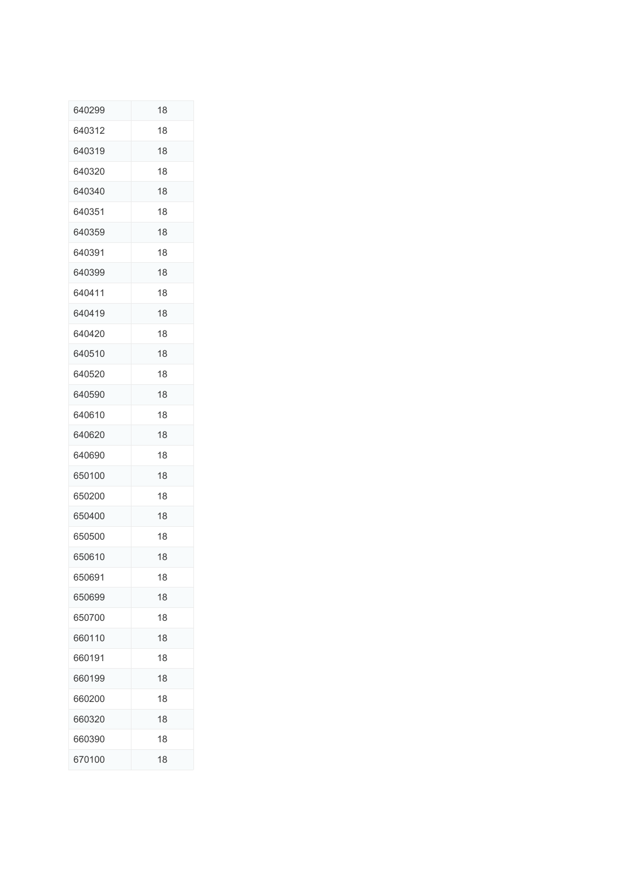| 640299 | 18 |
|--------|----|
| 640312 | 18 |
| 640319 | 18 |
| 640320 | 18 |
| 640340 | 18 |
| 640351 | 18 |
| 640359 | 18 |
| 640391 | 18 |
| 640399 | 18 |
| 640411 | 18 |
| 640419 | 18 |
| 640420 | 18 |
| 640510 | 18 |
| 640520 | 18 |
| 640590 | 18 |
| 640610 | 18 |
| 640620 | 18 |
| 640690 | 18 |
| 650100 | 18 |
| 650200 | 18 |
| 650400 | 18 |
| 650500 | 18 |
| 650610 | 18 |
| 650691 | 18 |
| 650699 | 18 |
| 650700 | 18 |
| 660110 | 18 |
| 660191 | 18 |
| 660199 | 18 |
| 660200 | 18 |
| 660320 | 18 |
| 660390 | 18 |
| 670100 | 18 |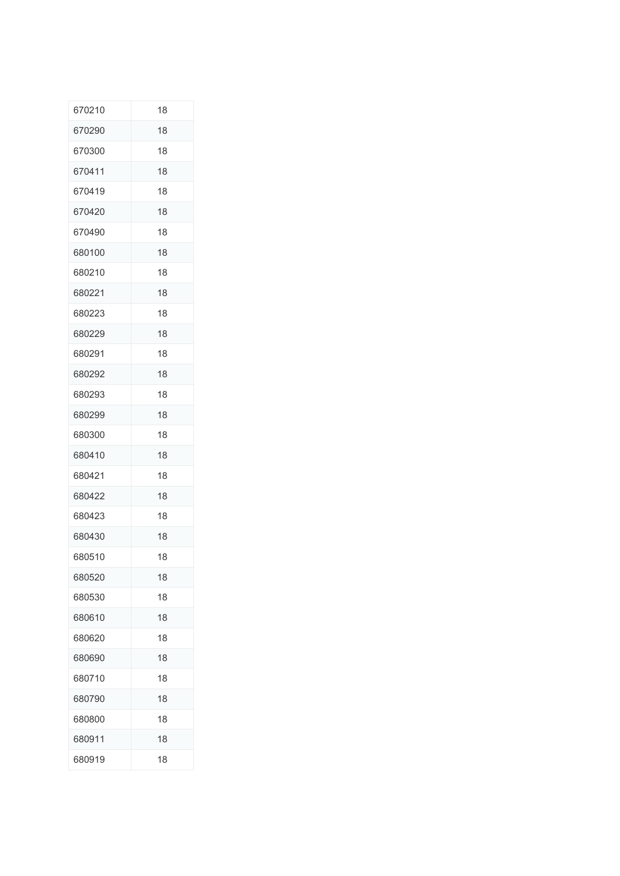| 670210 | 18 |
|--------|----|
| 670290 | 18 |
| 670300 | 18 |
| 670411 | 18 |
| 670419 | 18 |
| 670420 | 18 |
| 670490 | 18 |
| 680100 | 18 |
| 680210 | 18 |
| 680221 | 18 |
| 680223 | 18 |
| 680229 | 18 |
| 680291 | 18 |
| 680292 | 18 |
| 680293 | 18 |
| 680299 | 18 |
| 680300 | 18 |
| 680410 | 18 |
| 680421 | 18 |
| 680422 | 18 |
| 680423 | 18 |
| 680430 | 18 |
| 680510 | 18 |
| 680520 | 18 |
| 680530 | 18 |
| 680610 | 18 |
| 680620 | 18 |
| 680690 | 18 |
| 680710 | 18 |
| 680790 | 18 |
| 680800 | 18 |
| 680911 | 18 |
| 680919 | 18 |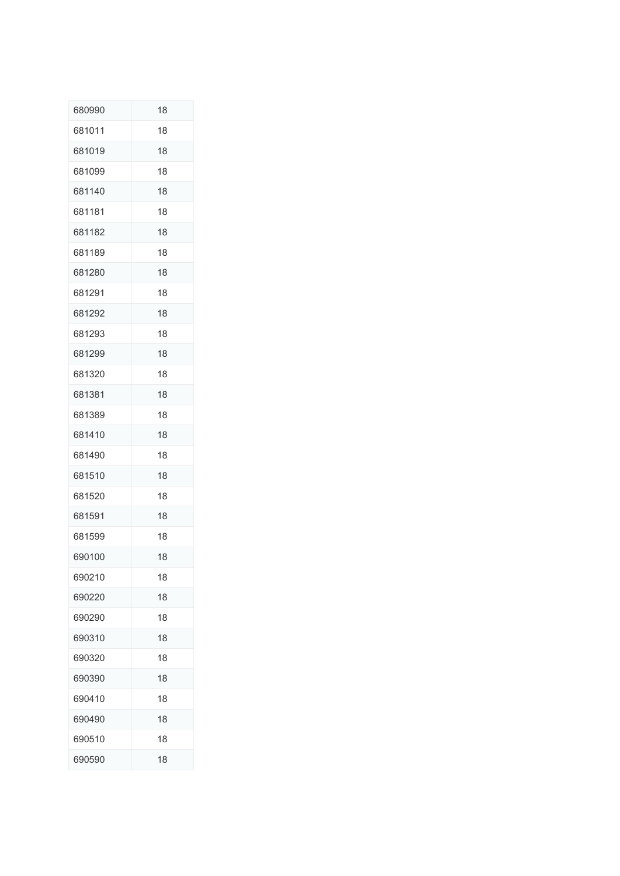| 680990 | 18 |
|--------|----|
| 681011 | 18 |
| 681019 | 18 |
| 681099 | 18 |
| 681140 | 18 |
| 681181 | 18 |
| 681182 | 18 |
| 681189 | 18 |
| 681280 | 18 |
| 681291 | 18 |
| 681292 | 18 |
| 681293 | 18 |
| 681299 | 18 |
| 681320 | 18 |
| 681381 | 18 |
| 681389 | 18 |
| 681410 | 18 |
| 681490 | 18 |
| 681510 | 18 |
| 681520 | 18 |
| 681591 | 18 |
| 681599 | 18 |
| 690100 | 18 |
| 690210 | 18 |
| 690220 | 18 |
| 690290 | 18 |
| 690310 | 18 |
| 690320 | 18 |
| 690390 | 18 |
| 690410 | 18 |
| 690490 | 18 |
| 690510 | 18 |
| 690590 | 18 |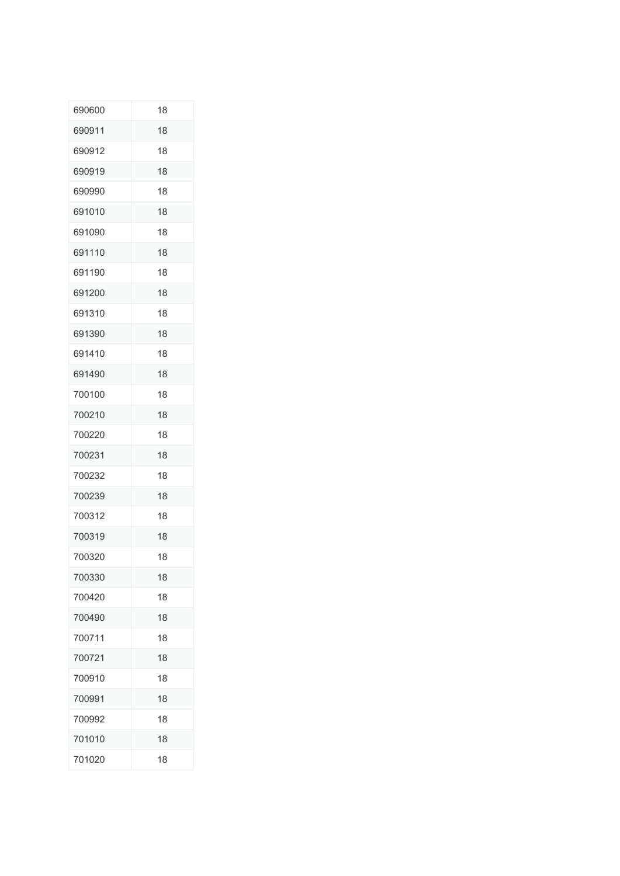| 690600 | 18 |
|--------|----|
| 690911 | 18 |
| 690912 | 18 |
| 690919 | 18 |
| 690990 | 18 |
| 691010 | 18 |
| 691090 | 18 |
| 691110 | 18 |
| 691190 | 18 |
| 691200 | 18 |
| 691310 | 18 |
| 691390 | 18 |
| 691410 | 18 |
| 691490 | 18 |
| 700100 | 18 |
| 700210 | 18 |
| 700220 | 18 |
| 700231 | 18 |
| 700232 | 18 |
| 700239 | 18 |
| 700312 | 18 |
| 700319 | 18 |
| 700320 | 18 |
| 700330 | 18 |
| 700420 | 18 |
| 700490 | 18 |
| 700711 | 18 |
| 700721 | 18 |
| 700910 | 18 |
| 700991 | 18 |
| 700992 | 18 |
| 701010 | 18 |
| 701020 | 18 |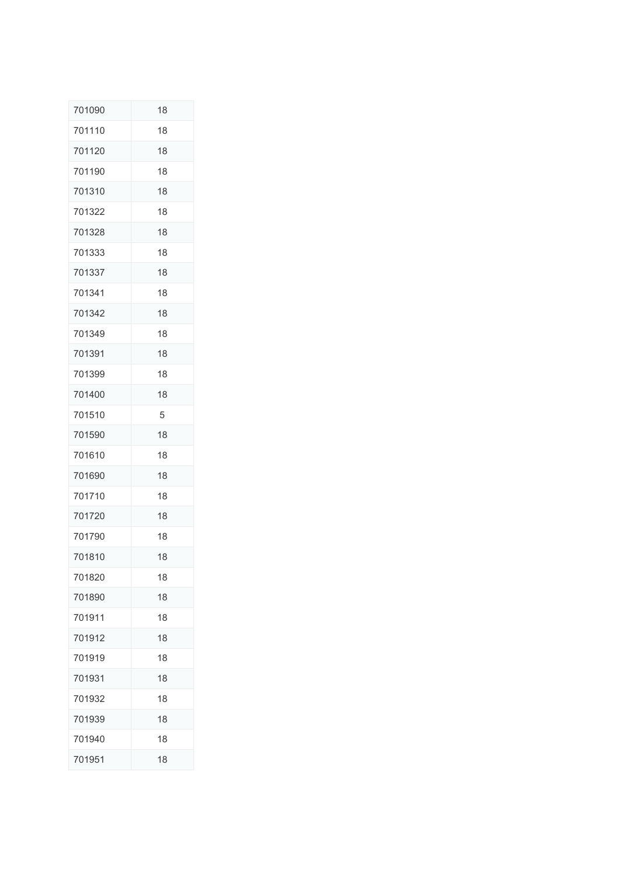| 701090 | 18 |
|--------|----|
| 701110 | 18 |
| 701120 | 18 |
| 701190 | 18 |
| 701310 | 18 |
| 701322 | 18 |
| 701328 | 18 |
| 701333 | 18 |
| 701337 | 18 |
| 701341 | 18 |
| 701342 | 18 |
| 701349 | 18 |
| 701391 | 18 |
| 701399 | 18 |
| 701400 | 18 |
| 701510 | 5  |
| 701590 | 18 |
| 701610 | 18 |
| 701690 | 18 |
| 701710 | 18 |
| 701720 | 18 |
| 701790 | 18 |
| 701810 | 18 |
| 701820 | 18 |
| 701890 | 18 |
| 701911 | 18 |
| 701912 | 18 |
| 701919 | 18 |
| 701931 | 18 |
| 701932 | 18 |
| 701939 | 18 |
| 701940 | 18 |
| 701951 | 18 |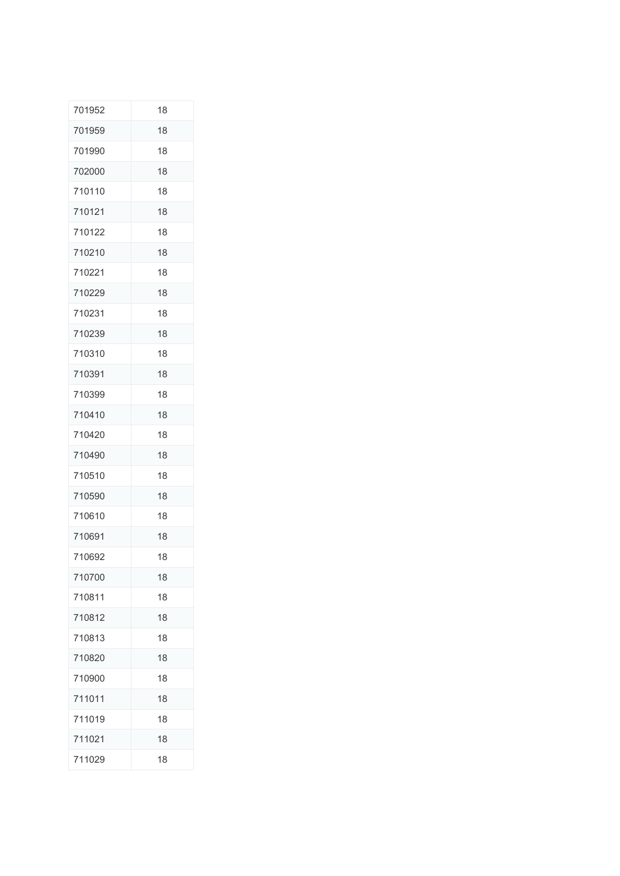| 701952 | 18 |
|--------|----|
| 701959 | 18 |
| 701990 | 18 |
| 702000 | 18 |
| 710110 | 18 |
| 710121 | 18 |
| 710122 | 18 |
| 710210 | 18 |
| 710221 | 18 |
| 710229 | 18 |
| 710231 | 18 |
| 710239 | 18 |
| 710310 | 18 |
| 710391 | 18 |
| 710399 | 18 |
| 710410 | 18 |
| 710420 | 18 |
| 710490 | 18 |
| 710510 | 18 |
| 710590 | 18 |
| 710610 | 18 |
| 710691 | 18 |
| 710692 | 18 |
| 710700 | 18 |
| 710811 | 18 |
| 710812 | 18 |
| 710813 | 18 |
| 710820 | 18 |
| 710900 | 18 |
| 711011 | 18 |
| 711019 | 18 |
| 711021 | 18 |
| 711029 | 18 |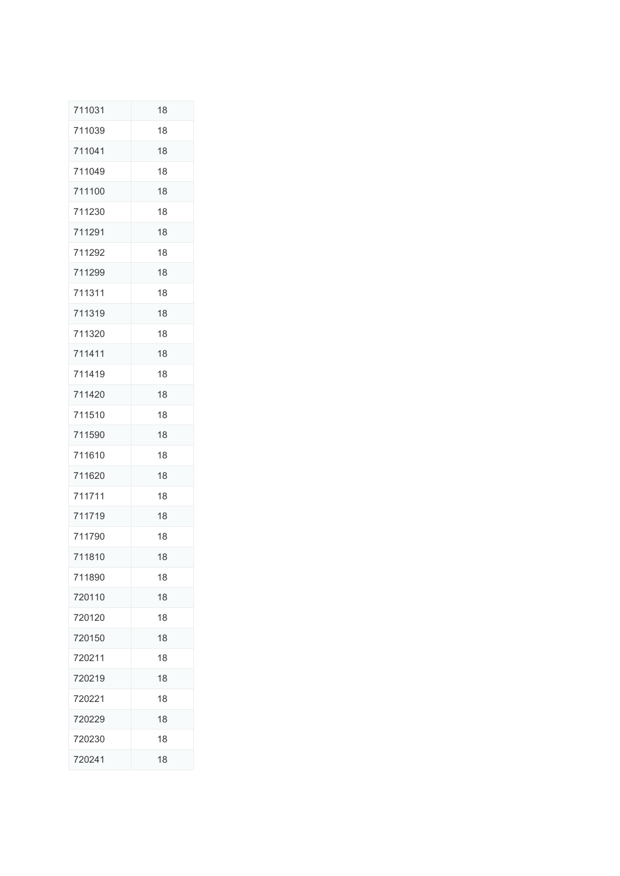| 711031 | 18 |
|--------|----|
| 711039 | 18 |
| 711041 | 18 |
| 711049 | 18 |
| 711100 | 18 |
| 711230 | 18 |
| 711291 | 18 |
| 711292 | 18 |
| 711299 | 18 |
| 711311 | 18 |
| 711319 | 18 |
| 711320 | 18 |
| 711411 | 18 |
| 711419 | 18 |
| 711420 | 18 |
| 711510 | 18 |
| 711590 | 18 |
| 711610 | 18 |
| 711620 | 18 |
| 711711 | 18 |
| 711719 | 18 |
| 711790 | 18 |
| 711810 | 18 |
| 711890 | 18 |
| 720110 | 18 |
| 720120 | 18 |
| 720150 | 18 |
| 720211 | 18 |
| 720219 | 18 |
| 720221 | 18 |
| 720229 | 18 |
| 720230 | 18 |
| 720241 | 18 |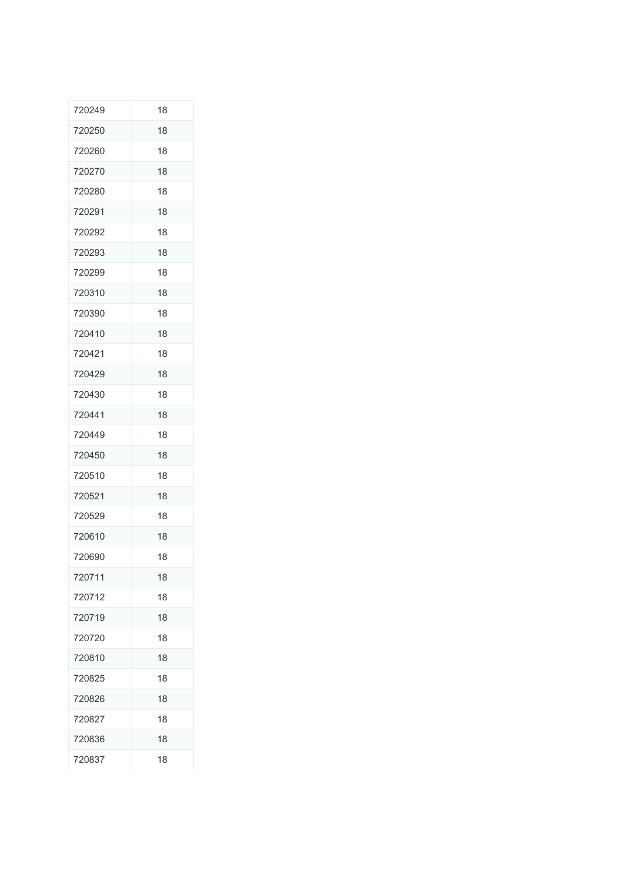| 720249 | 18 |
|--------|----|
| 720250 | 18 |
| 720260 | 18 |
| 720270 | 18 |
| 720280 | 18 |
| 720291 | 18 |
| 720292 | 18 |
| 720293 | 18 |
| 720299 | 18 |
| 720310 | 18 |
| 720390 | 18 |
| 720410 | 18 |
| 720421 | 18 |
| 720429 | 18 |
| 720430 | 18 |
| 720441 | 18 |
| 720449 | 18 |
| 720450 | 18 |
| 720510 | 18 |
| 720521 | 18 |
| 720529 | 18 |
| 720610 | 18 |
| 720690 | 18 |
| 720711 | 18 |
| 720712 | 18 |
| 720719 | 18 |
| 720720 | 18 |
| 720810 | 18 |
| 720825 | 18 |
| 720826 | 18 |
| 720827 | 18 |
| 720836 | 18 |
| 720837 | 18 |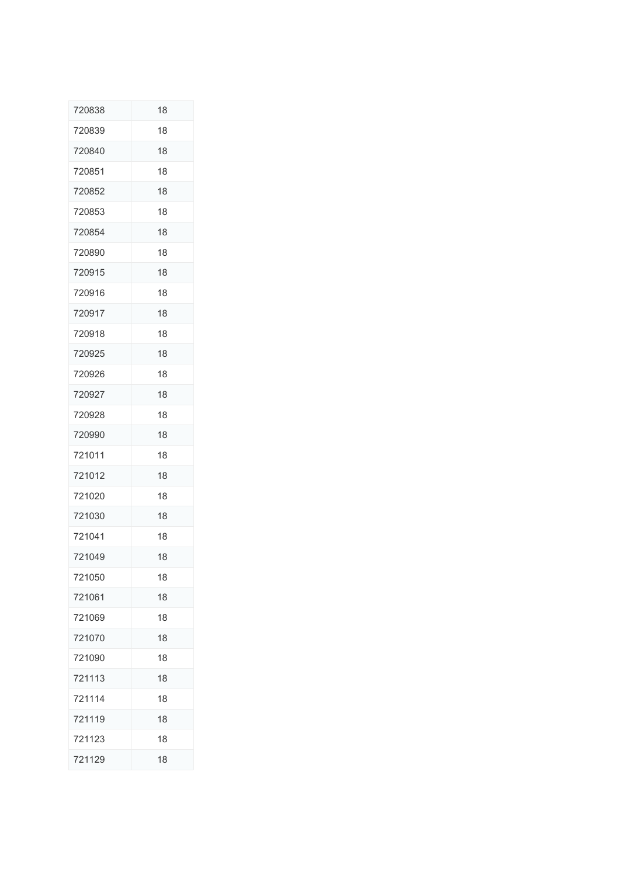| 720838 | 18 |
|--------|----|
| 720839 | 18 |
| 720840 | 18 |
| 720851 | 18 |
| 720852 | 18 |
| 720853 | 18 |
| 720854 | 18 |
| 720890 | 18 |
| 720915 | 18 |
| 720916 | 18 |
| 720917 | 18 |
| 720918 | 18 |
| 720925 | 18 |
| 720926 | 18 |
| 720927 | 18 |
| 720928 | 18 |
| 720990 | 18 |
| 721011 | 18 |
| 721012 | 18 |
| 721020 | 18 |
| 721030 | 18 |
| 721041 | 18 |
| 721049 | 18 |
| 721050 | 18 |
| 721061 | 18 |
| 721069 | 18 |
| 721070 | 18 |
| 721090 | 18 |
| 721113 | 18 |
| 721114 | 18 |
| 721119 | 18 |
| 721123 | 18 |
| 721129 | 18 |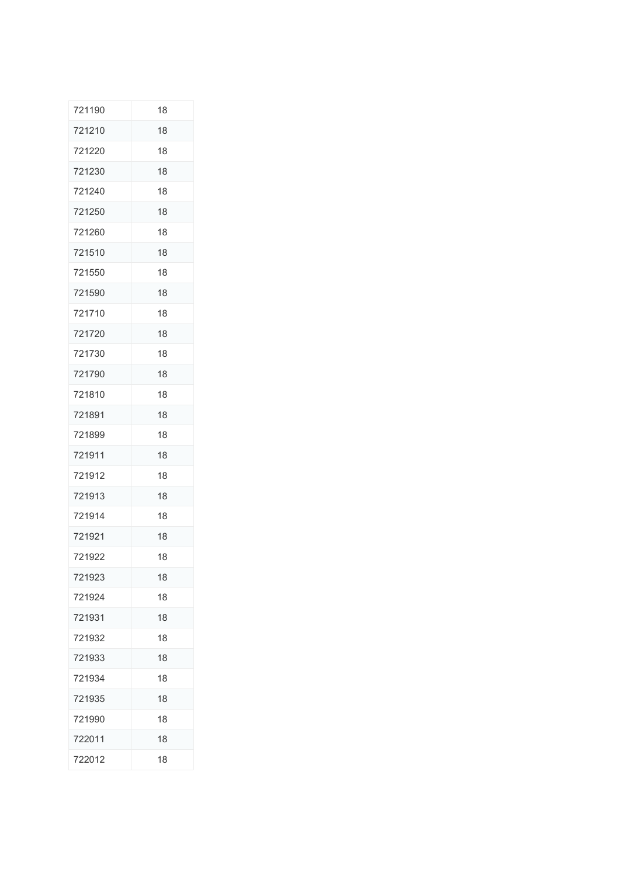| 721190 | 18 |
|--------|----|
| 721210 | 18 |
| 721220 | 18 |
| 721230 | 18 |
| 721240 | 18 |
| 721250 | 18 |
| 721260 | 18 |
| 721510 | 18 |
| 721550 | 18 |
| 721590 | 18 |
| 721710 | 18 |
| 721720 | 18 |
| 721730 | 18 |
| 721790 | 18 |
| 721810 | 18 |
| 721891 | 18 |
| 721899 | 18 |
| 721911 | 18 |
| 721912 | 18 |
| 721913 | 18 |
| 721914 | 18 |
| 721921 | 18 |
| 721922 | 18 |
| 721923 | 18 |
| 721924 | 18 |
| 721931 | 18 |
| 721932 | 18 |
| 721933 | 18 |
| 721934 | 18 |
| 721935 | 18 |
| 721990 | 18 |
| 722011 | 18 |
| 722012 | 18 |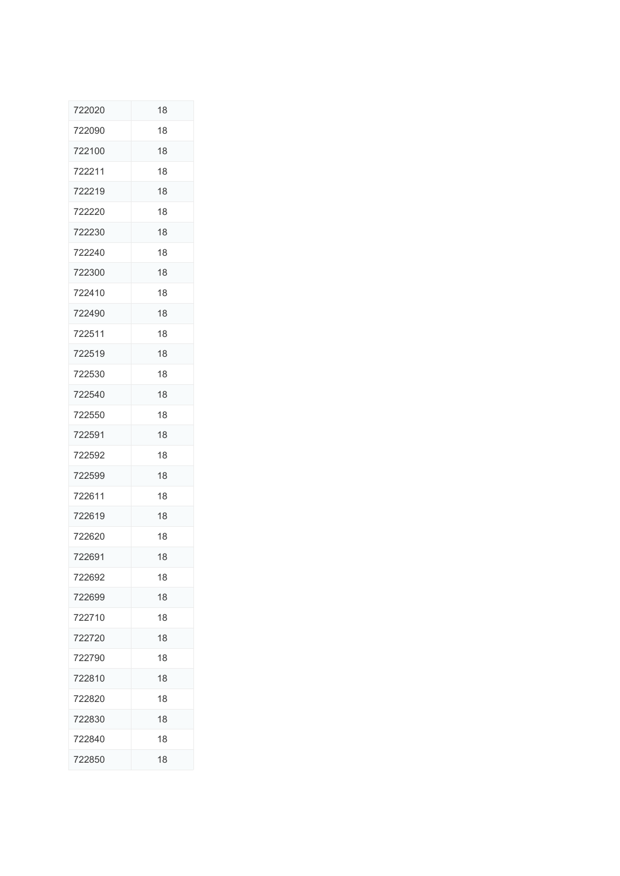| 722020 | 18 |
|--------|----|
| 722090 | 18 |
| 722100 | 18 |
| 722211 | 18 |
| 722219 | 18 |
| 722220 | 18 |
| 722230 | 18 |
| 722240 | 18 |
| 722300 | 18 |
| 722410 | 18 |
| 722490 | 18 |
| 722511 | 18 |
| 722519 | 18 |
| 722530 | 18 |
| 722540 | 18 |
| 722550 | 18 |
| 722591 | 18 |
| 722592 | 18 |
| 722599 | 18 |
| 722611 | 18 |
| 722619 | 18 |
| 722620 | 18 |
| 722691 | 18 |
| 722692 | 18 |
| 722699 | 18 |
| 722710 | 18 |
| 722720 | 18 |
| 722790 | 18 |
| 722810 | 18 |
| 722820 | 18 |
| 722830 | 18 |
| 722840 | 18 |
| 722850 | 18 |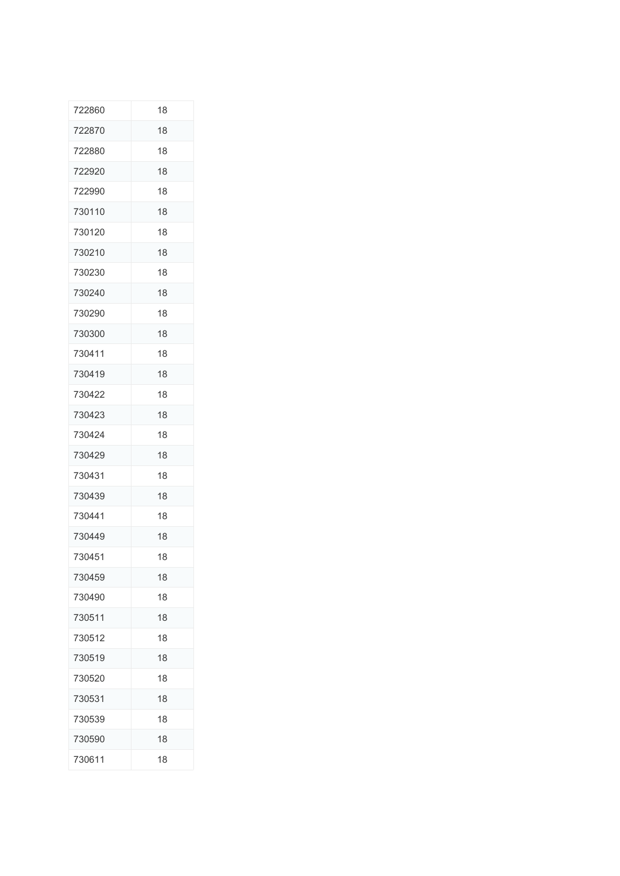| 722860 | 18 |
|--------|----|
| 722870 | 18 |
| 722880 | 18 |
| 722920 | 18 |
| 722990 | 18 |
| 730110 | 18 |
| 730120 | 18 |
| 730210 | 18 |
| 730230 | 18 |
| 730240 | 18 |
| 730290 | 18 |
| 730300 | 18 |
| 730411 | 18 |
| 730419 | 18 |
| 730422 | 18 |
| 730423 | 18 |
| 730424 | 18 |
| 730429 | 18 |
| 730431 | 18 |
| 730439 | 18 |
| 730441 | 18 |
| 730449 | 18 |
| 730451 | 18 |
| 730459 | 18 |
| 730490 | 18 |
| 730511 | 18 |
| 730512 | 18 |
| 730519 | 18 |
| 730520 | 18 |
| 730531 | 18 |
| 730539 | 18 |
| 730590 | 18 |
| 730611 | 18 |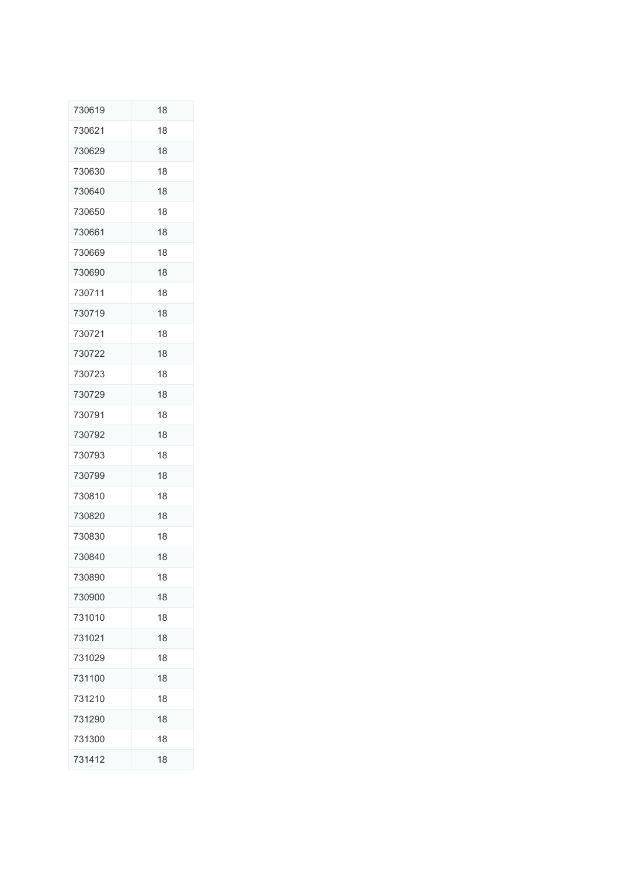| 730619 | 18 |
|--------|----|
| 730621 | 18 |
| 730629 | 18 |
| 730630 | 18 |
| 730640 | 18 |
| 730650 | 18 |
| 730661 | 18 |
| 730669 | 18 |
| 730690 | 18 |
| 730711 | 18 |
| 730719 | 18 |
| 730721 | 18 |
| 730722 | 18 |
| 730723 | 18 |
| 730729 | 18 |
| 730791 | 18 |
| 730792 | 18 |
| 730793 | 18 |
| 730799 | 18 |
| 730810 | 18 |
| 730820 | 18 |
| 730830 | 18 |
| 730840 | 18 |
| 730890 | 18 |
| 730900 | 18 |
| 731010 | 18 |
| 731021 | 18 |
| 731029 | 18 |
| 731100 | 18 |
| 731210 | 18 |
| 731290 | 18 |
| 731300 | 18 |
| 731412 | 18 |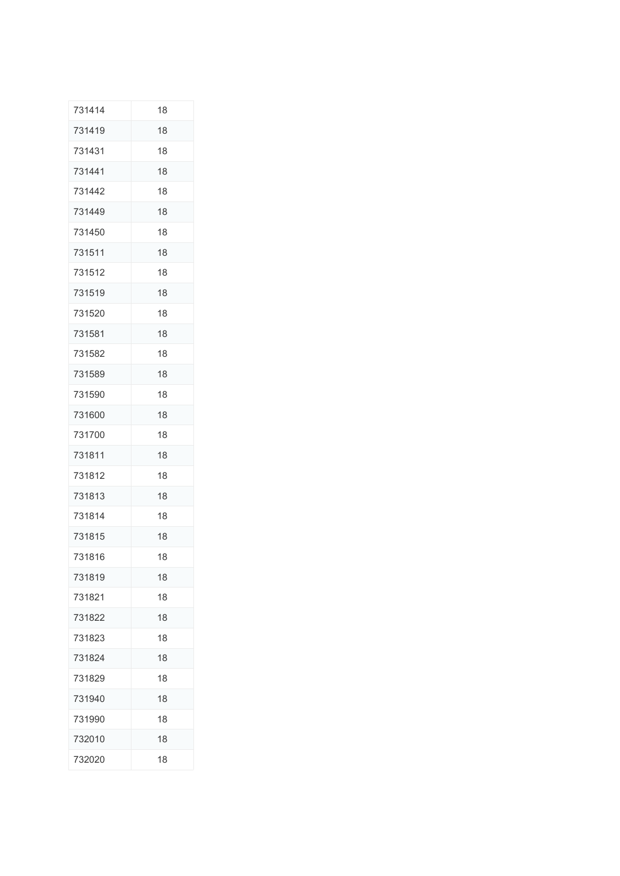| 731414 | 18 |
|--------|----|
| 731419 | 18 |
| 731431 | 18 |
| 731441 | 18 |
| 731442 | 18 |
| 731449 | 18 |
| 731450 | 18 |
| 731511 | 18 |
| 731512 | 18 |
| 731519 | 18 |
| 731520 | 18 |
| 731581 | 18 |
| 731582 | 18 |
| 731589 | 18 |
| 731590 | 18 |
| 731600 | 18 |
| 731700 | 18 |
| 731811 | 18 |
| 731812 | 18 |
| 731813 | 18 |
| 731814 | 18 |
| 731815 | 18 |
| 731816 | 18 |
| 731819 | 18 |
| 731821 | 18 |
| 731822 | 18 |
| 731823 | 18 |
| 731824 | 18 |
| 731829 | 18 |
| 731940 | 18 |
| 731990 | 18 |
| 732010 | 18 |
| 732020 | 18 |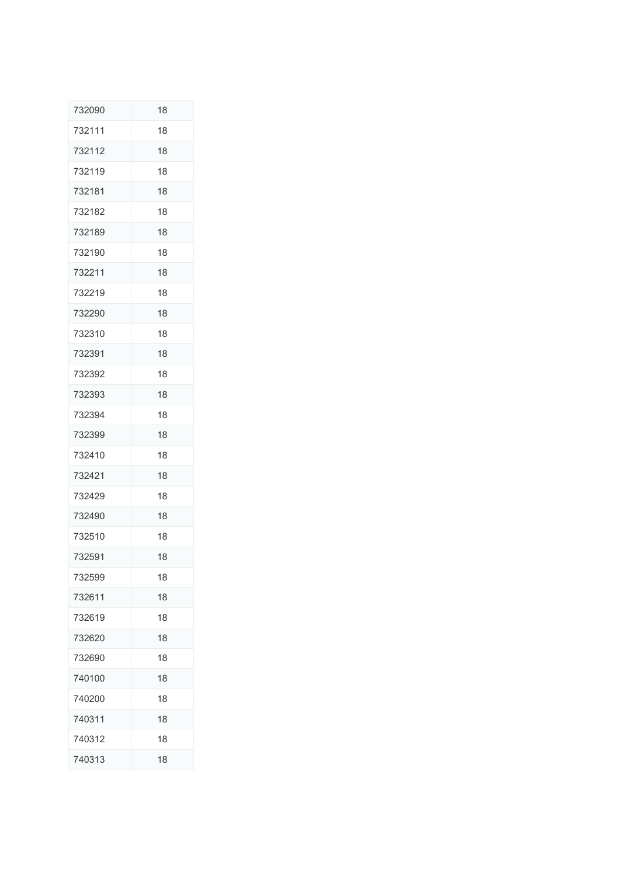| 732090 | 18 |
|--------|----|
| 732111 | 18 |
| 732112 | 18 |
| 732119 | 18 |
| 732181 | 18 |
| 732182 | 18 |
| 732189 | 18 |
| 732190 | 18 |
| 732211 | 18 |
| 732219 | 18 |
| 732290 | 18 |
| 732310 | 18 |
| 732391 | 18 |
| 732392 | 18 |
| 732393 | 18 |
| 732394 | 18 |
| 732399 | 18 |
| 732410 | 18 |
| 732421 | 18 |
| 732429 | 18 |
| 732490 | 18 |
| 732510 | 18 |
| 732591 | 18 |
| 732599 | 18 |
| 732611 | 18 |
| 732619 | 18 |
| 732620 | 18 |
| 732690 | 18 |
| 740100 | 18 |
| 740200 | 18 |
| 740311 | 18 |
| 740312 | 18 |
| 740313 | 18 |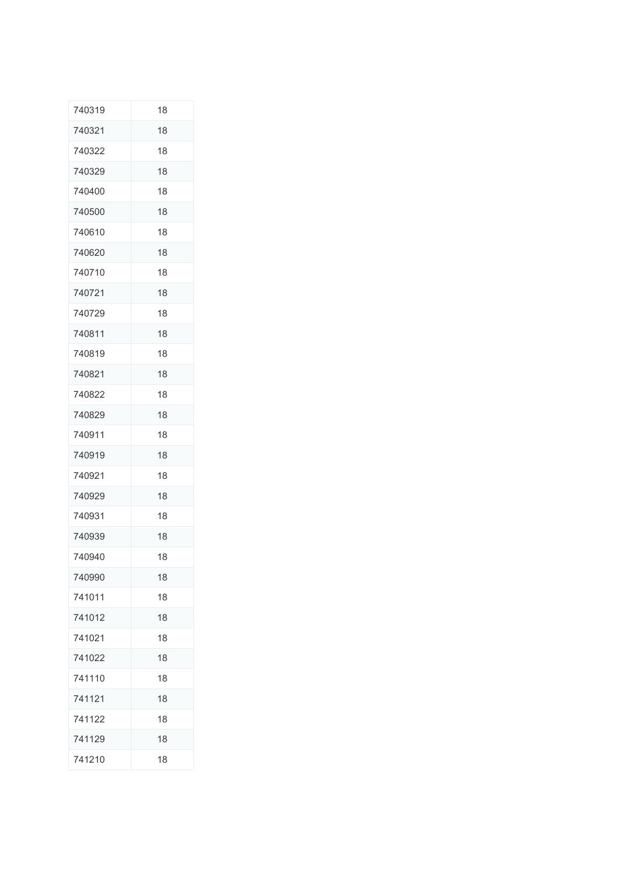| 740319 | 18 |
|--------|----|
| 740321 | 18 |
| 740322 | 18 |
| 740329 | 18 |
| 740400 | 18 |
| 740500 | 18 |
| 740610 | 18 |
| 740620 | 18 |
| 740710 | 18 |
| 740721 | 18 |
| 740729 | 18 |
| 740811 | 18 |
| 740819 | 18 |
| 740821 | 18 |
| 740822 | 18 |
| 740829 | 18 |
| 740911 | 18 |
| 740919 | 18 |
| 740921 | 18 |
| 740929 | 18 |
| 740931 | 18 |
| 740939 | 18 |
| 740940 | 18 |
| 740990 | 18 |
| 741011 | 18 |
| 741012 | 18 |
| 741021 | 18 |
| 741022 | 18 |
| 741110 | 18 |
| 741121 | 18 |
| 741122 | 18 |
| 741129 | 18 |
| 741210 | 18 |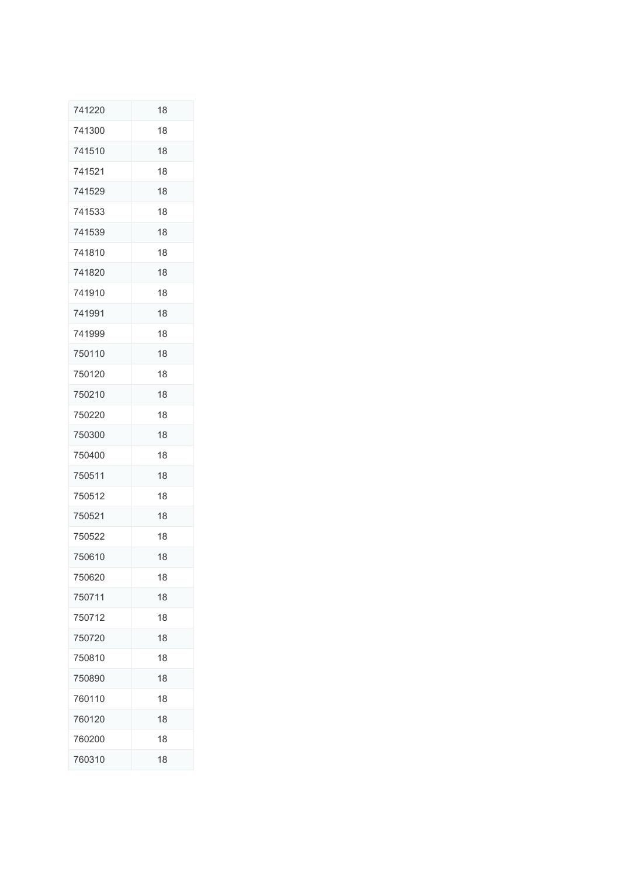| 741220 | 18 |
|--------|----|
| 741300 | 18 |
| 741510 | 18 |
| 741521 | 18 |
| 741529 | 18 |
| 741533 | 18 |
| 741539 | 18 |
| 741810 | 18 |
| 741820 | 18 |
| 741910 | 18 |
| 741991 | 18 |
| 741999 | 18 |
| 750110 | 18 |
| 750120 | 18 |
| 750210 | 18 |
| 750220 | 18 |
| 750300 | 18 |
| 750400 | 18 |
| 750511 | 18 |
| 750512 | 18 |
| 750521 | 18 |
| 750522 | 18 |
| 750610 | 18 |
| 750620 | 18 |
| 750711 | 18 |
| 750712 | 18 |
| 750720 | 18 |
| 750810 | 18 |
| 750890 | 18 |
| 760110 | 18 |
| 760120 | 18 |
| 760200 | 18 |
| 760310 | 18 |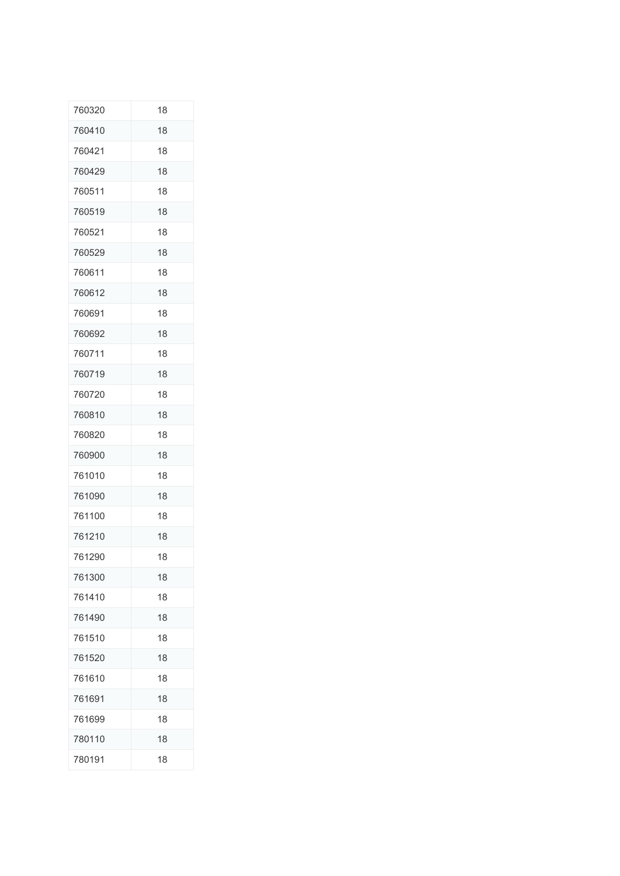| 760320 | 18 |
|--------|----|
| 760410 | 18 |
| 760421 | 18 |
| 760429 | 18 |
| 760511 | 18 |
| 760519 | 18 |
| 760521 | 18 |
| 760529 | 18 |
| 760611 | 18 |
| 760612 | 18 |
| 760691 | 18 |
| 760692 | 18 |
| 760711 | 18 |
| 760719 | 18 |
| 760720 | 18 |
| 760810 | 18 |
| 760820 | 18 |
| 760900 | 18 |
| 761010 | 18 |
| 761090 | 18 |
| 761100 | 18 |
| 761210 | 18 |
| 761290 | 18 |
| 761300 | 18 |
| 761410 | 18 |
| 761490 | 18 |
| 761510 | 18 |
| 761520 | 18 |
| 761610 | 18 |
| 761691 | 18 |
| 761699 | 18 |
| 780110 | 18 |
| 780191 | 18 |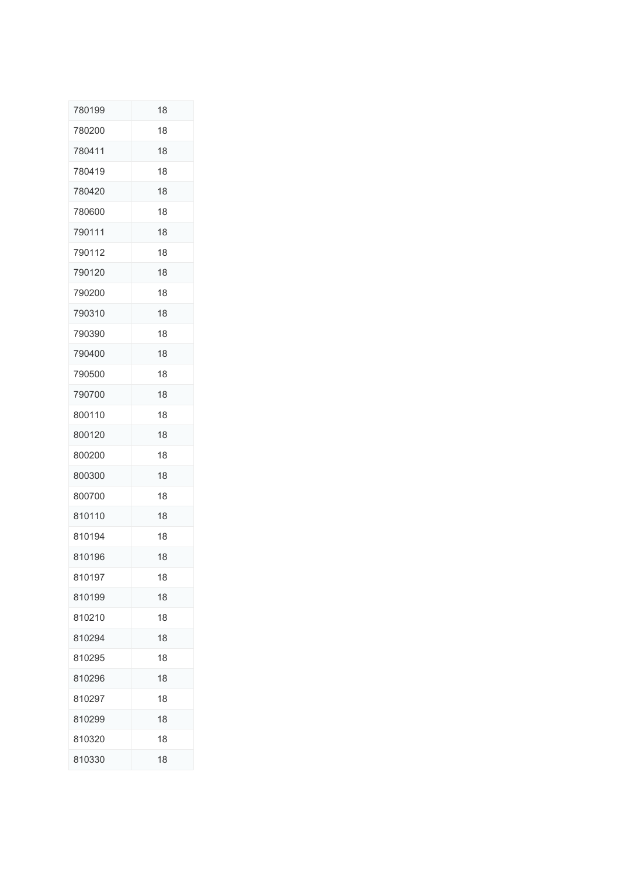| 780199 | 18 |
|--------|----|
| 780200 | 18 |
| 780411 | 18 |
| 780419 | 18 |
| 780420 | 18 |
| 780600 | 18 |
| 790111 | 18 |
| 790112 | 18 |
| 790120 | 18 |
| 790200 | 18 |
| 790310 | 18 |
| 790390 | 18 |
| 790400 | 18 |
| 790500 | 18 |
| 790700 | 18 |
| 800110 | 18 |
| 800120 | 18 |
| 800200 | 18 |
| 800300 | 18 |
| 800700 | 18 |
| 810110 | 18 |
| 810194 | 18 |
| 810196 | 18 |
| 810197 | 18 |
| 810199 | 18 |
| 810210 | 18 |
| 810294 | 18 |
| 810295 | 18 |
| 810296 | 18 |
| 810297 | 18 |
| 810299 | 18 |
| 810320 | 18 |
| 810330 | 18 |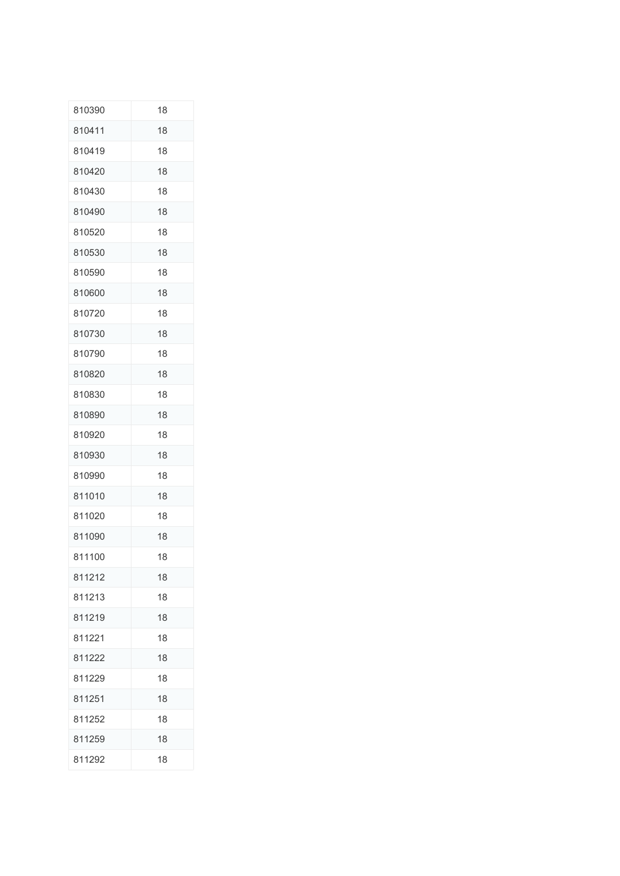| 810390 | 18 |
|--------|----|
| 810411 | 18 |
| 810419 | 18 |
| 810420 | 18 |
| 810430 | 18 |
| 810490 | 18 |
| 810520 | 18 |
| 810530 | 18 |
| 810590 | 18 |
| 810600 | 18 |
| 810720 | 18 |
| 810730 | 18 |
| 810790 | 18 |
| 810820 | 18 |
| 810830 | 18 |
| 810890 | 18 |
| 810920 | 18 |
| 810930 | 18 |
| 810990 | 18 |
| 811010 | 18 |
| 811020 | 18 |
| 811090 | 18 |
| 811100 | 18 |
| 811212 | 18 |
| 811213 | 18 |
| 811219 | 18 |
| 811221 | 18 |
| 811222 | 18 |
| 811229 | 18 |
| 811251 | 18 |
| 811252 | 18 |
| 811259 | 18 |
| 811292 | 18 |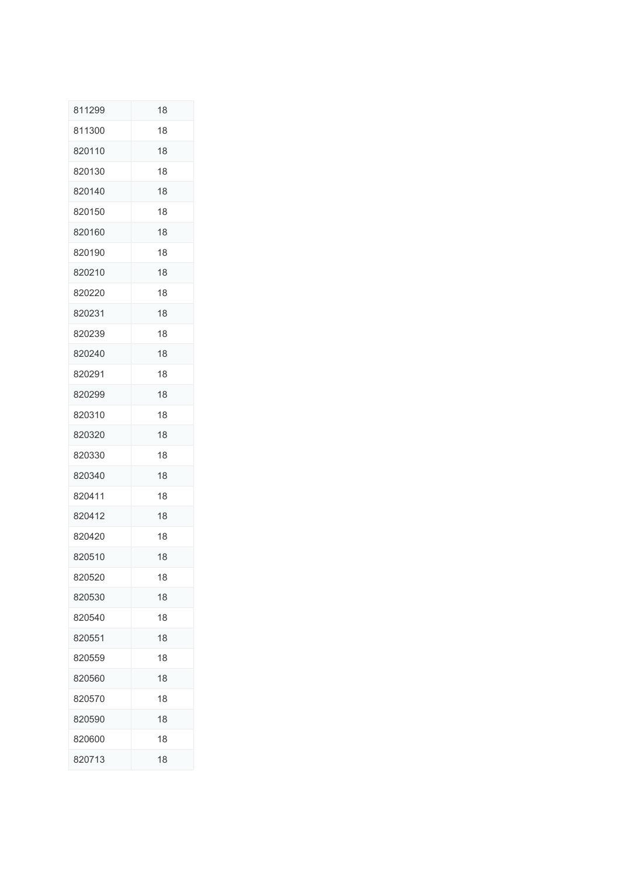| 811299 | 18 |
|--------|----|
| 811300 | 18 |
| 820110 | 18 |
| 820130 | 18 |
| 820140 | 18 |
| 820150 | 18 |
| 820160 | 18 |
| 820190 | 18 |
| 820210 | 18 |
| 820220 | 18 |
| 820231 | 18 |
| 820239 | 18 |
| 820240 | 18 |
| 820291 | 18 |
| 820299 | 18 |
| 820310 | 18 |
| 820320 | 18 |
| 820330 | 18 |
| 820340 | 18 |
| 820411 | 18 |
| 820412 | 18 |
| 820420 | 18 |
| 820510 | 18 |
| 820520 | 18 |
| 820530 | 18 |
| 820540 | 18 |
| 820551 | 18 |
| 820559 | 18 |
| 820560 | 18 |
| 820570 | 18 |
| 820590 | 18 |
| 820600 | 18 |
| 820713 | 18 |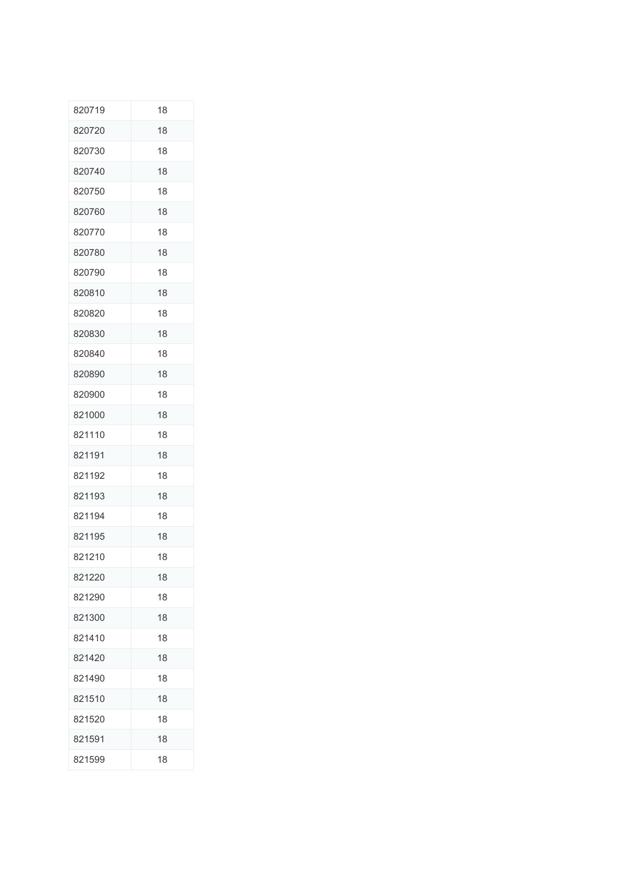| 820719 | 18 |
|--------|----|
| 820720 | 18 |
| 820730 | 18 |
| 820740 | 18 |
| 820750 | 18 |
| 820760 | 18 |
| 820770 | 18 |
| 820780 | 18 |
| 820790 | 18 |
| 820810 | 18 |
| 820820 | 18 |
| 820830 | 18 |
| 820840 | 18 |
| 820890 | 18 |
| 820900 | 18 |
| 821000 | 18 |
| 821110 | 18 |
| 821191 | 18 |
| 821192 | 18 |
| 821193 | 18 |
| 821194 | 18 |
| 821195 | 18 |
| 821210 | 18 |
| 821220 | 18 |
| 821290 | 18 |
| 821300 | 18 |
| 821410 | 18 |
| 821420 | 18 |
| 821490 | 18 |
| 821510 | 18 |
| 821520 | 18 |
| 821591 | 18 |
| 821599 | 18 |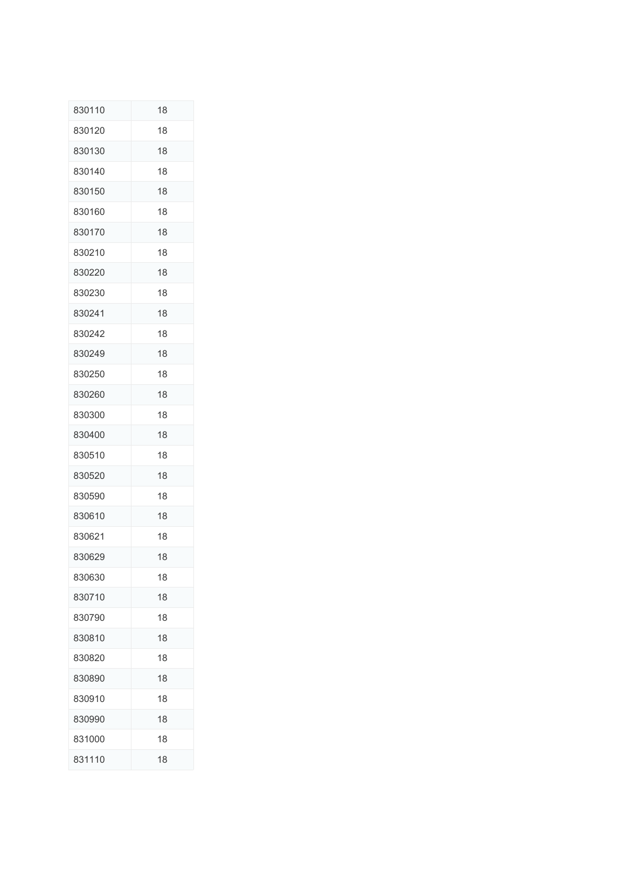| 830110 | 18 |
|--------|----|
| 830120 | 18 |
| 830130 | 18 |
| 830140 | 18 |
| 830150 | 18 |
| 830160 | 18 |
| 830170 | 18 |
| 830210 | 18 |
| 830220 | 18 |
| 830230 | 18 |
| 830241 | 18 |
| 830242 | 18 |
| 830249 | 18 |
| 830250 | 18 |
| 830260 | 18 |
| 830300 | 18 |
| 830400 | 18 |
| 830510 | 18 |
| 830520 | 18 |
| 830590 | 18 |
| 830610 | 18 |
| 830621 | 18 |
| 830629 | 18 |
| 830630 | 18 |
| 830710 | 18 |
| 830790 | 18 |
| 830810 | 18 |
| 830820 | 18 |
| 830890 | 18 |
| 830910 | 18 |
| 830990 | 18 |
| 831000 | 18 |
| 831110 | 18 |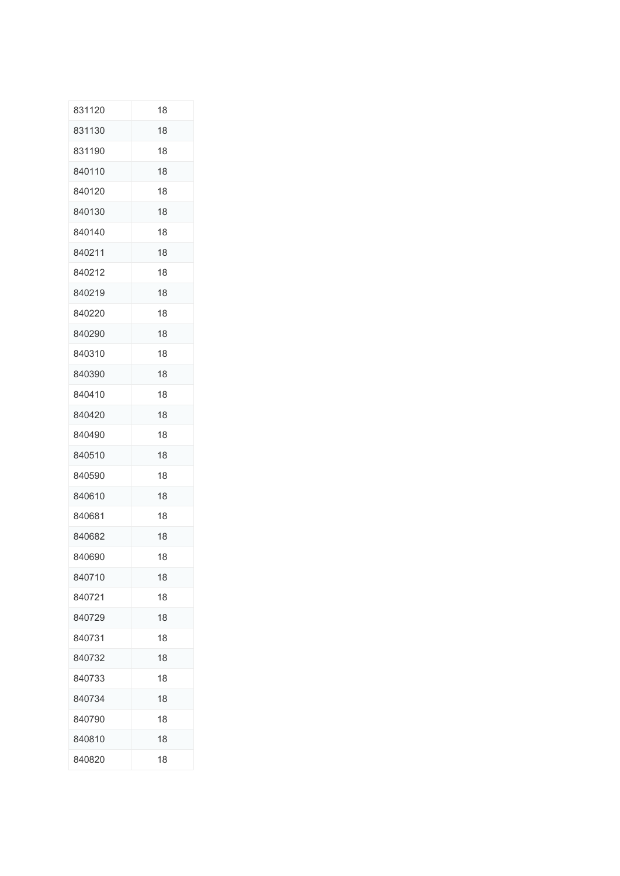| 831120 | 18 |
|--------|----|
| 831130 | 18 |
| 831190 | 18 |
| 840110 | 18 |
| 840120 | 18 |
| 840130 | 18 |
| 840140 | 18 |
| 840211 | 18 |
| 840212 | 18 |
| 840219 | 18 |
| 840220 | 18 |
| 840290 | 18 |
| 840310 | 18 |
| 840390 | 18 |
| 840410 | 18 |
| 840420 | 18 |
| 840490 | 18 |
| 840510 | 18 |
| 840590 | 18 |
| 840610 | 18 |
| 840681 | 18 |
| 840682 | 18 |
| 840690 | 18 |
| 840710 | 18 |
| 840721 | 18 |
| 840729 | 18 |
| 840731 | 18 |
| 840732 | 18 |
| 840733 | 18 |
| 840734 | 18 |
| 840790 | 18 |
| 840810 | 18 |
| 840820 | 18 |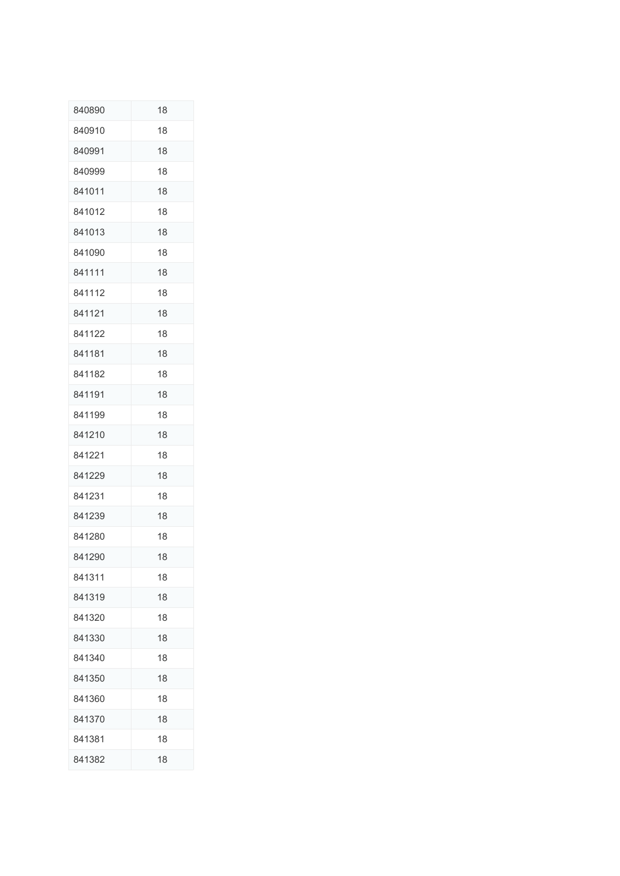| 840890 | 18 |
|--------|----|
| 840910 | 18 |
| 840991 | 18 |
| 840999 | 18 |
| 841011 | 18 |
| 841012 | 18 |
| 841013 | 18 |
| 841090 | 18 |
| 841111 | 18 |
| 841112 | 18 |
| 841121 | 18 |
| 841122 | 18 |
| 841181 | 18 |
| 841182 | 18 |
| 841191 | 18 |
| 841199 | 18 |
| 841210 | 18 |
| 841221 | 18 |
| 841229 | 18 |
| 841231 | 18 |
| 841239 | 18 |
| 841280 | 18 |
| 841290 | 18 |
| 841311 | 18 |
| 841319 | 18 |
| 841320 | 18 |
| 841330 | 18 |
| 841340 | 18 |
| 841350 | 18 |
| 841360 | 18 |
| 841370 | 18 |
| 841381 | 18 |
| 841382 | 18 |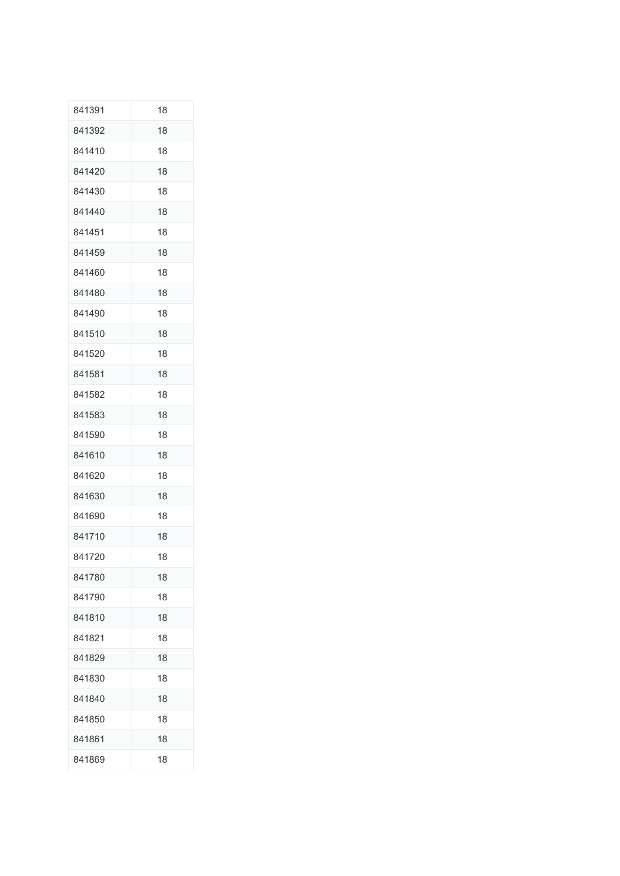| 841391 | 18 |
|--------|----|
| 841392 | 18 |
| 841410 | 18 |
| 841420 | 18 |
| 841430 | 18 |
| 841440 | 18 |
| 841451 | 18 |
| 841459 | 18 |
| 841460 | 18 |
| 841480 | 18 |
| 841490 | 18 |
| 841510 | 18 |
| 841520 | 18 |
| 841581 | 18 |
| 841582 | 18 |
| 841583 | 18 |
| 841590 | 18 |
| 841610 | 18 |
| 841620 | 18 |
| 841630 | 18 |
| 841690 | 18 |
| 841710 | 18 |
| 841720 | 18 |
| 841780 | 18 |
| 841790 | 18 |
| 841810 | 18 |
| 841821 | 18 |
| 841829 | 18 |
| 841830 | 18 |
| 841840 | 18 |
| 841850 | 18 |
| 841861 | 18 |
| 841869 | 18 |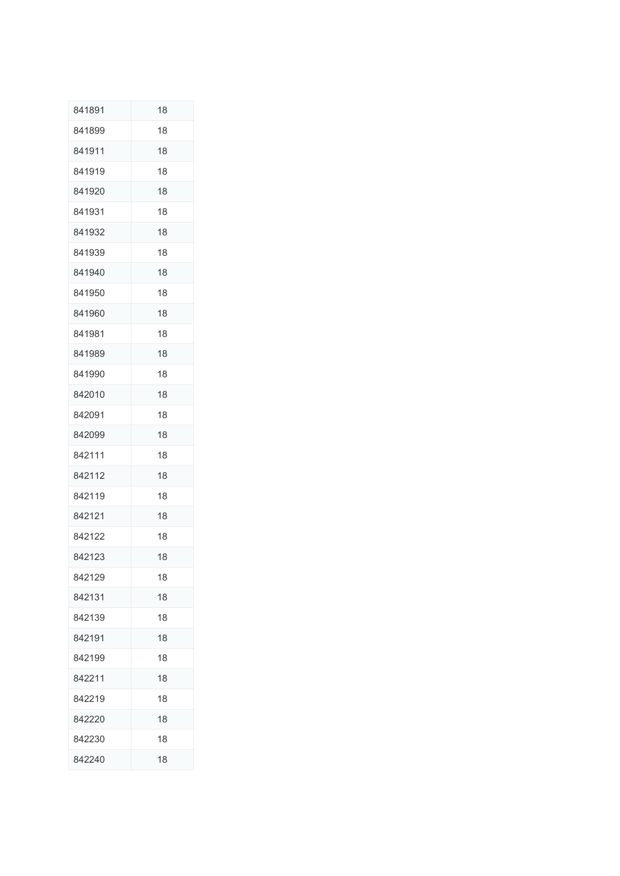| 841891 | 18 |
|--------|----|
| 841899 | 18 |
| 841911 | 18 |
| 841919 | 18 |
| 841920 | 18 |
| 841931 | 18 |
| 841932 | 18 |
| 841939 | 18 |
| 841940 | 18 |
| 841950 | 18 |
| 841960 | 18 |
| 841981 | 18 |
| 841989 | 18 |
| 841990 | 18 |
| 842010 | 18 |
| 842091 | 18 |
| 842099 | 18 |
| 842111 | 18 |
| 842112 | 18 |
| 842119 | 18 |
| 842121 | 18 |
| 842122 | 18 |
| 842123 | 18 |
| 842129 | 18 |
| 842131 | 18 |
| 842139 | 18 |
| 842191 | 18 |
| 842199 | 18 |
| 842211 | 18 |
| 842219 | 18 |
| 842220 | 18 |
| 842230 | 18 |
| 842240 | 18 |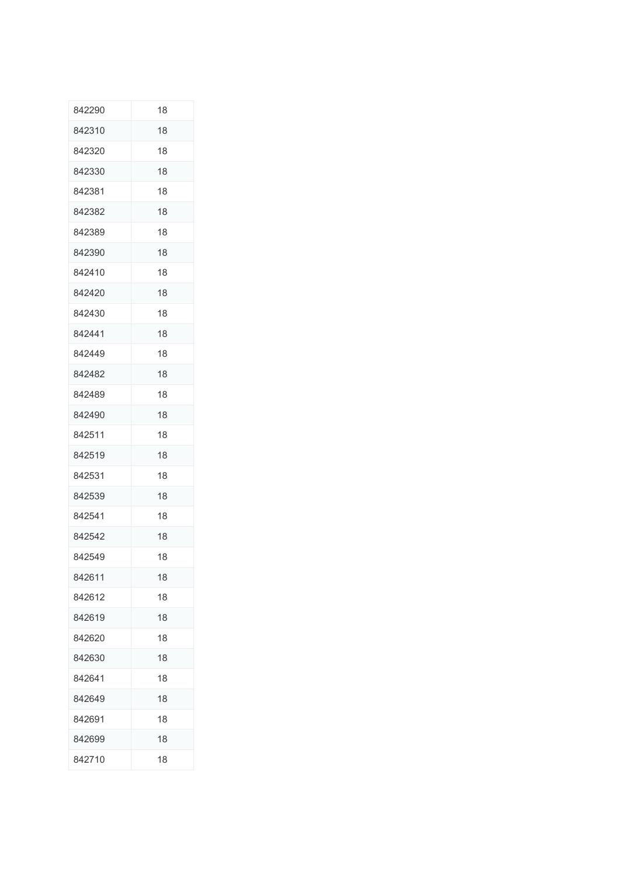| 842290 | 18 |
|--------|----|
| 842310 | 18 |
| 842320 | 18 |
| 842330 | 18 |
| 842381 | 18 |
| 842382 | 18 |
| 842389 | 18 |
| 842390 | 18 |
| 842410 | 18 |
| 842420 | 18 |
| 842430 | 18 |
| 842441 | 18 |
| 842449 | 18 |
| 842482 | 18 |
| 842489 | 18 |
| 842490 | 18 |
| 842511 | 18 |
| 842519 | 18 |
| 842531 | 18 |
| 842539 | 18 |
| 842541 | 18 |
| 842542 | 18 |
| 842549 | 18 |
| 842611 | 18 |
| 842612 | 18 |
| 842619 | 18 |
| 842620 | 18 |
| 842630 | 18 |
| 842641 | 18 |
| 842649 | 18 |
| 842691 | 18 |
| 842699 | 18 |
| 842710 | 18 |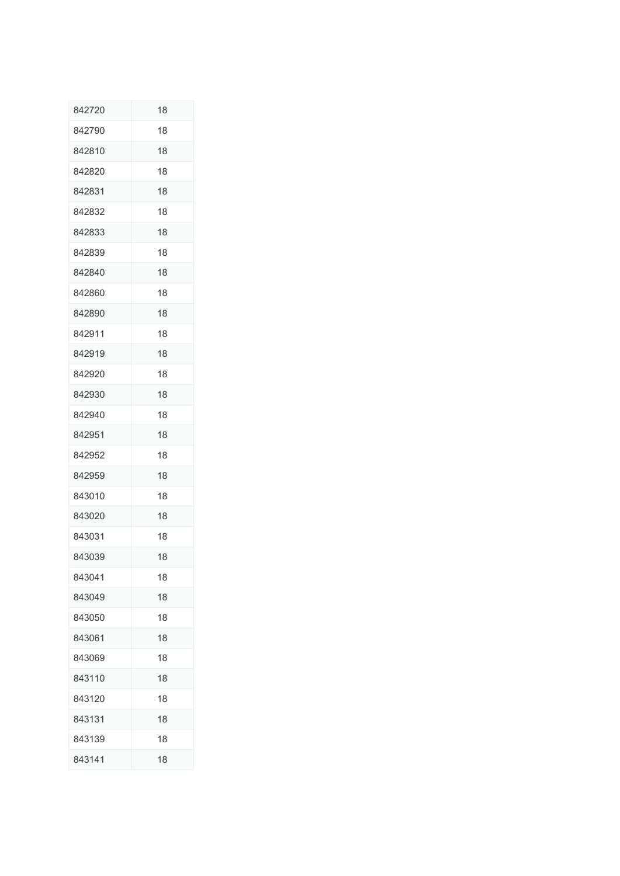| 842720 | 18 |
|--------|----|
| 842790 | 18 |
| 842810 | 18 |
| 842820 | 18 |
| 842831 | 18 |
| 842832 | 18 |
| 842833 | 18 |
| 842839 | 18 |
| 842840 | 18 |
| 842860 | 18 |
| 842890 | 18 |
| 842911 | 18 |
| 842919 | 18 |
| 842920 | 18 |
| 842930 | 18 |
| 842940 | 18 |
| 842951 | 18 |
| 842952 | 18 |
| 842959 | 18 |
| 843010 | 18 |
| 843020 | 18 |
| 843031 | 18 |
| 843039 | 18 |
| 843041 | 18 |
| 843049 | 18 |
| 843050 | 18 |
| 843061 | 18 |
| 843069 | 18 |
| 843110 | 18 |
| 843120 | 18 |
| 843131 | 18 |
| 843139 | 18 |
| 843141 | 18 |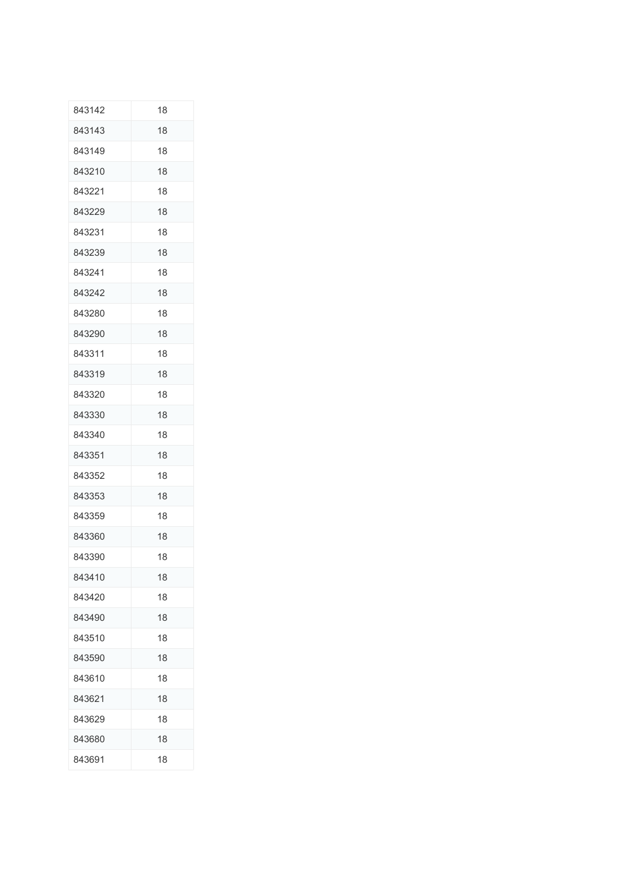| 843142 | 18 |
|--------|----|
| 843143 | 18 |
| 843149 | 18 |
| 843210 | 18 |
| 843221 | 18 |
| 843229 | 18 |
| 843231 | 18 |
| 843239 | 18 |
| 843241 | 18 |
| 843242 | 18 |
| 843280 | 18 |
| 843290 | 18 |
| 843311 | 18 |
| 843319 | 18 |
| 843320 | 18 |
| 843330 | 18 |
| 843340 | 18 |
| 843351 | 18 |
| 843352 | 18 |
| 843353 | 18 |
| 843359 | 18 |
| 843360 | 18 |
| 843390 | 18 |
| 843410 | 18 |
| 843420 | 18 |
| 843490 | 18 |
| 843510 | 18 |
| 843590 | 18 |
| 843610 | 18 |
| 843621 | 18 |
| 843629 | 18 |
| 843680 | 18 |
| 843691 | 18 |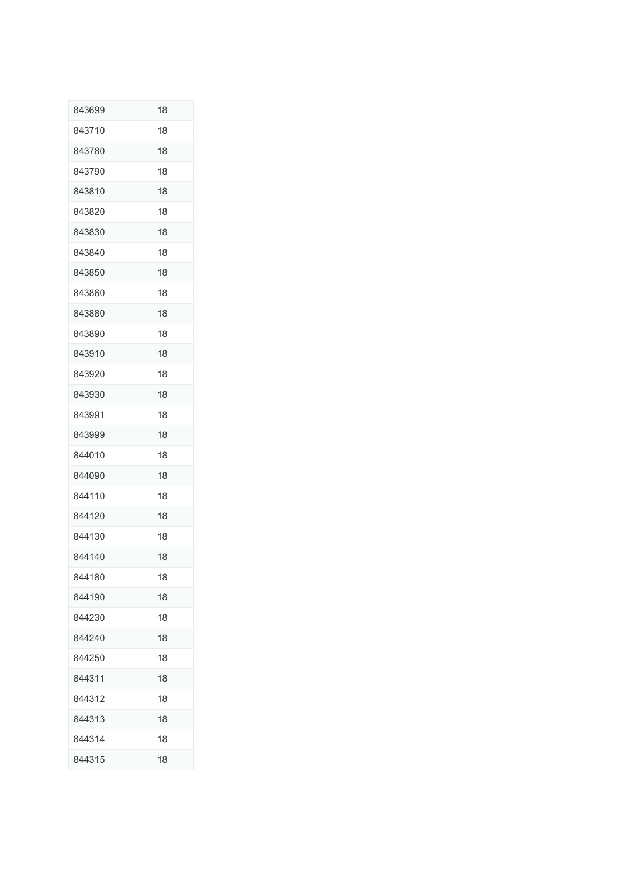| 843699 | 18 |
|--------|----|
| 843710 | 18 |
| 843780 | 18 |
| 843790 | 18 |
| 843810 | 18 |
| 843820 | 18 |
| 843830 | 18 |
| 843840 | 18 |
| 843850 | 18 |
| 843860 | 18 |
| 843880 | 18 |
| 843890 | 18 |
| 843910 | 18 |
| 843920 | 18 |
| 843930 | 18 |
| 843991 | 18 |
| 843999 | 18 |
| 844010 | 18 |
| 844090 | 18 |
| 844110 | 18 |
| 844120 | 18 |
| 844130 | 18 |
| 844140 | 18 |
| 844180 | 18 |
| 844190 | 18 |
| 844230 | 18 |
| 844240 | 18 |
| 844250 | 18 |
| 844311 | 18 |
| 844312 | 18 |
| 844313 | 18 |
| 844314 | 18 |
| 844315 | 18 |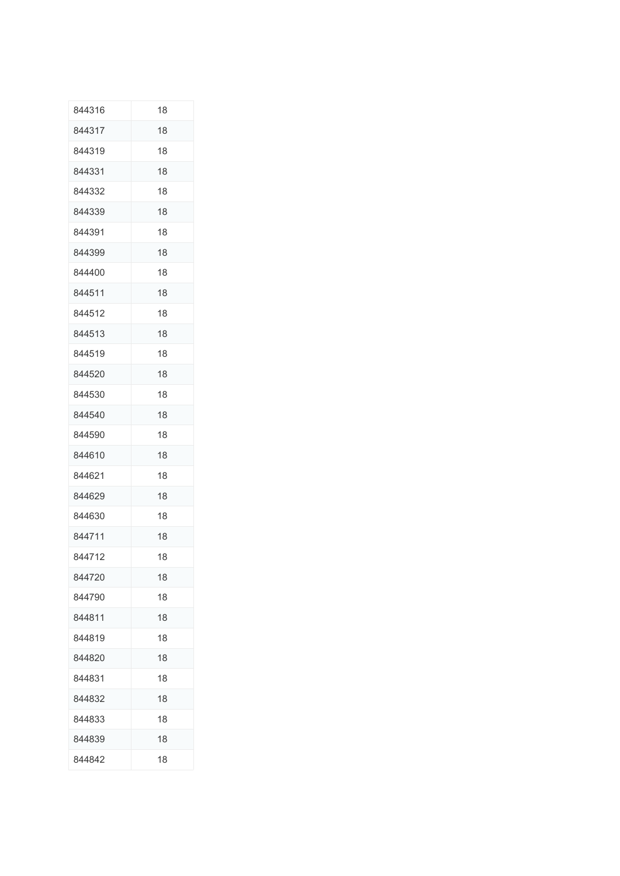| 844316 | 18 |
|--------|----|
| 844317 | 18 |
| 844319 | 18 |
| 844331 | 18 |
| 844332 | 18 |
| 844339 | 18 |
| 844391 | 18 |
| 844399 | 18 |
| 844400 | 18 |
| 844511 | 18 |
| 844512 | 18 |
| 844513 | 18 |
| 844519 | 18 |
| 844520 | 18 |
| 844530 | 18 |
| 844540 | 18 |
| 844590 | 18 |
| 844610 | 18 |
| 844621 | 18 |
| 844629 | 18 |
| 844630 | 18 |
| 844711 | 18 |
| 844712 | 18 |
| 844720 | 18 |
| 844790 | 18 |
| 844811 | 18 |
| 844819 | 18 |
| 844820 | 18 |
| 844831 | 18 |
| 844832 | 18 |
| 844833 | 18 |
| 844839 | 18 |
| 844842 | 18 |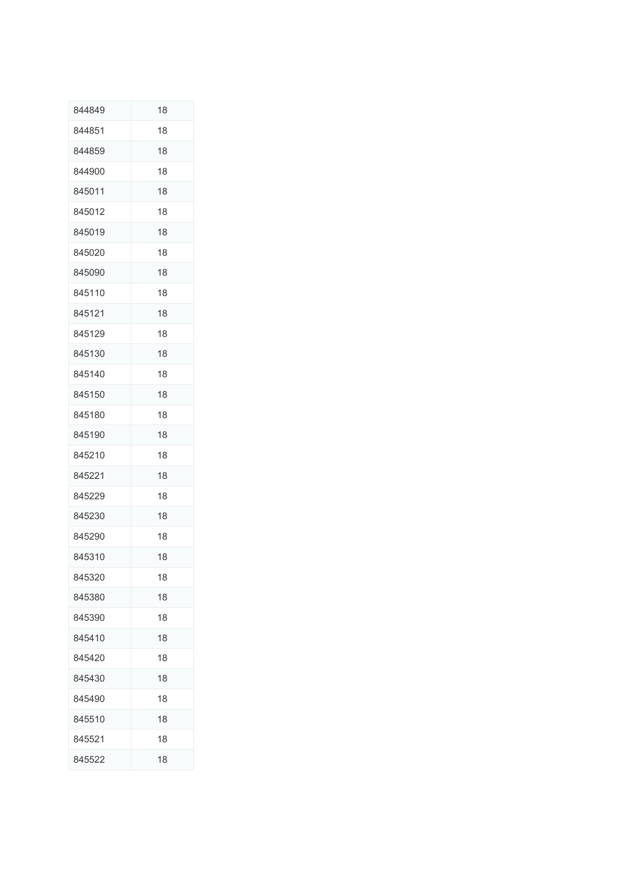| 844849 | 18 |
|--------|----|
| 844851 | 18 |
| 844859 | 18 |
| 844900 | 18 |
| 845011 | 18 |
| 845012 | 18 |
| 845019 | 18 |
| 845020 | 18 |
| 845090 | 18 |
| 845110 | 18 |
| 845121 | 18 |
| 845129 | 18 |
| 845130 | 18 |
| 845140 | 18 |
| 845150 | 18 |
| 845180 | 18 |
| 845190 | 18 |
| 845210 | 18 |
| 845221 | 18 |
| 845229 | 18 |
| 845230 | 18 |
| 845290 | 18 |
| 845310 | 18 |
| 845320 | 18 |
| 845380 | 18 |
| 845390 | 18 |
| 845410 | 18 |
| 845420 | 18 |
| 845430 | 18 |
| 845490 | 18 |
| 845510 | 18 |
| 845521 | 18 |
| 845522 | 18 |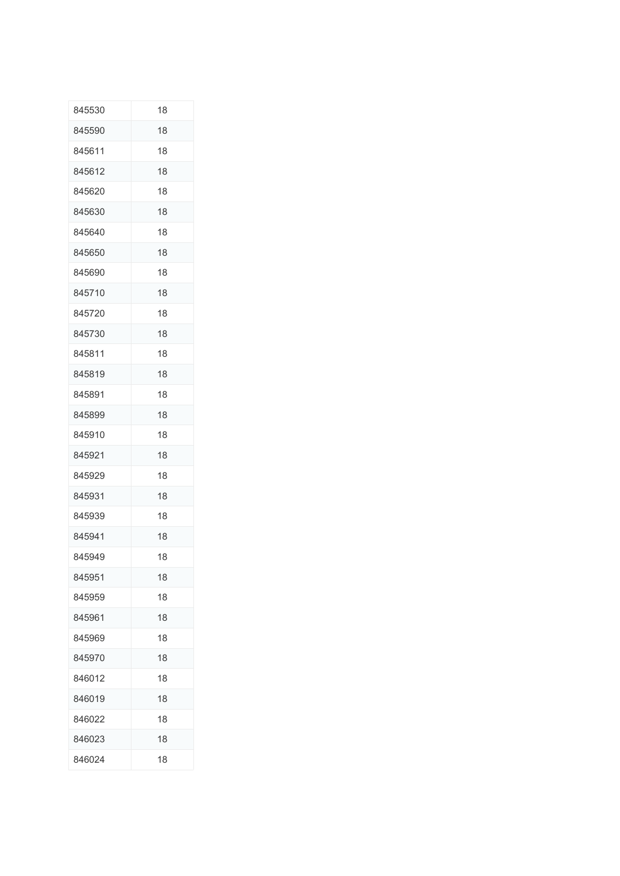| 845530 | 18 |
|--------|----|
| 845590 | 18 |
| 845611 | 18 |
| 845612 | 18 |
| 845620 | 18 |
| 845630 | 18 |
| 845640 | 18 |
| 845650 | 18 |
| 845690 | 18 |
| 845710 | 18 |
| 845720 | 18 |
| 845730 | 18 |
| 845811 | 18 |
| 845819 | 18 |
| 845891 | 18 |
| 845899 | 18 |
| 845910 | 18 |
| 845921 | 18 |
| 845929 | 18 |
| 845931 | 18 |
| 845939 | 18 |
| 845941 | 18 |
| 845949 | 18 |
| 845951 | 18 |
| 845959 | 18 |
| 845961 | 18 |
| 845969 | 18 |
| 845970 | 18 |
| 846012 | 18 |
| 846019 | 18 |
| 846022 | 18 |
| 846023 | 18 |
| 846024 | 18 |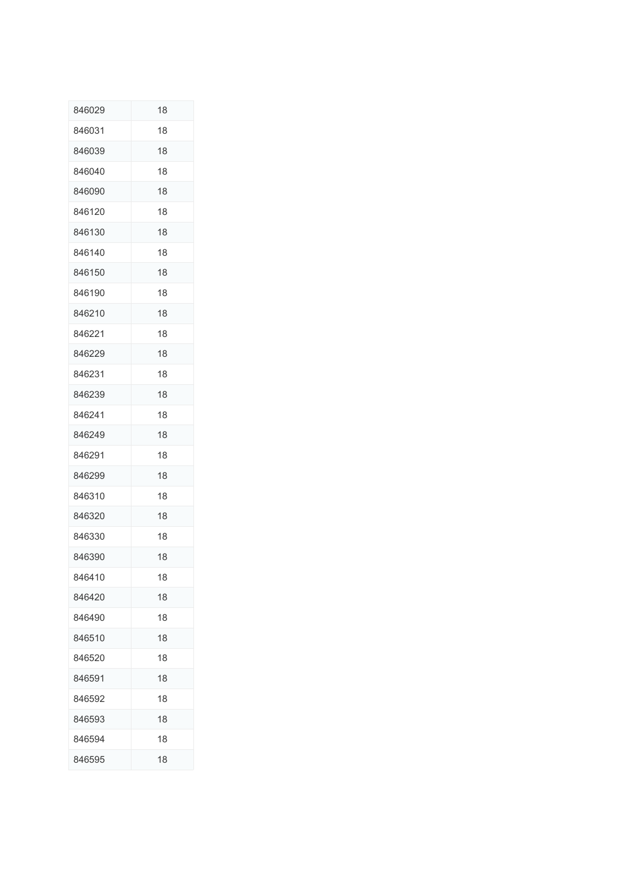| 846029 | 18 |
|--------|----|
| 846031 | 18 |
| 846039 | 18 |
| 846040 | 18 |
| 846090 | 18 |
| 846120 | 18 |
| 846130 | 18 |
| 846140 | 18 |
| 846150 | 18 |
| 846190 | 18 |
| 846210 | 18 |
| 846221 | 18 |
| 846229 | 18 |
| 846231 | 18 |
| 846239 | 18 |
| 846241 | 18 |
| 846249 | 18 |
| 846291 | 18 |
| 846299 | 18 |
| 846310 | 18 |
| 846320 | 18 |
| 846330 | 18 |
| 846390 | 18 |
| 846410 | 18 |
| 846420 | 18 |
| 846490 | 18 |
| 846510 | 18 |
| 846520 | 18 |
| 846591 | 18 |
| 846592 | 18 |
| 846593 | 18 |
| 846594 | 18 |
| 846595 | 18 |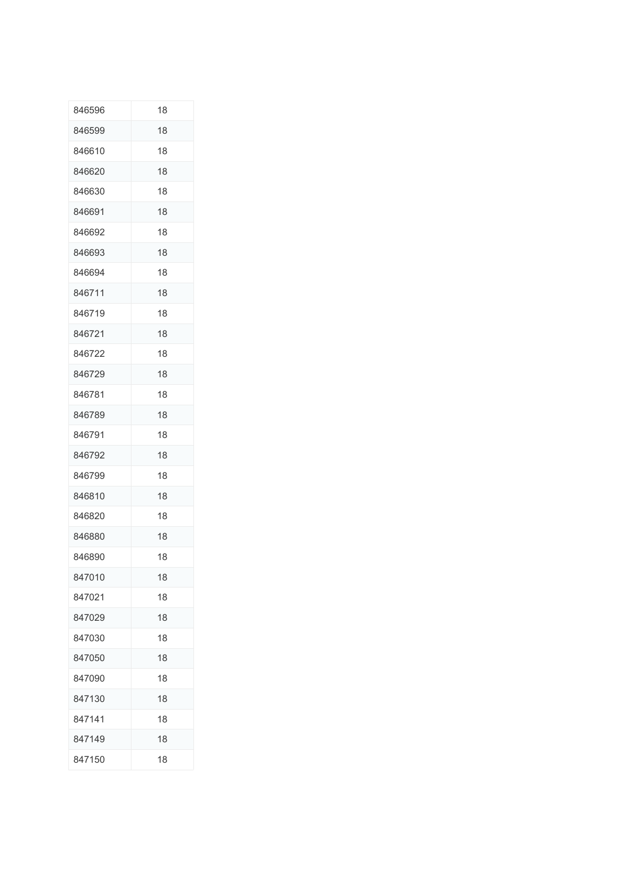| 846596 | 18 |
|--------|----|
| 846599 | 18 |
| 846610 | 18 |
| 846620 | 18 |
| 846630 | 18 |
| 846691 | 18 |
| 846692 | 18 |
| 846693 | 18 |
| 846694 | 18 |
| 846711 | 18 |
| 846719 | 18 |
| 846721 | 18 |
| 846722 | 18 |
| 846729 | 18 |
| 846781 | 18 |
| 846789 | 18 |
| 846791 | 18 |
| 846792 | 18 |
| 846799 | 18 |
| 846810 | 18 |
| 846820 | 18 |
| 846880 | 18 |
| 846890 | 18 |
| 847010 | 18 |
| 847021 | 18 |
| 847029 | 18 |
| 847030 | 18 |
| 847050 | 18 |
| 847090 | 18 |
| 847130 | 18 |
| 847141 | 18 |
| 847149 | 18 |
| 847150 | 18 |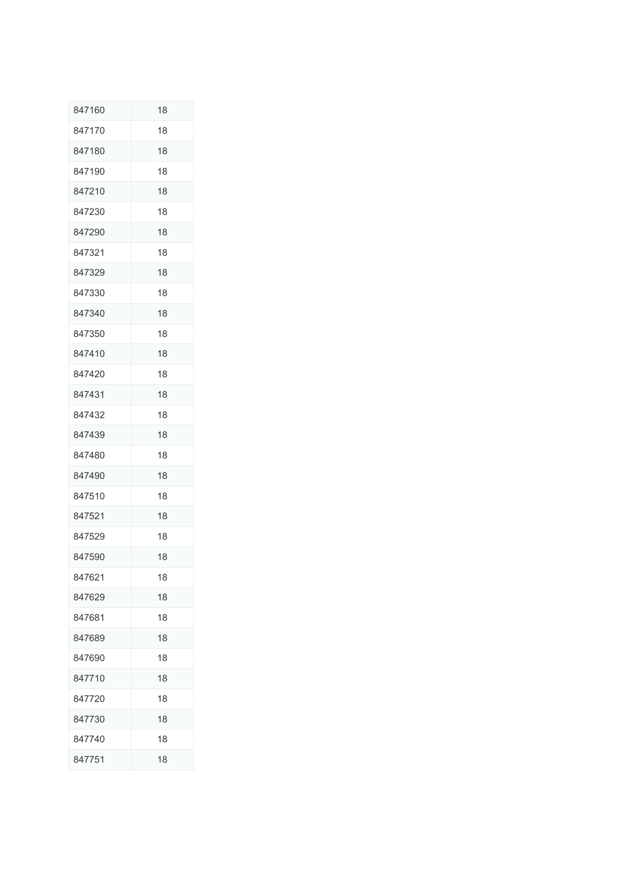| 847160 | 18 |
|--------|----|
| 847170 | 18 |
| 847180 | 18 |
| 847190 | 18 |
| 847210 | 18 |
| 847230 | 18 |
| 847290 | 18 |
| 847321 | 18 |
| 847329 | 18 |
| 847330 | 18 |
| 847340 | 18 |
| 847350 | 18 |
| 847410 | 18 |
| 847420 | 18 |
| 847431 | 18 |
| 847432 | 18 |
| 847439 | 18 |
| 847480 | 18 |
| 847490 | 18 |
| 847510 | 18 |
| 847521 | 18 |
| 847529 | 18 |
| 847590 | 18 |
| 847621 | 18 |
| 847629 | 18 |
| 847681 | 18 |
| 847689 | 18 |
| 847690 | 18 |
| 847710 | 18 |
| 847720 | 18 |
| 847730 | 18 |
| 847740 | 18 |
| 847751 | 18 |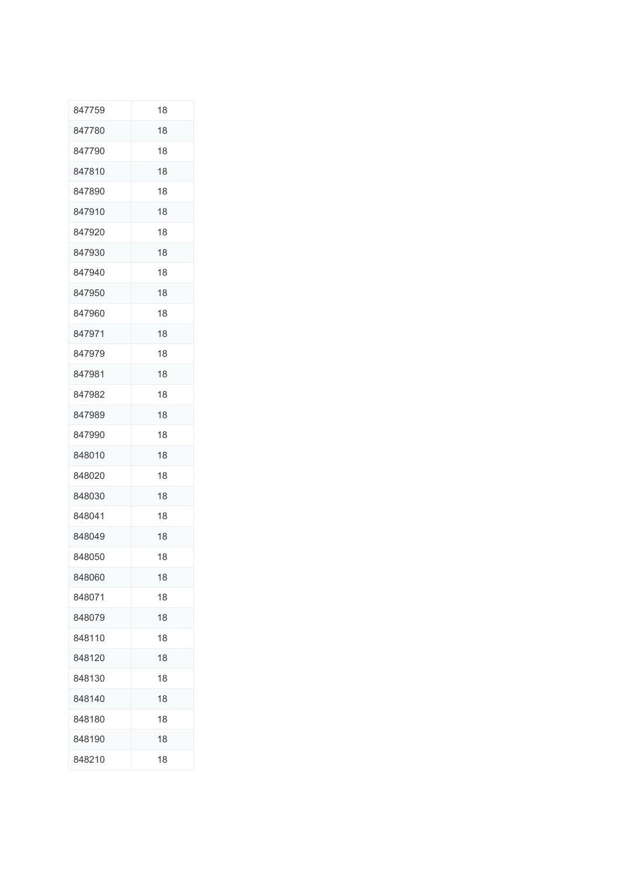| 847759 | 18 |
|--------|----|
| 847780 | 18 |
| 847790 | 18 |
| 847810 | 18 |
| 847890 | 18 |
| 847910 | 18 |
| 847920 | 18 |
| 847930 | 18 |
| 847940 | 18 |
| 847950 | 18 |
| 847960 | 18 |
| 847971 | 18 |
| 847979 | 18 |
| 847981 | 18 |
| 847982 | 18 |
| 847989 | 18 |
| 847990 | 18 |
| 848010 | 18 |
| 848020 | 18 |
| 848030 | 18 |
| 848041 | 18 |
| 848049 | 18 |
| 848050 | 18 |
| 848060 | 18 |
| 848071 | 18 |
| 848079 | 18 |
| 848110 | 18 |
| 848120 | 18 |
| 848130 | 18 |
| 848140 | 18 |
| 848180 | 18 |
| 848190 | 18 |
| 848210 | 18 |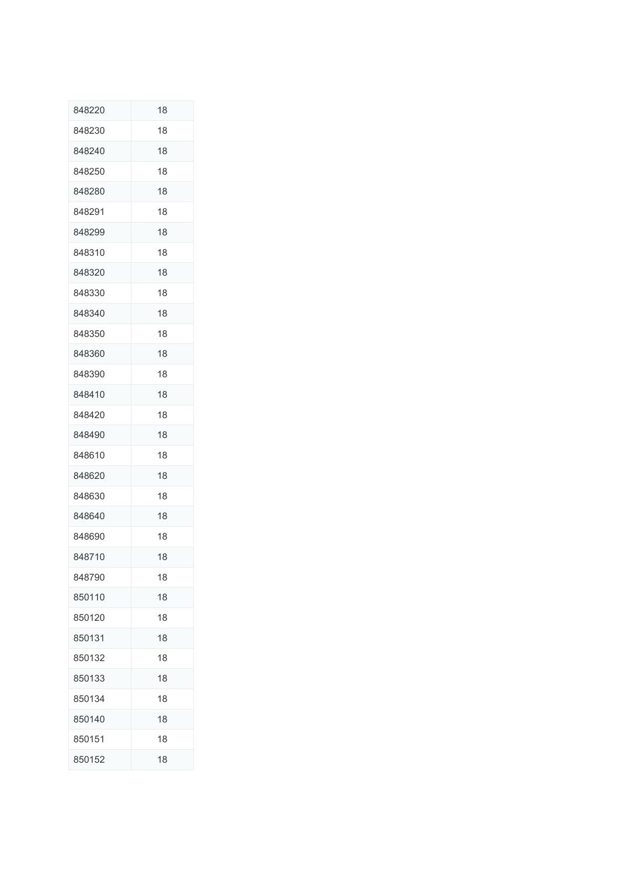| 848220 | 18 |
|--------|----|
| 848230 | 18 |
| 848240 | 18 |
| 848250 | 18 |
| 848280 | 18 |
| 848291 | 18 |
| 848299 | 18 |
| 848310 | 18 |
| 848320 | 18 |
| 848330 | 18 |
| 848340 | 18 |
| 848350 | 18 |
| 848360 | 18 |
| 848390 | 18 |
| 848410 | 18 |
| 848420 | 18 |
| 848490 | 18 |
| 848610 | 18 |
| 848620 | 18 |
| 848630 | 18 |
| 848640 | 18 |
| 848690 | 18 |
| 848710 | 18 |
| 848790 | 18 |
| 850110 | 18 |
| 850120 | 18 |
| 850131 | 18 |
| 850132 | 18 |
| 850133 | 18 |
| 850134 | 18 |
| 850140 | 18 |
| 850151 | 18 |
| 850152 | 18 |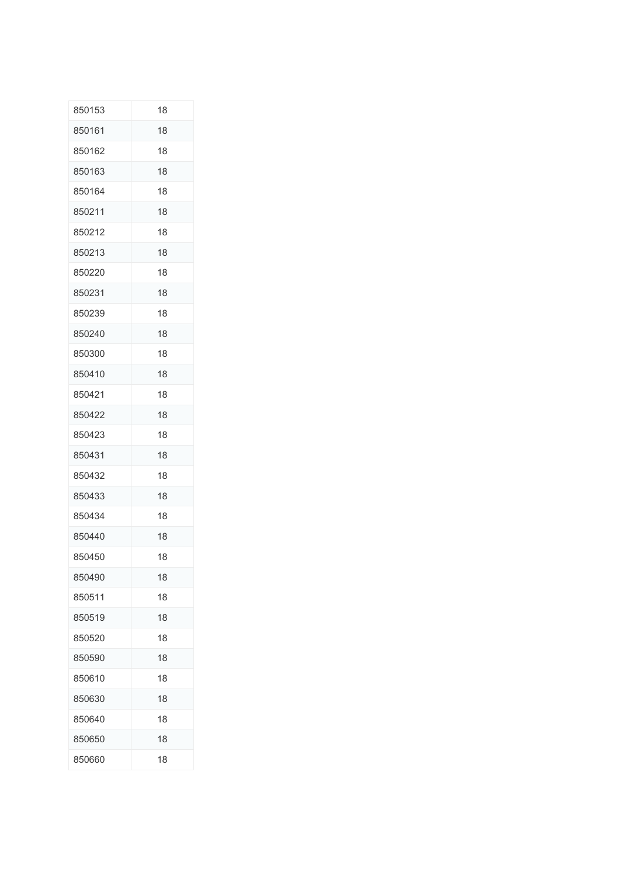| 850153 | 18 |
|--------|----|
| 850161 | 18 |
| 850162 | 18 |
| 850163 | 18 |
| 850164 | 18 |
| 850211 | 18 |
| 850212 | 18 |
| 850213 | 18 |
| 850220 | 18 |
| 850231 | 18 |
| 850239 | 18 |
| 850240 | 18 |
| 850300 | 18 |
| 850410 | 18 |
| 850421 | 18 |
| 850422 | 18 |
| 850423 | 18 |
| 850431 | 18 |
| 850432 | 18 |
| 850433 | 18 |
| 850434 | 18 |
| 850440 | 18 |
| 850450 | 18 |
| 850490 | 18 |
| 850511 | 18 |
| 850519 | 18 |
| 850520 | 18 |
| 850590 | 18 |
| 850610 | 18 |
| 850630 | 18 |
| 850640 | 18 |
| 850650 | 18 |
| 850660 | 18 |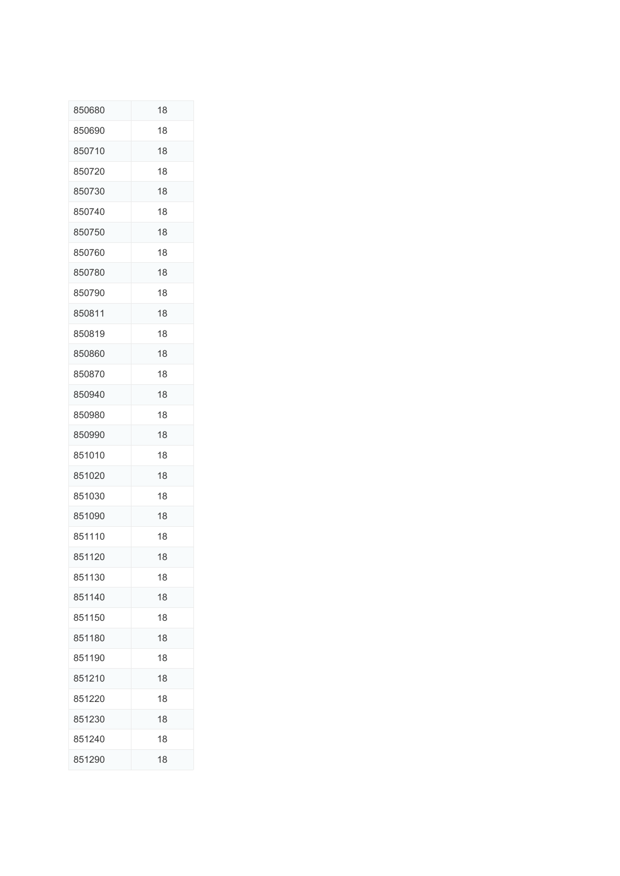| 850680 | 18 |
|--------|----|
| 850690 | 18 |
| 850710 | 18 |
| 850720 | 18 |
| 850730 | 18 |
| 850740 | 18 |
| 850750 | 18 |
| 850760 | 18 |
| 850780 | 18 |
| 850790 | 18 |
| 850811 | 18 |
| 850819 | 18 |
| 850860 | 18 |
| 850870 | 18 |
| 850940 | 18 |
| 850980 | 18 |
| 850990 | 18 |
| 851010 | 18 |
| 851020 | 18 |
| 851030 | 18 |
| 851090 | 18 |
| 851110 | 18 |
| 851120 | 18 |
| 851130 | 18 |
| 851140 | 18 |
| 851150 | 18 |
| 851180 | 18 |
| 851190 | 18 |
| 851210 | 18 |
| 851220 | 18 |
| 851230 | 18 |
| 851240 | 18 |
| 851290 | 18 |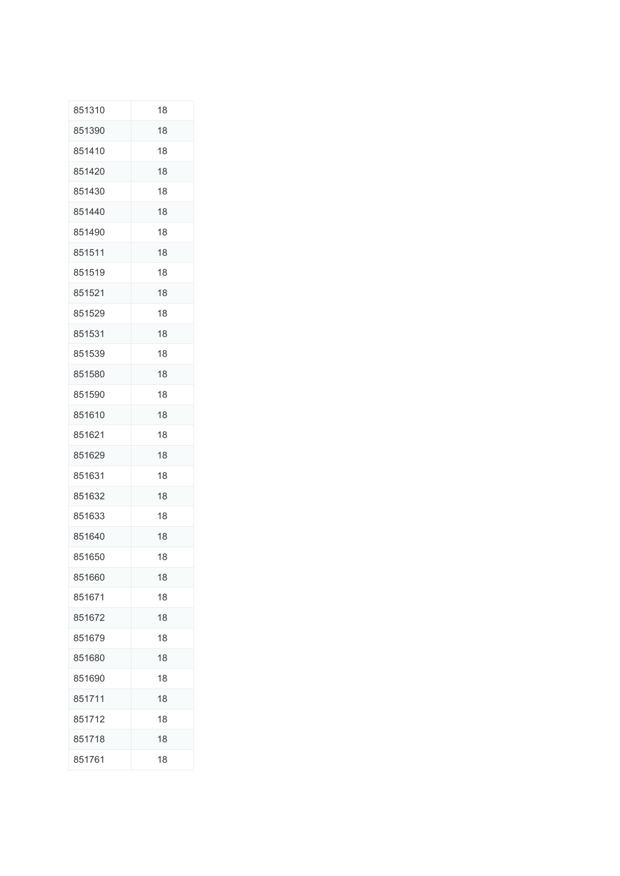| 851310 | 18 |
|--------|----|
| 851390 | 18 |
| 851410 | 18 |
| 851420 | 18 |
| 851430 | 18 |
| 851440 | 18 |
| 851490 | 18 |
| 851511 | 18 |
| 851519 | 18 |
| 851521 | 18 |
| 851529 | 18 |
| 851531 | 18 |
| 851539 | 18 |
| 851580 | 18 |
| 851590 | 18 |
| 851610 | 18 |
| 851621 | 18 |
| 851629 | 18 |
| 851631 | 18 |
| 851632 | 18 |
| 851633 | 18 |
| 851640 | 18 |
| 851650 | 18 |
| 851660 | 18 |
| 851671 | 18 |
| 851672 | 18 |
| 851679 | 18 |
| 851680 | 18 |
| 851690 | 18 |
| 851711 | 18 |
| 851712 | 18 |
| 851718 | 18 |
| 851761 | 18 |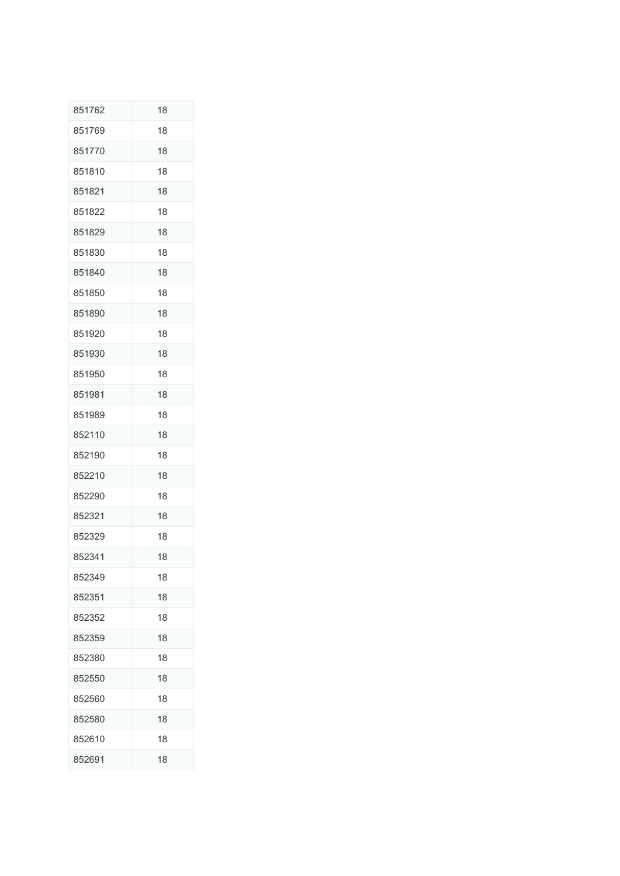| 851762 | 18 |
|--------|----|
| 851769 | 18 |
| 851770 | 18 |
| 851810 | 18 |
| 851821 | 18 |
| 851822 | 18 |
| 851829 | 18 |
| 851830 | 18 |
| 851840 | 18 |
| 851850 | 18 |
| 851890 | 18 |
| 851920 | 18 |
| 851930 | 18 |
| 851950 | 18 |
| 851981 | 18 |
| 851989 | 18 |
| 852110 | 18 |
| 852190 | 18 |
| 852210 | 18 |
| 852290 | 18 |
| 852321 | 18 |
| 852329 | 18 |
| 852341 | 18 |
| 852349 | 18 |
| 852351 | 18 |
| 852352 | 18 |
| 852359 | 18 |
| 852380 | 18 |
| 852550 | 18 |
| 852560 | 18 |
| 852580 | 18 |
| 852610 | 18 |
| 852691 | 18 |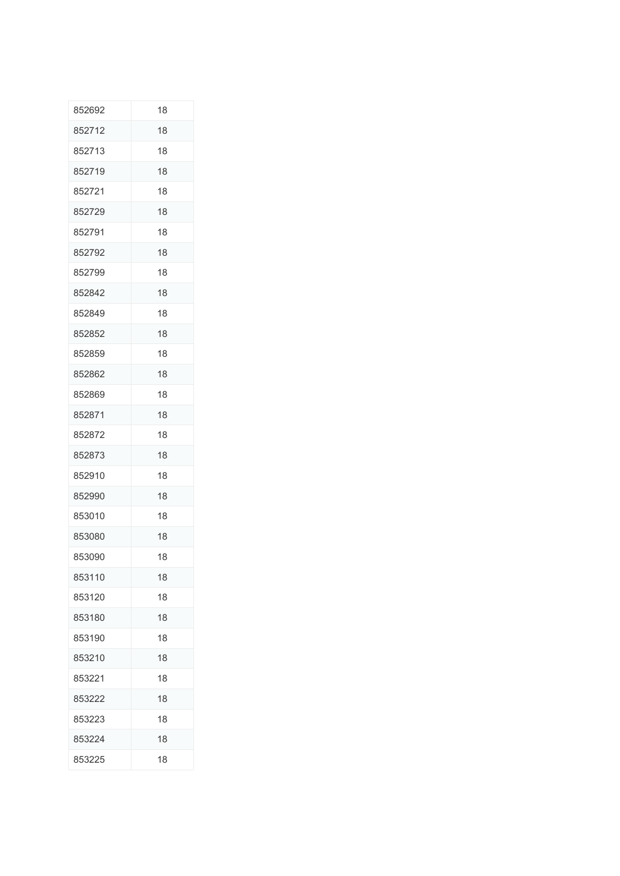| 852692 | 18 |
|--------|----|
| 852712 | 18 |
| 852713 | 18 |
| 852719 | 18 |
| 852721 | 18 |
| 852729 | 18 |
| 852791 | 18 |
| 852792 | 18 |
| 852799 | 18 |
| 852842 | 18 |
| 852849 | 18 |
| 852852 | 18 |
| 852859 | 18 |
| 852862 | 18 |
| 852869 | 18 |
| 852871 | 18 |
| 852872 | 18 |
| 852873 | 18 |
| 852910 | 18 |
| 852990 | 18 |
| 853010 | 18 |
| 853080 | 18 |
| 853090 | 18 |
| 853110 | 18 |
| 853120 | 18 |
| 853180 | 18 |
| 853190 | 18 |
| 853210 | 18 |
| 853221 | 18 |
| 853222 | 18 |
| 853223 | 18 |
| 853224 | 18 |
| 853225 | 18 |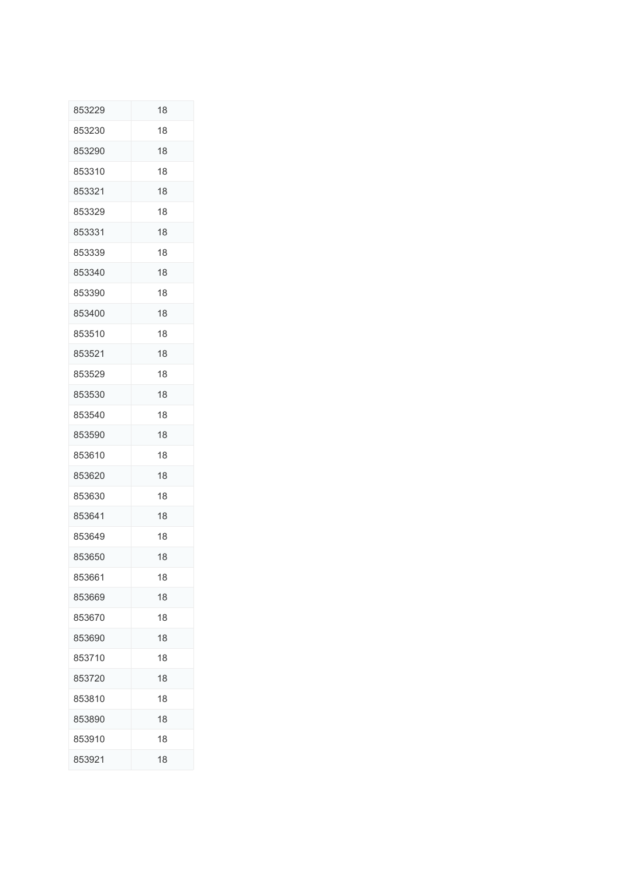| 853229 | 18 |
|--------|----|
| 853230 | 18 |
| 853290 | 18 |
| 853310 | 18 |
| 853321 | 18 |
| 853329 | 18 |
| 853331 | 18 |
| 853339 | 18 |
| 853340 | 18 |
| 853390 | 18 |
| 853400 | 18 |
| 853510 | 18 |
| 853521 | 18 |
| 853529 | 18 |
| 853530 | 18 |
| 853540 | 18 |
| 853590 | 18 |
| 853610 | 18 |
| 853620 | 18 |
| 853630 | 18 |
| 853641 | 18 |
| 853649 | 18 |
| 853650 | 18 |
| 853661 | 18 |
| 853669 | 18 |
| 853670 | 18 |
| 853690 | 18 |
| 853710 | 18 |
| 853720 | 18 |
| 853810 | 18 |
| 853890 | 18 |
| 853910 | 18 |
| 853921 | 18 |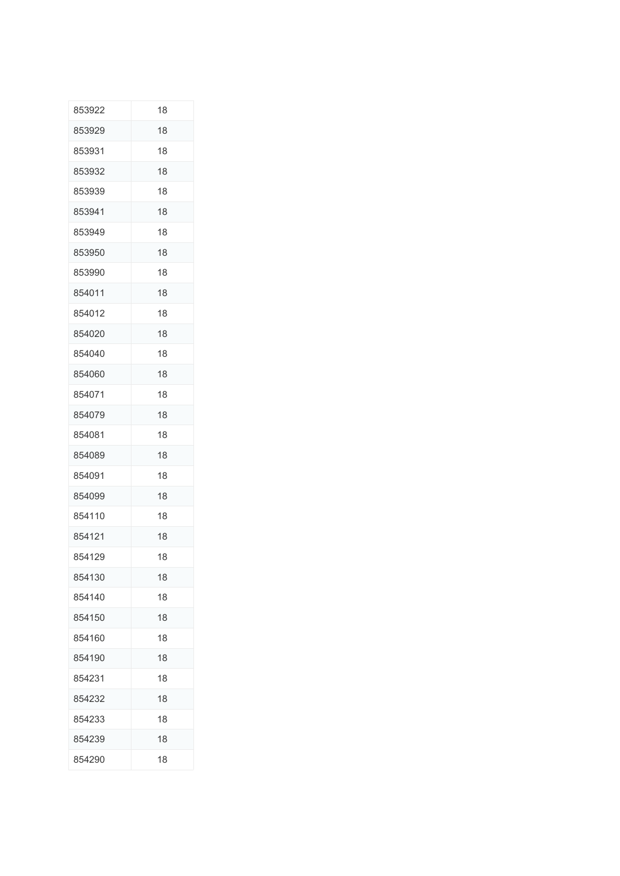| 853922 | 18 |
|--------|----|
| 853929 | 18 |
| 853931 | 18 |
| 853932 | 18 |
| 853939 | 18 |
| 853941 | 18 |
| 853949 | 18 |
| 853950 | 18 |
| 853990 | 18 |
| 854011 | 18 |
| 854012 | 18 |
| 854020 | 18 |
| 854040 | 18 |
| 854060 | 18 |
| 854071 | 18 |
| 854079 | 18 |
| 854081 | 18 |
| 854089 | 18 |
| 854091 | 18 |
| 854099 | 18 |
| 854110 | 18 |
| 854121 | 18 |
| 854129 | 18 |
| 854130 | 18 |
| 854140 | 18 |
| 854150 | 18 |
| 854160 | 18 |
| 854190 | 18 |
| 854231 | 18 |
| 854232 | 18 |
| 854233 | 18 |
| 854239 | 18 |
| 854290 | 18 |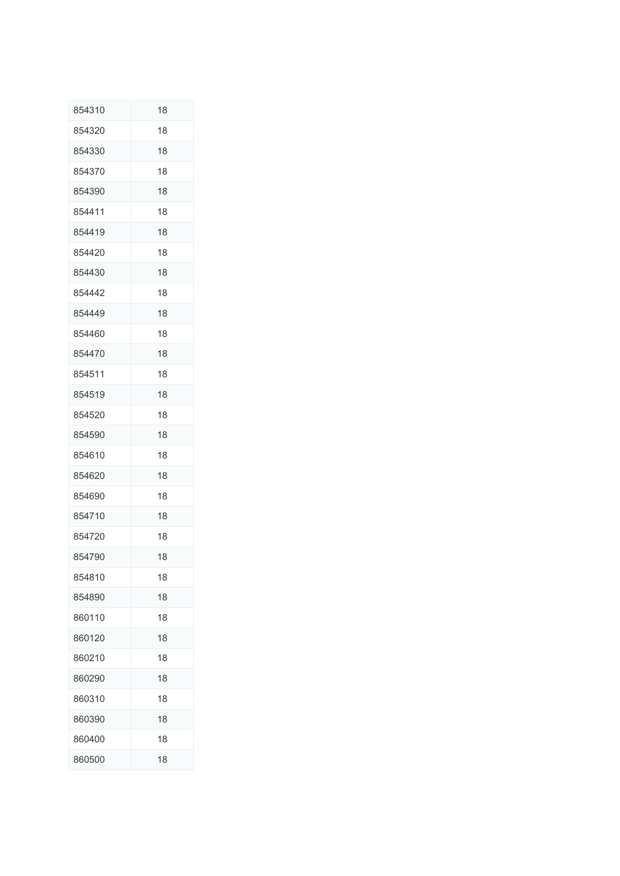| 854310 | 18 |
|--------|----|
| 854320 | 18 |
| 854330 | 18 |
| 854370 | 18 |
| 854390 | 18 |
| 854411 | 18 |
| 854419 | 18 |
| 854420 | 18 |
| 854430 | 18 |
| 854442 | 18 |
| 854449 | 18 |
| 854460 | 18 |
| 854470 | 18 |
| 854511 | 18 |
| 854519 | 18 |
| 854520 | 18 |
| 854590 | 18 |
| 854610 | 18 |
| 854620 | 18 |
| 854690 | 18 |
| 854710 | 18 |
| 854720 | 18 |
| 854790 | 18 |
| 854810 | 18 |
| 854890 | 18 |
| 860110 | 18 |
| 860120 | 18 |
| 860210 | 18 |
| 860290 | 18 |
| 860310 | 18 |
| 860390 | 18 |
| 860400 | 18 |
| 860500 | 18 |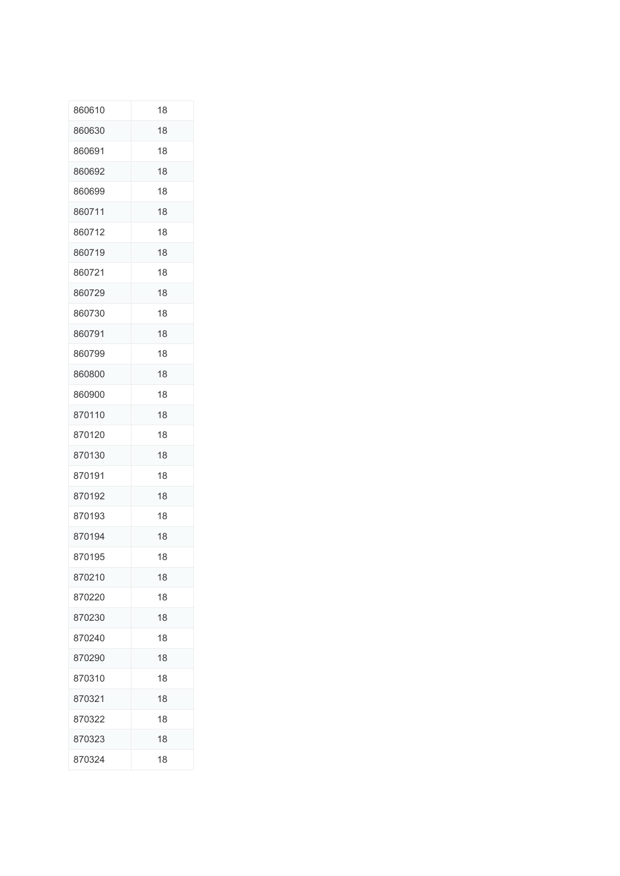| 860610 | 18 |
|--------|----|
| 860630 | 18 |
| 860691 | 18 |
| 860692 | 18 |
| 860699 | 18 |
| 860711 | 18 |
| 860712 | 18 |
| 860719 | 18 |
| 860721 | 18 |
| 860729 | 18 |
| 860730 | 18 |
| 860791 | 18 |
| 860799 | 18 |
| 860800 | 18 |
| 860900 | 18 |
| 870110 | 18 |
| 870120 | 18 |
| 870130 | 18 |
| 870191 | 18 |
| 870192 | 18 |
| 870193 | 18 |
| 870194 | 18 |
| 870195 | 18 |
| 870210 | 18 |
| 870220 | 18 |
| 870230 | 18 |
| 870240 | 18 |
| 870290 | 18 |
| 870310 | 18 |
| 870321 | 18 |
| 870322 | 18 |
| 870323 | 18 |
| 870324 | 18 |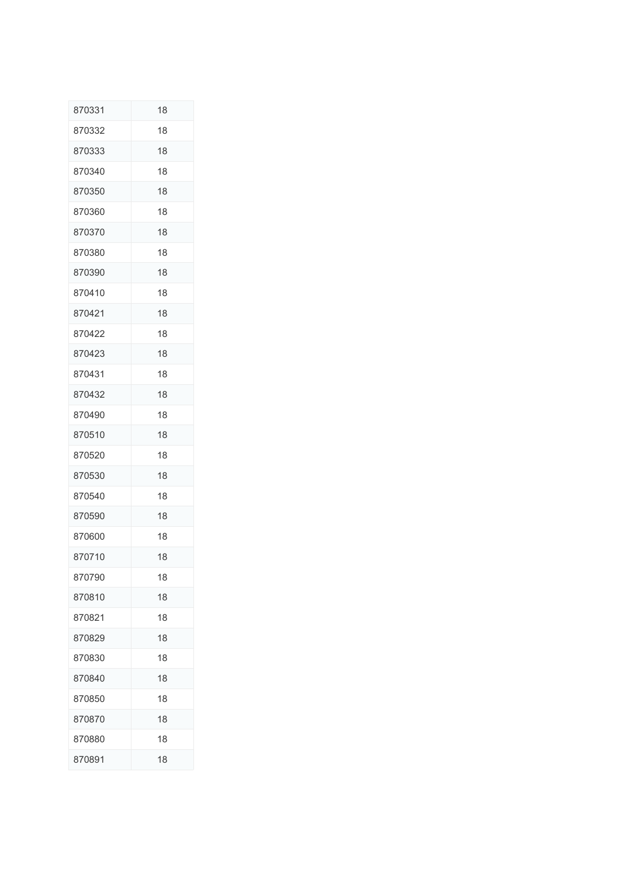| 870331 | 18 |
|--------|----|
| 870332 | 18 |
| 870333 | 18 |
| 870340 | 18 |
| 870350 | 18 |
| 870360 | 18 |
| 870370 | 18 |
| 870380 | 18 |
| 870390 | 18 |
| 870410 | 18 |
| 870421 | 18 |
| 870422 | 18 |
| 870423 | 18 |
| 870431 | 18 |
| 870432 | 18 |
| 870490 | 18 |
| 870510 | 18 |
| 870520 | 18 |
| 870530 | 18 |
| 870540 | 18 |
| 870590 | 18 |
| 870600 | 18 |
| 870710 | 18 |
| 870790 | 18 |
| 870810 | 18 |
| 870821 | 18 |
| 870829 | 18 |
| 870830 | 18 |
| 870840 | 18 |
| 870850 | 18 |
| 870870 | 18 |
| 870880 | 18 |
| 870891 | 18 |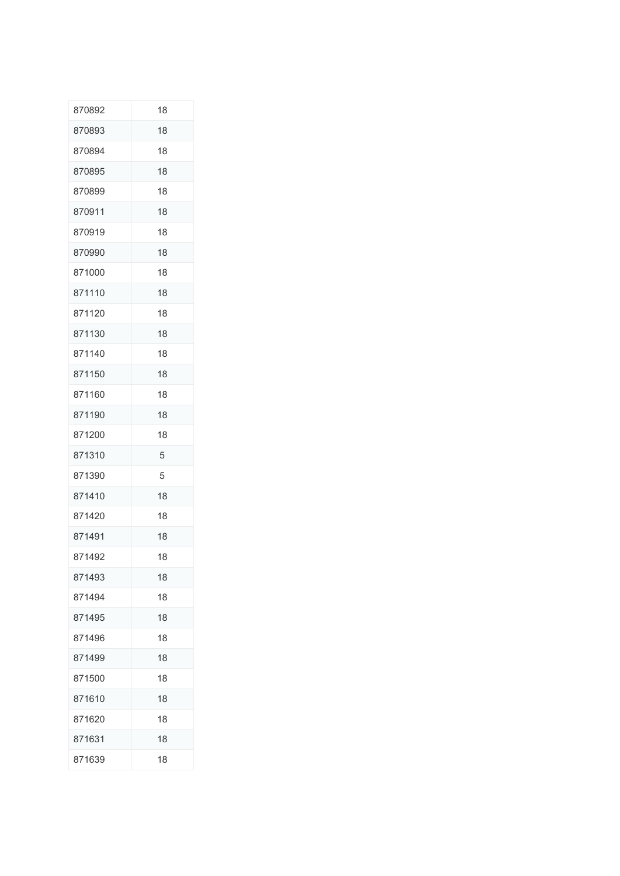| 870892 | 18 |
|--------|----|
| 870893 | 18 |
| 870894 | 18 |
| 870895 | 18 |
| 870899 | 18 |
| 870911 | 18 |
| 870919 | 18 |
| 870990 | 18 |
| 871000 | 18 |
| 871110 | 18 |
| 871120 | 18 |
| 871130 | 18 |
| 871140 | 18 |
| 871150 | 18 |
| 871160 | 18 |
| 871190 | 18 |
| 871200 | 18 |
| 871310 | 5  |
| 871390 | 5  |
| 871410 | 18 |
| 871420 | 18 |
| 871491 | 18 |
| 871492 | 18 |
| 871493 | 18 |
| 871494 | 18 |
| 871495 | 18 |
| 871496 | 18 |
| 871499 | 18 |
| 871500 | 18 |
| 871610 | 18 |
| 871620 | 18 |
| 871631 | 18 |
| 871639 | 18 |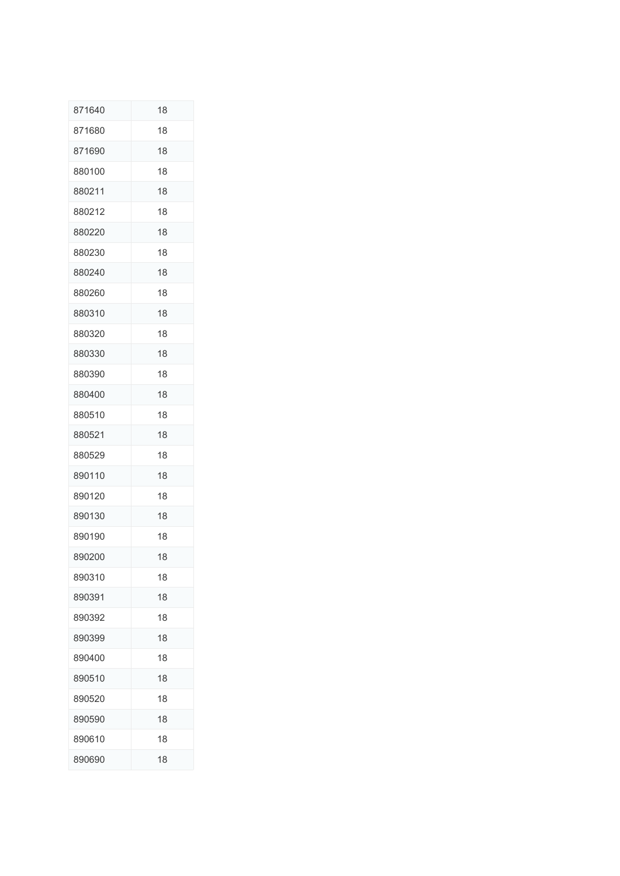| 871640 | 18 |
|--------|----|
| 871680 | 18 |
| 871690 | 18 |
| 880100 | 18 |
| 880211 | 18 |
| 880212 | 18 |
| 880220 | 18 |
| 880230 | 18 |
| 880240 | 18 |
| 880260 | 18 |
| 880310 | 18 |
| 880320 | 18 |
| 880330 | 18 |
| 880390 | 18 |
| 880400 | 18 |
| 880510 | 18 |
| 880521 | 18 |
| 880529 | 18 |
| 890110 | 18 |
| 890120 | 18 |
| 890130 | 18 |
| 890190 | 18 |
| 890200 | 18 |
| 890310 | 18 |
| 890391 | 18 |
| 890392 | 18 |
| 890399 | 18 |
| 890400 | 18 |
| 890510 | 18 |
| 890520 | 18 |
| 890590 | 18 |
| 890610 | 18 |
| 890690 | 18 |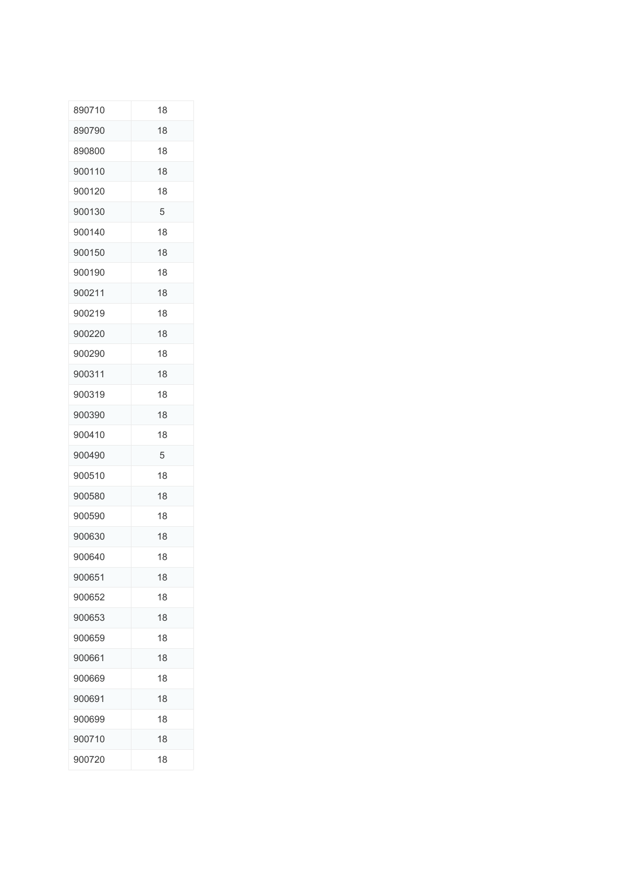| 890710 | 18 |
|--------|----|
| 890790 | 18 |
| 890800 | 18 |
| 900110 | 18 |
| 900120 | 18 |
| 900130 | 5  |
| 900140 | 18 |
| 900150 | 18 |
| 900190 | 18 |
| 900211 | 18 |
| 900219 | 18 |
| 900220 | 18 |
| 900290 | 18 |
| 900311 | 18 |
| 900319 | 18 |
| 900390 | 18 |
| 900410 | 18 |
| 900490 | 5  |
|        |    |
| 900510 | 18 |
| 900580 | 18 |
| 900590 | 18 |
| 900630 | 18 |
| 900640 | 18 |
| 900651 | 18 |
| 900652 | 18 |
| 900653 | 18 |
| 900659 | 18 |
| 900661 | 18 |
| 900669 | 18 |
| 900691 | 18 |
| 900699 | 18 |
| 900710 | 18 |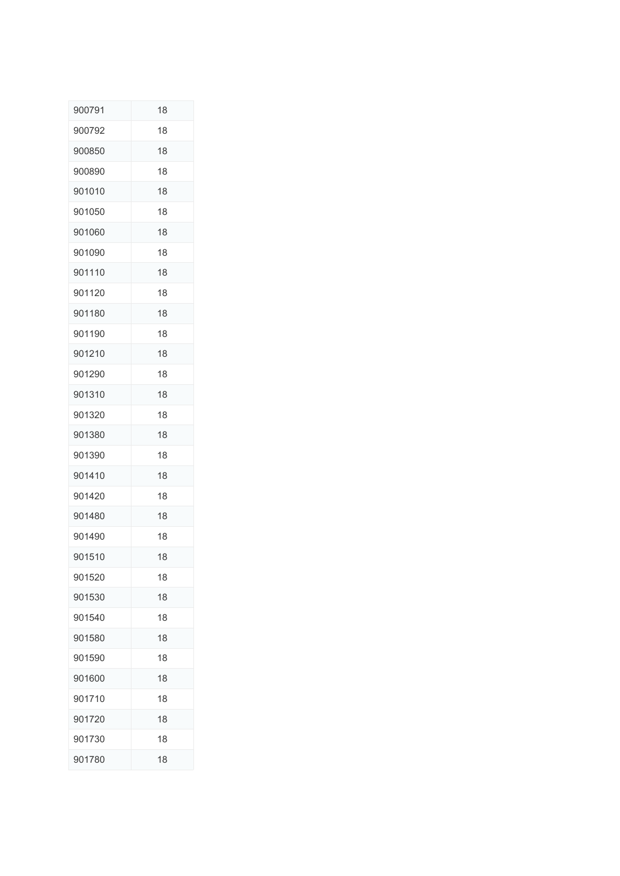| 900791 | 18 |
|--------|----|
| 900792 | 18 |
| 900850 | 18 |
| 900890 | 18 |
| 901010 | 18 |
| 901050 | 18 |
| 901060 | 18 |
| 901090 | 18 |
| 901110 | 18 |
| 901120 | 18 |
| 901180 | 18 |
| 901190 | 18 |
| 901210 | 18 |
| 901290 | 18 |
| 901310 | 18 |
| 901320 | 18 |
| 901380 | 18 |
| 901390 | 18 |
| 901410 | 18 |
| 901420 | 18 |
| 901480 | 18 |
| 901490 | 18 |
| 901510 | 18 |
| 901520 | 18 |
| 901530 | 18 |
| 901540 | 18 |
| 901580 | 18 |
| 901590 | 18 |
| 901600 | 18 |
| 901710 | 18 |
| 901720 | 18 |
| 901730 | 18 |
| 901780 | 18 |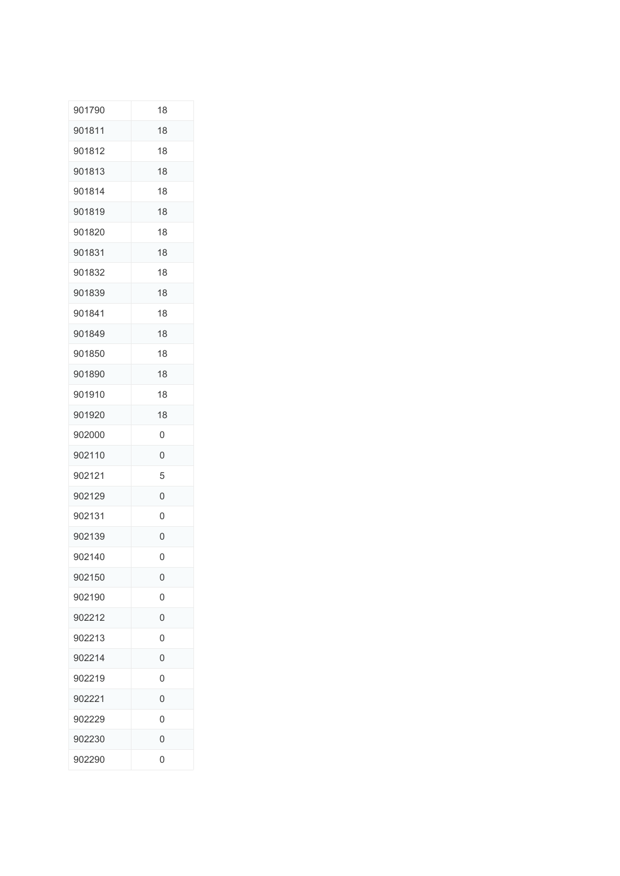| 901790 | 18             |
|--------|----------------|
| 901811 | 18             |
| 901812 | 18             |
| 901813 | 18             |
| 901814 | 18             |
| 901819 | 18             |
| 901820 | 18             |
| 901831 | 18             |
| 901832 | 18             |
| 901839 | 18             |
| 901841 | 18             |
| 901849 | 18             |
| 901850 | 18             |
| 901890 | 18             |
| 901910 | 18             |
| 901920 | 18             |
| 902000 | 0              |
| 902110 | 0              |
| 902121 | 5              |
| 902129 | 0              |
| 902131 | 0              |
| 902139 | 0              |
| 902140 | 0              |
| 902150 | 0              |
| 902190 | 0              |
| 902212 | 0              |
| 902213 | $\overline{0}$ |
| 902214 | $\overline{0}$ |
| 902219 | 0              |
| 902221 | 0              |
| 902229 | 0              |
| 902230 | 0              |
| 902290 | 0              |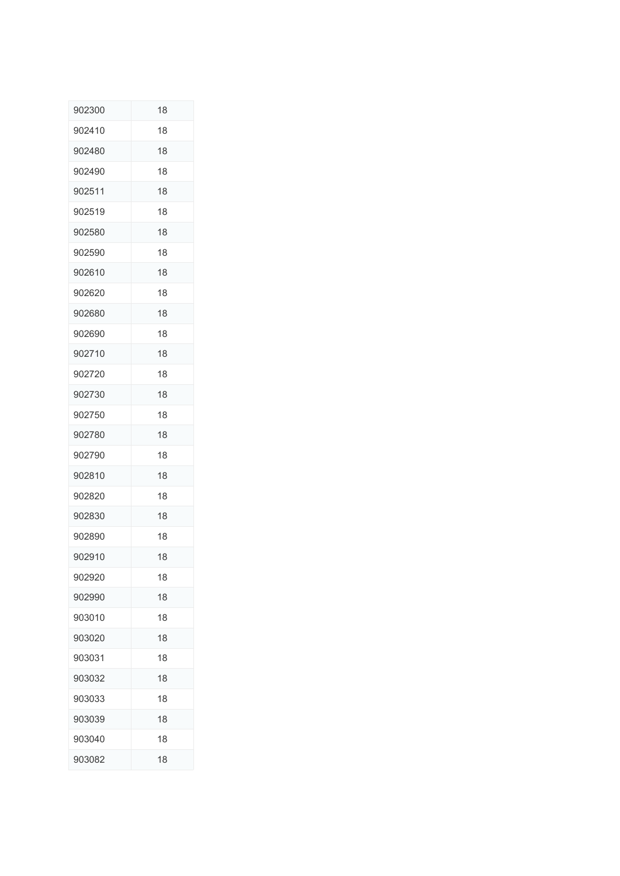| 902300 | 18 |
|--------|----|
| 902410 | 18 |
| 902480 | 18 |
| 902490 | 18 |
| 902511 | 18 |
| 902519 | 18 |
| 902580 | 18 |
| 902590 | 18 |
| 902610 | 18 |
| 902620 | 18 |
| 902680 | 18 |
| 902690 | 18 |
| 902710 | 18 |
| 902720 | 18 |
| 902730 | 18 |
| 902750 | 18 |
| 902780 | 18 |
| 902790 | 18 |
| 902810 | 18 |
| 902820 | 18 |
| 902830 | 18 |
| 902890 | 18 |
| 902910 | 18 |
| 902920 | 18 |
| 902990 | 18 |
| 903010 | 18 |
| 903020 | 18 |
| 903031 | 18 |
| 903032 | 18 |
| 903033 | 18 |
| 903039 | 18 |
| 903040 | 18 |
| 903082 | 18 |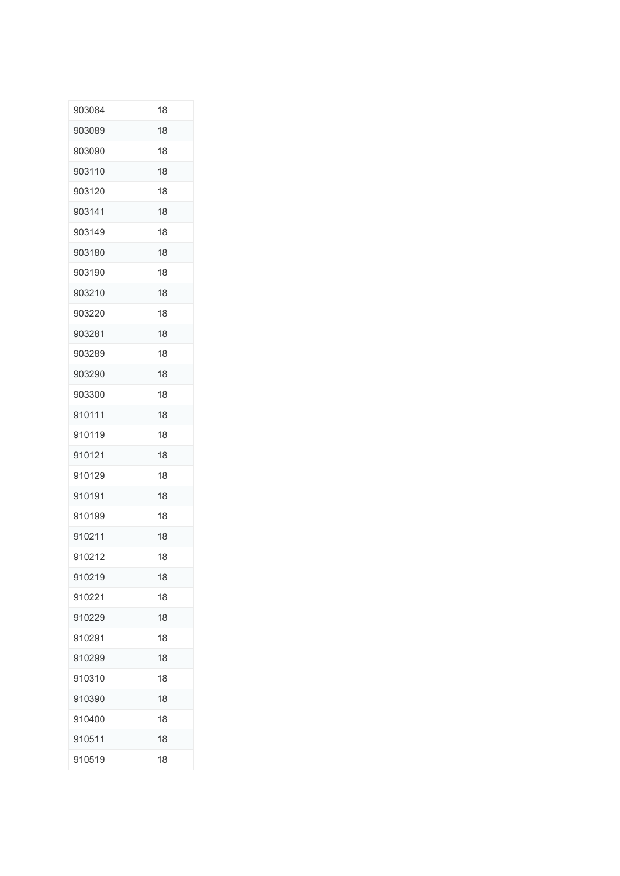| 903084 | 18 |
|--------|----|
| 903089 | 18 |
| 903090 | 18 |
| 903110 | 18 |
| 903120 | 18 |
| 903141 | 18 |
| 903149 | 18 |
| 903180 | 18 |
| 903190 | 18 |
| 903210 | 18 |
| 903220 | 18 |
| 903281 | 18 |
| 903289 | 18 |
| 903290 | 18 |
| 903300 | 18 |
| 910111 | 18 |
| 910119 | 18 |
| 910121 | 18 |
| 910129 | 18 |
| 910191 | 18 |
| 910199 | 18 |
| 910211 | 18 |
| 910212 | 18 |
| 910219 | 18 |
| 910221 | 18 |
| 910229 | 18 |
| 910291 | 18 |
| 910299 | 18 |
| 910310 | 18 |
| 910390 | 18 |
| 910400 | 18 |
| 910511 | 18 |
| 910519 | 18 |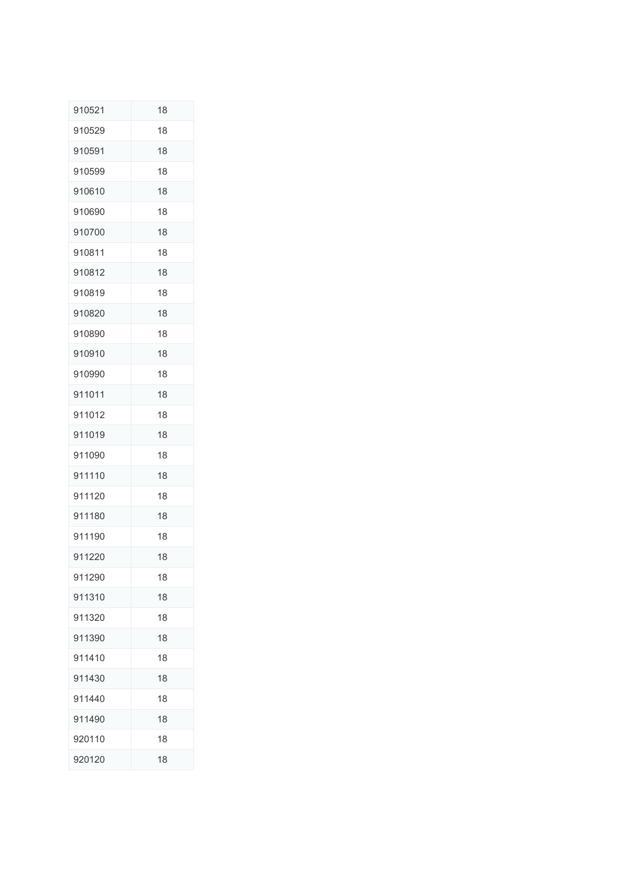| 910521 | 18 |
|--------|----|
| 910529 | 18 |
| 910591 | 18 |
| 910599 | 18 |
| 910610 | 18 |
| 910690 | 18 |
| 910700 | 18 |
| 910811 | 18 |
| 910812 | 18 |
| 910819 | 18 |
| 910820 | 18 |
| 910890 | 18 |
| 910910 | 18 |
| 910990 | 18 |
| 911011 | 18 |
| 911012 | 18 |
| 911019 | 18 |
| 911090 | 18 |
| 911110 | 18 |
| 911120 | 18 |
| 911180 | 18 |
| 911190 | 18 |
| 911220 | 18 |
| 911290 | 18 |
| 911310 | 18 |
| 911320 | 18 |
| 911390 | 18 |
| 911410 | 18 |
| 911430 | 18 |
| 911440 | 18 |
| 911490 | 18 |
| 920110 | 18 |
| 920120 | 18 |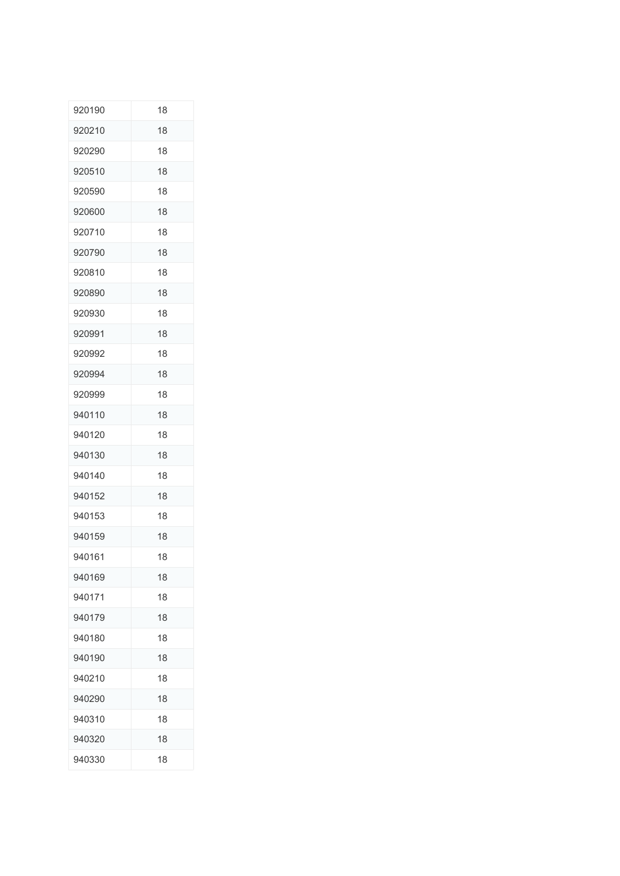| 920190 | 18 |
|--------|----|
| 920210 | 18 |
| 920290 | 18 |
| 920510 | 18 |
| 920590 | 18 |
| 920600 | 18 |
| 920710 | 18 |
| 920790 | 18 |
| 920810 | 18 |
| 920890 | 18 |
| 920930 | 18 |
| 920991 | 18 |
| 920992 | 18 |
| 920994 | 18 |
| 920999 | 18 |
| 940110 | 18 |
| 940120 | 18 |
| 940130 | 18 |
| 940140 | 18 |
| 940152 | 18 |
| 940153 | 18 |
| 940159 | 18 |
| 940161 | 18 |
| 940169 | 18 |
| 940171 | 18 |
| 940179 | 18 |
| 940180 | 18 |
| 940190 | 18 |
| 940210 | 18 |
| 940290 | 18 |
| 940310 | 18 |
| 940320 | 18 |
| 940330 | 18 |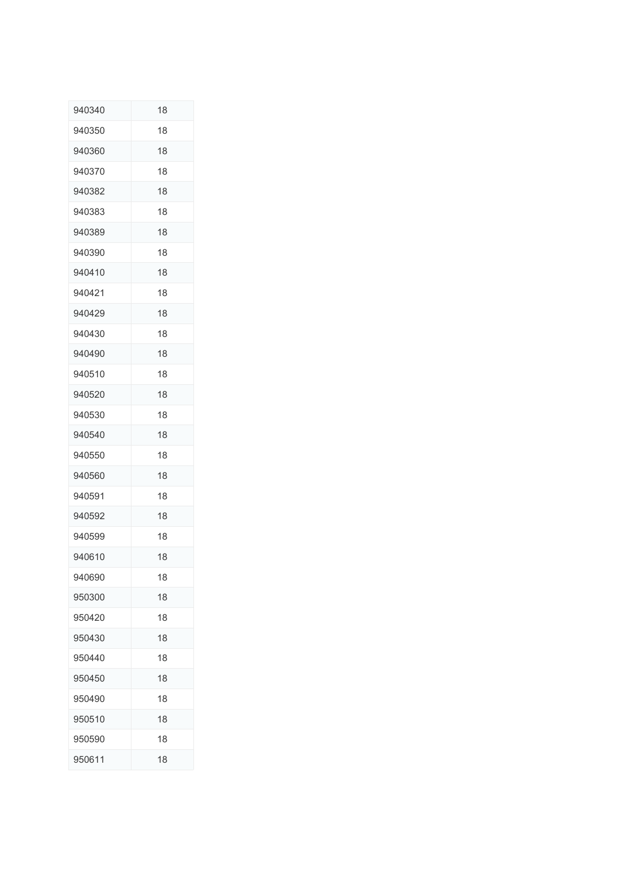| 940340 | 18 |
|--------|----|
| 940350 | 18 |
| 940360 | 18 |
| 940370 | 18 |
| 940382 | 18 |
| 940383 | 18 |
| 940389 | 18 |
| 940390 | 18 |
| 940410 | 18 |
| 940421 | 18 |
| 940429 | 18 |
| 940430 | 18 |
| 940490 | 18 |
| 940510 | 18 |
| 940520 | 18 |
| 940530 | 18 |
| 940540 | 18 |
| 940550 | 18 |
| 940560 | 18 |
| 940591 | 18 |
| 940592 | 18 |
| 940599 | 18 |
| 940610 | 18 |
| 940690 | 18 |
| 950300 | 18 |
| 950420 | 18 |
| 950430 | 18 |
| 950440 | 18 |
| 950450 | 18 |
| 950490 | 18 |
| 950510 | 18 |
| 950590 | 18 |
| 950611 | 18 |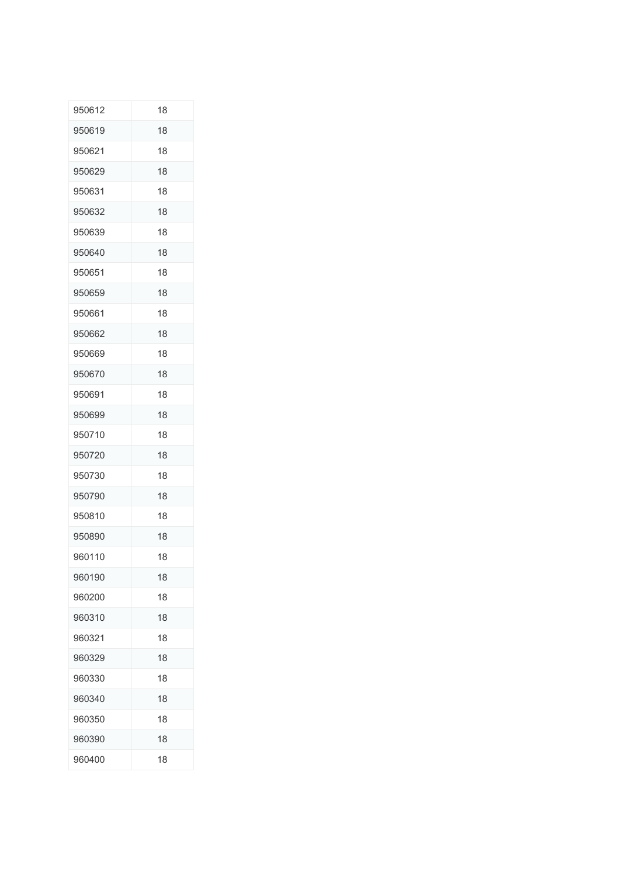| 950612 | 18 |
|--------|----|
| 950619 | 18 |
| 950621 | 18 |
| 950629 | 18 |
| 950631 | 18 |
| 950632 | 18 |
| 950639 | 18 |
| 950640 | 18 |
| 950651 | 18 |
| 950659 | 18 |
| 950661 | 18 |
| 950662 | 18 |
| 950669 | 18 |
| 950670 | 18 |
| 950691 | 18 |
| 950699 | 18 |
| 950710 | 18 |
| 950720 | 18 |
| 950730 | 18 |
| 950790 | 18 |
| 950810 | 18 |
| 950890 | 18 |
| 960110 | 18 |
| 960190 | 18 |
| 960200 | 18 |
| 960310 | 18 |
| 960321 | 18 |
| 960329 | 18 |
| 960330 | 18 |
| 960340 | 18 |
| 960350 | 18 |
| 960390 | 18 |
| 960400 | 18 |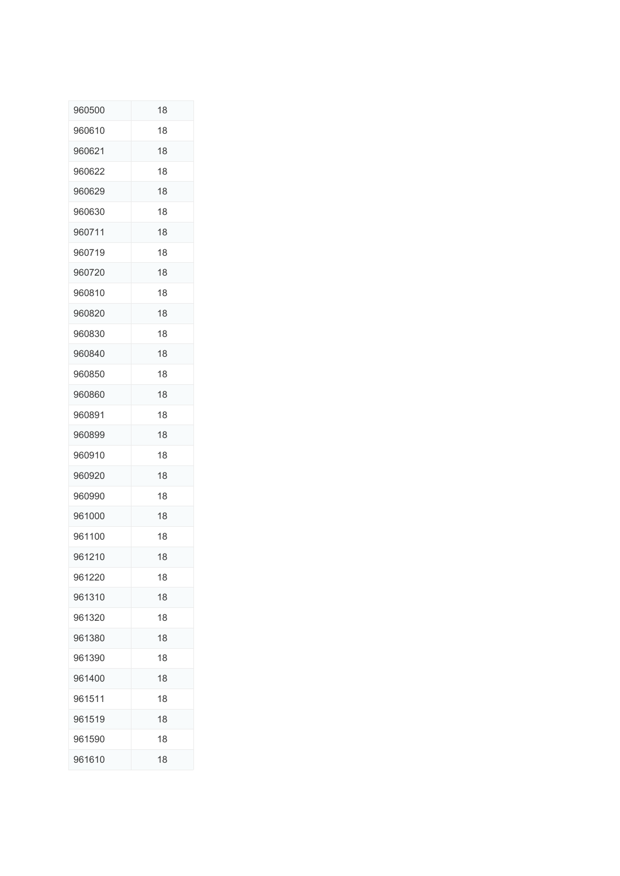| 960500 | 18 |
|--------|----|
| 960610 | 18 |
| 960621 | 18 |
| 960622 | 18 |
| 960629 | 18 |
| 960630 | 18 |
| 960711 | 18 |
| 960719 | 18 |
| 960720 | 18 |
| 960810 | 18 |
| 960820 | 18 |
| 960830 | 18 |
| 960840 | 18 |
| 960850 | 18 |
| 960860 | 18 |
| 960891 | 18 |
| 960899 | 18 |
| 960910 | 18 |
| 960920 | 18 |
| 960990 | 18 |
| 961000 | 18 |
| 961100 | 18 |
| 961210 | 18 |
| 961220 | 18 |
| 961310 | 18 |
| 961320 | 18 |
| 961380 | 18 |
| 961390 | 18 |
| 961400 | 18 |
| 961511 | 18 |
| 961519 | 18 |
| 961590 | 18 |
| 961610 | 18 |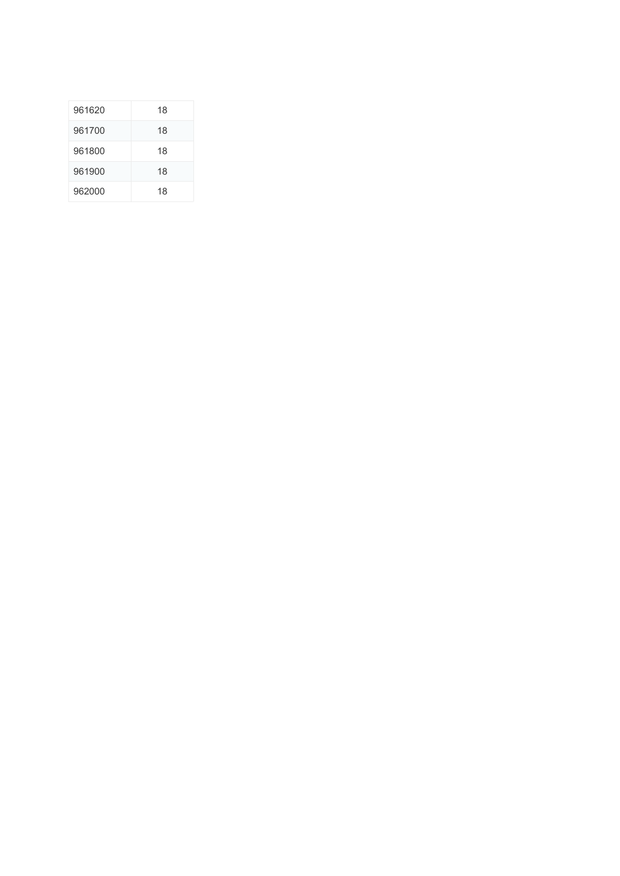| 961620 | 18 |
|--------|----|
| 961700 | 18 |
| 961800 | 18 |
| 961900 | 18 |
| 962000 | 18 |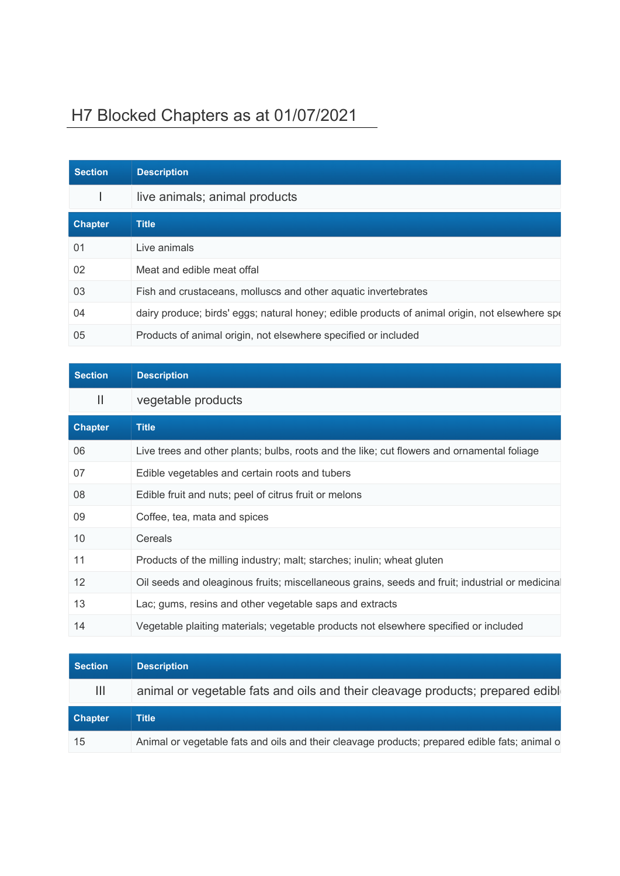## H7 Blocked Chapters as at 01/07/2021

| <b>Section</b> | <b>Description</b>                                                                             |
|----------------|------------------------------------------------------------------------------------------------|
|                | live animals; animal products                                                                  |
| <b>Chapter</b> | <b>Title</b>                                                                                   |
| 01             | Live animals                                                                                   |
| 02             | Meat and edible meat offal                                                                     |
| 03             | Fish and crustaceans, molluscs and other aquatic invertebrates                                 |
| 04             | dairy produce; birds' eggs; natural honey; edible products of animal origin, not elsewhere spo |
| 05             | Products of animal origin, not elsewhere specified or included                                 |

| <b>Section</b> | <b>Description</b>                                                                              |
|----------------|-------------------------------------------------------------------------------------------------|
| $\mathbf{  }$  | vegetable products                                                                              |
| <b>Chapter</b> | <b>Title</b>                                                                                    |
| 06             | Live trees and other plants; bulbs, roots and the like; cut flowers and ornamental foliage      |
| 07             | Edible vegetables and certain roots and tubers                                                  |
| 08             | Edible fruit and nuts; peel of citrus fruit or melons                                           |
| 09             | Coffee, tea, mata and spices                                                                    |
| 10             | Cereals                                                                                         |
| 11             | Products of the milling industry; malt; starches; inulin; wheat gluten                          |
| 12             | Oil seeds and oleaginous fruits; miscellaneous grains, seeds and fruit; industrial or medicinal |
| 13             | Lac; gums, resins and other vegetable saps and extracts                                         |
| 14             | Vegetable plaiting materials; vegetable products not elsewhere specified or included            |

| <b>Section</b> | <b>Description</b>                                                             |
|----------------|--------------------------------------------------------------------------------|
| Ш              | animal or vegetable fats and oils and their cleavage products; prepared edible |
| <b>Chapter</b> | <b>Title</b>                                                                   |
|                |                                                                                |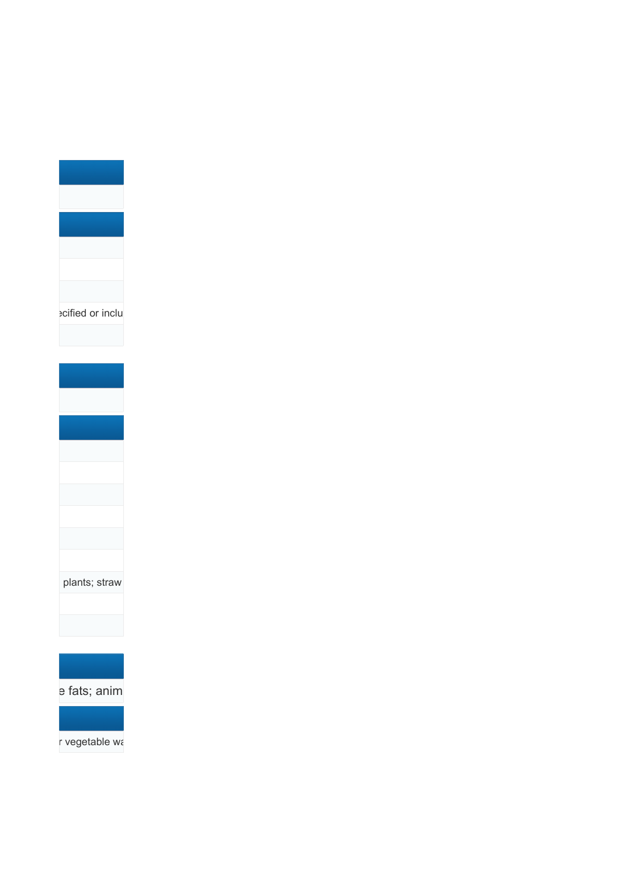



e fats; anim

r vegetable wa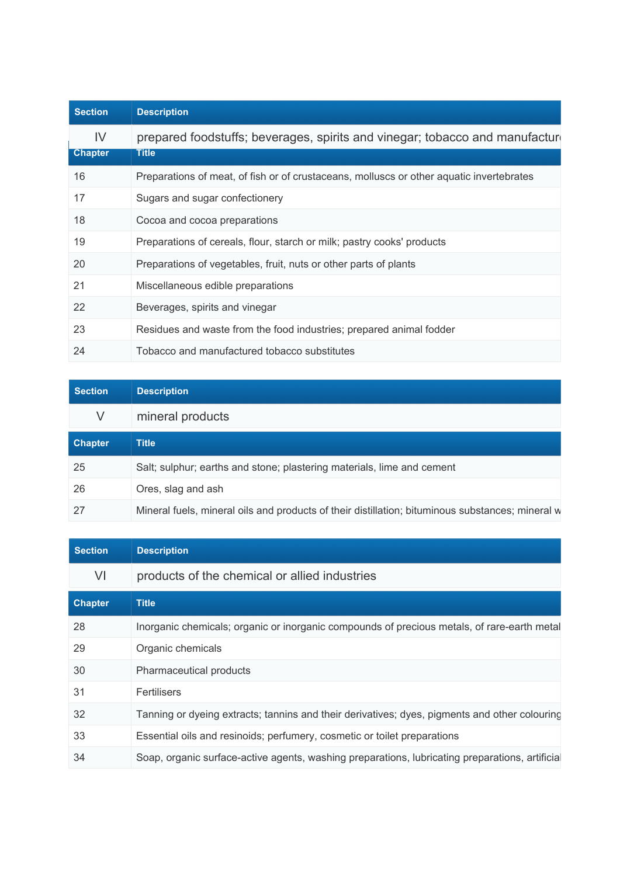| <b>Section</b>       | <b>Description</b>                                                                           |
|----------------------|----------------------------------------------------------------------------------------------|
| IV<br><b>Chapter</b> | prepared foodstuffs; beverages, spirits and vinegar; tobacco and manufacture<br><b>Title</b> |
| 16                   | Preparations of meat, of fish or of crustaceans, molluscs or other aquatic invertebrates     |
| 17                   | Sugars and sugar confectionery                                                               |
| 18                   | Cocoa and cocoa preparations                                                                 |
| 19                   | Preparations of cereals, flour, starch or milk; pastry cooks' products                       |
| 20                   | Preparations of vegetables, fruit, nuts or other parts of plants                             |
| 21                   | Miscellaneous edible preparations                                                            |
| 22                   | Beverages, spirits and vinegar                                                               |
| 23                   | Residues and waste from the food industries; prepared animal fodder                          |
| 24                   | Tobacco and manufactured tobacco substitutes                                                 |

| <b>Section</b> | <b>Description</b>                                                                               |
|----------------|--------------------------------------------------------------------------------------------------|
| V              | mineral products                                                                                 |
| <b>Chapter</b> | <b>Title</b>                                                                                     |
| 25             | Salt; sulphur; earths and stone; plastering materials, lime and cement                           |
| 26             | Ores, slag and ash                                                                               |
| 27             | Mineral fuels, mineral oils and products of their distillation; bituminous substances; mineral w |

| <b>Section</b> | <b>Description</b>                                                                              |
|----------------|-------------------------------------------------------------------------------------------------|
| VI             | products of the chemical or allied industries                                                   |
| <b>Chapter</b> | <b>Title</b>                                                                                    |
| 28             | Inorganic chemicals; organic or inorganic compounds of precious metals, of rare-earth metal     |
| 29             | Organic chemicals                                                                               |
| 30             | Pharmaceutical products                                                                         |
| 31             | Fertilisers                                                                                     |
| 32             | Tanning or dyeing extracts; tannins and their derivatives; dyes, pigments and other colouring   |
| 33             | Essential oils and resinoids; perfumery, cosmetic or toilet preparations                        |
| 34             | Soap, organic surface-active agents, washing preparations, lubricating preparations, artificial |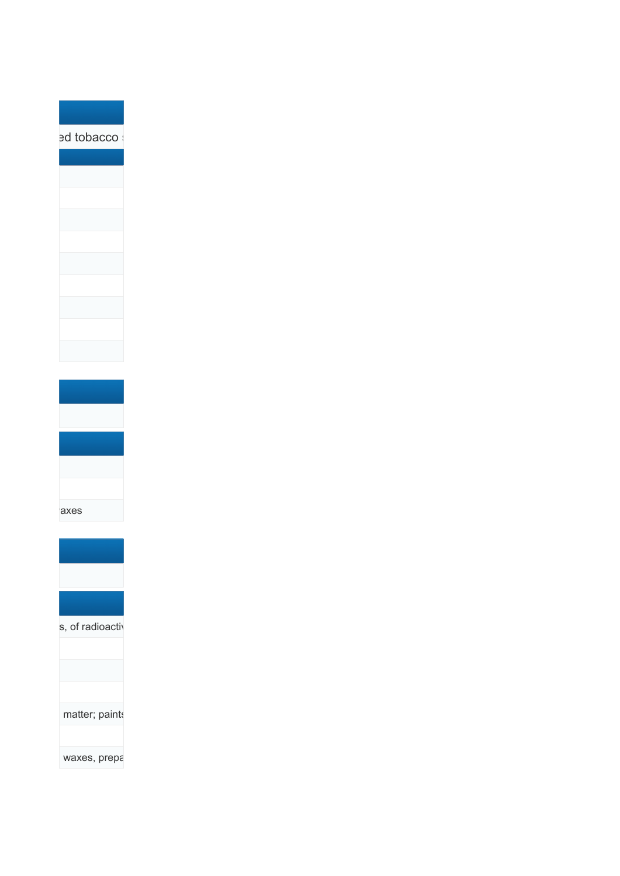pd tobacco s







s, of radioactiv



waxes, prepa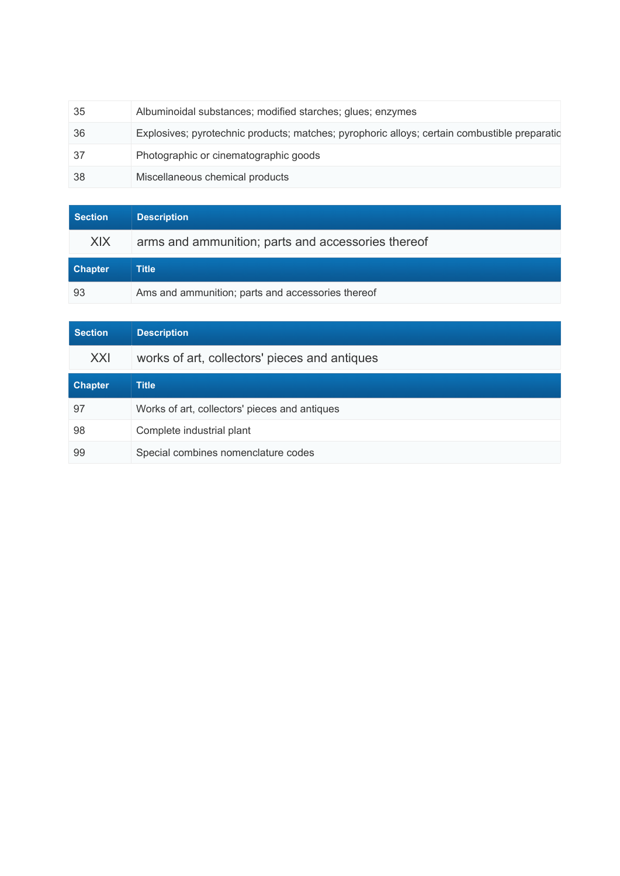| -35 | Albuminoidal substances; modified starches; glues; enzymes                                   |
|-----|----------------------------------------------------------------------------------------------|
| -36 | Explosives; pyrotechnic products; matches; pyrophoric alloys; certain combustible preparatic |
| -37 | Photographic or cinematographic goods                                                        |
| -38 | Miscellaneous chemical products                                                              |

| <b>Section</b> | <b>Description</b>                                 |
|----------------|----------------------------------------------------|
| <b>XIX</b>     | arms and ammunition; parts and accessories thereof |
| <b>Chapter</b> | Title                                              |
| 93             | Ams and ammunition; parts and accessories thereof  |

| <b>Section</b> | <b>Description</b>                            |
|----------------|-----------------------------------------------|
| XXI            | works of art, collectors' pieces and antiques |
| <b>Chapter</b> | <b>Title</b>                                  |
| 97             | Works of art, collectors' pieces and antiques |
| 98             | Complete industrial plant                     |
| 99             | Special combines nomenclature codes           |